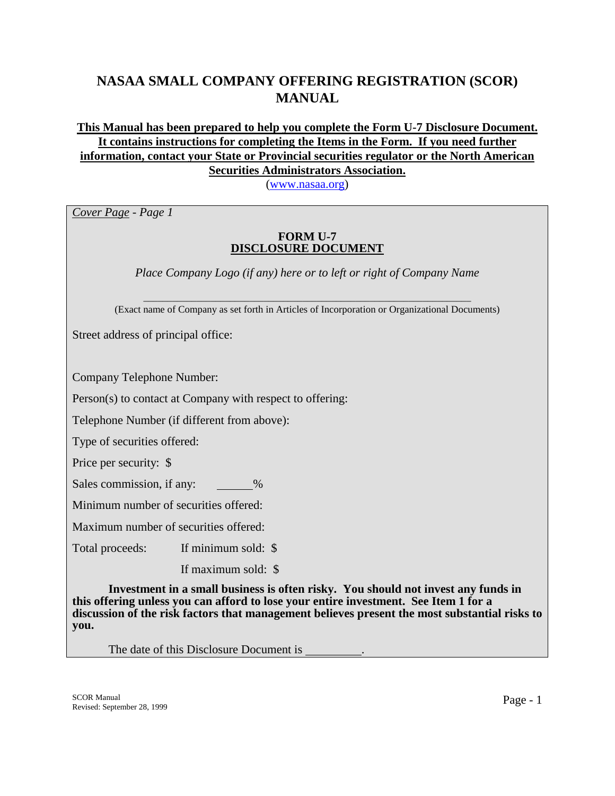# **NASAA SMALL COMPANY OFFERING REGISTRATION (SCOR) MANUAL**

# **This Manual has been prepared to help you complete the Form U-7 Disclosure Document. It contains instructions for completing the Items in the Form. If you need further information, contact your State or Provincial securities regulator or the North American Securities Administrators Association.**

([www.nasaa.org\)](http://www.nasaa.org/)

*Cover Page - Page 1* 

#### **FORM U-7 DISCLOSURE DOCUMENT**

*Place Company Logo (if any) here or to left or right of Company Name* 

\_\_\_\_\_\_\_\_\_\_\_\_\_\_\_\_\_\_\_\_\_\_\_\_\_\_\_\_\_\_\_\_\_\_\_\_\_\_\_\_\_\_\_\_\_\_\_\_\_\_\_\_\_\_\_\_\_\_\_\_\_\_\_\_\_\_\_\_ (Exact name of Company as set forth in Articles of Incorporation or Organizational Documents)

Street address of principal office:

Company Telephone Number:

Person(s) to contact at Company with respect to offering:

Telephone Number (if different from above):

Type of securities offered:

Price per security: \$

Sales commission, if any:  $\%$ 

Minimum number of securities offered:

Maximum number of securities offered:

Total proceeds: If minimum sold: \$

If maximum sold: \$

 **Investment in a small business is often risky. You should not invest any funds in this offering unless you can afford to lose your entire investment. See Item 1 for a discussion of the risk factors that management believes present the most substantial risks to you.** 

The date of this Disclosure Document is .

SCOR Manual SCOR Manual Page - 1<br>Revised: September 28, 1999 Page - 1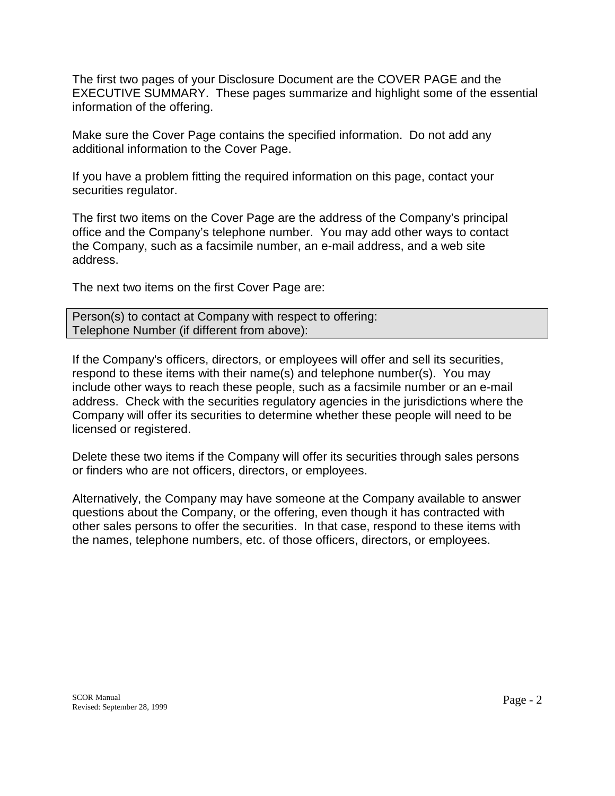The first two pages of your Disclosure Document are the COVER PAGE and the EXECUTIVE SUMMARY. These pages summarize and highlight some of the essential information of the offering.

Make sure the Cover Page contains the specified information. Do not add any additional information to the Cover Page.

If you have a problem fitting the required information on this page, contact your securities regulator.

The first two items on the Cover Page are the address of the Company's principal office and the Company's telephone number. You may add other ways to contact the Company, such as a facsimile number, an e-mail address, and a web site address.

The next two items on the first Cover Page are:

Person(s) to contact at Company with respect to offering: Telephone Number (if different from above):

If the Company's officers, directors, or employees will offer and sell its securities, respond to these items with their name(s) and telephone number(s). You may include other ways to reach these people, such as a facsimile number or an e-mail address. Check with the securities regulatory agencies in the jurisdictions where the Company will offer its securities to determine whether these people will need to be licensed or registered.

Delete these two items if the Company will offer its securities through sales persons or finders who are not officers, directors, or employees.

Alternatively, the Company may have someone at the Company available to answer questions about the Company, or the offering, even though it has contracted with other sales persons to offer the securities. In that case, respond to these items with the names, telephone numbers, etc. of those officers, directors, or employees.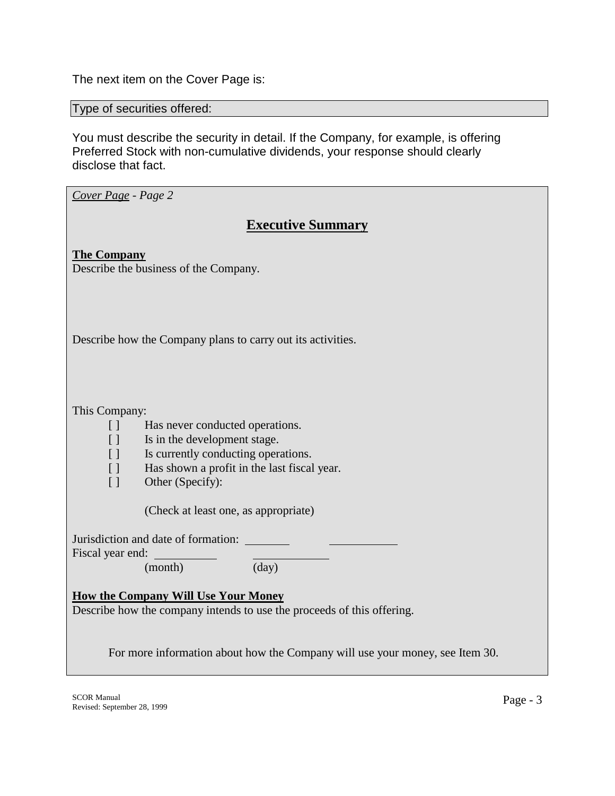The next item on the Cover Page is:

Type of securities offered:

You must describe the security in detail. If the Company, for example, is offering Preferred Stock with non-cumulative dividends, your response should clearly disclose that fact.

*Cover Page - Page 2* 

# **Executive Summary**

**The Company** Describe the business of the Company.

Describe how the Company plans to carry out its activities.

This Company:

- [ ] Has never conducted operations.
- [ ] Is in the development stage.
- [ ] Is currently conducting operations.
- [ ] Has shown a profit in the last fiscal year.
- [ ] Other (Specify):

(Check at least one, as appropriate)

Jurisdiction and date of formation:

Fiscal year end:

(month) (day)

## **How the Company Will Use Your Money**

Describe how the company intends to use the proceeds of this offering.

For more information about how the Company will use your money, see Item 30.

SCOR Manual SCOR Manual Page - 3<br>Revised: September 28, 1999 Page - 3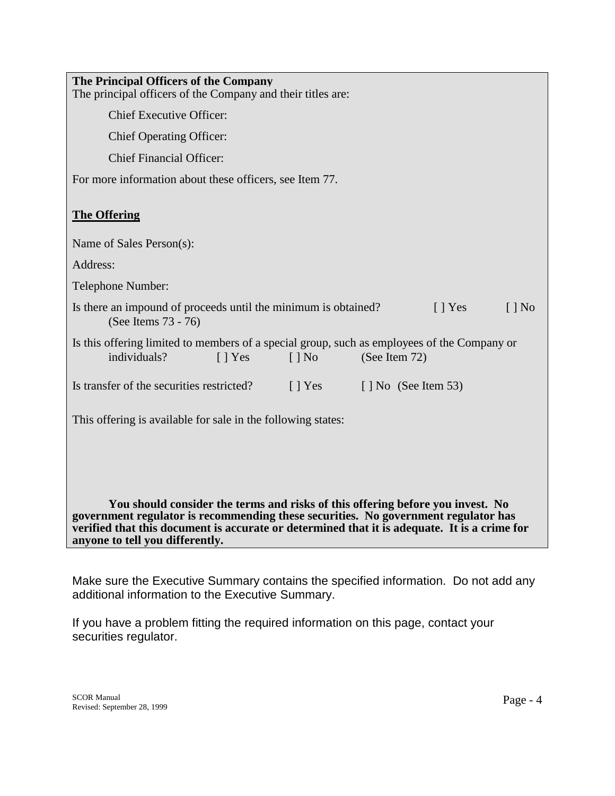| The Principal Officers of the Company<br>The principal officers of the Company and their titles are:                                                                                                                                                                 |
|----------------------------------------------------------------------------------------------------------------------------------------------------------------------------------------------------------------------------------------------------------------------|
| <b>Chief Executive Officer:</b>                                                                                                                                                                                                                                      |
| <b>Chief Operating Officer:</b>                                                                                                                                                                                                                                      |
| <b>Chief Financial Officer:</b>                                                                                                                                                                                                                                      |
| For more information about these officers, see Item 77.                                                                                                                                                                                                              |
| <b>The Offering</b>                                                                                                                                                                                                                                                  |
| Name of Sales Person(s):                                                                                                                                                                                                                                             |
| Address:                                                                                                                                                                                                                                                             |
| Telephone Number:                                                                                                                                                                                                                                                    |
| Is there an impound of proceeds until the minimum is obtained?<br>$[$   Yes<br>$\lceil \cdot \rceil$ No<br>(See Items 73 - 76)                                                                                                                                       |
| Is this offering limited to members of a special group, such as employees of the Company or<br>individuals?<br>(See Item 72)<br>$\lceil$   Yes<br>$\lceil \cdot \rceil$ No                                                                                           |
| Is transfer of the securities restricted?<br>$\lceil \cdot \rceil$ No (See Item 53)<br>$\lceil \cdot \rceil$ Yes                                                                                                                                                     |
| This offering is available for sale in the following states:                                                                                                                                                                                                         |
|                                                                                                                                                                                                                                                                      |
|                                                                                                                                                                                                                                                                      |
| You should consider the terms and risks of this offering before you invest. No<br>government regulator is recommending these securities. No government regulator has<br>verified that this document is accurate or determined that it is adequate. It is a crime for |

**anyone to tell you differently.**

Make sure the Executive Summary contains the specified information. Do not add any additional information to the Executive Summary.

If you have a problem fitting the required information on this page, contact your securities regulator.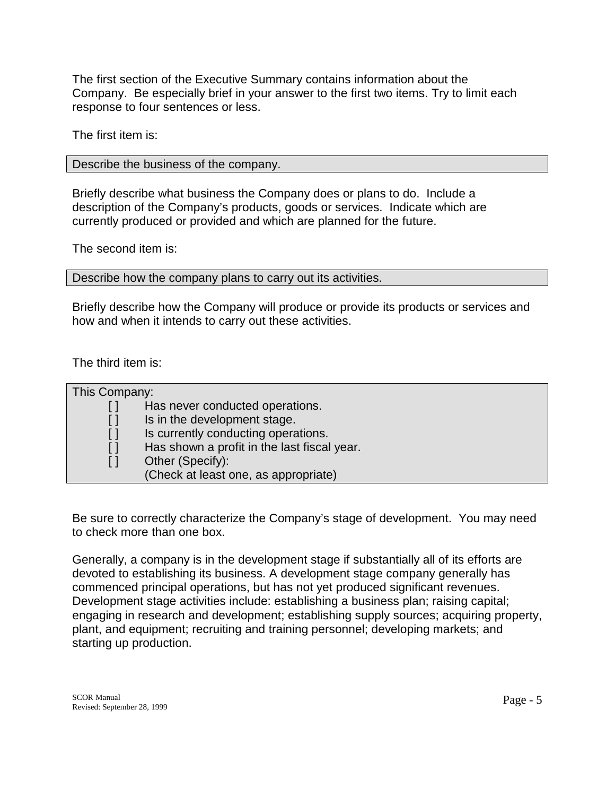The first section of the Executive Summary contains information about the Company. Be especially brief in your answer to the first two items. Try to limit each response to four sentences or less.

The first item is:

Describe the business of the company.

Briefly describe what business the Company does or plans to do. Include a description of the Company's products, goods or services. Indicate which are currently produced or provided and which are planned for the future.

The second item is:

Describe how the company plans to carry out its activities.

Briefly describe how the Company will produce or provide its products or services and how and when it intends to carry out these activities.

The third item is:

| This Company: |                                             |
|---------------|---------------------------------------------|
|               | Has never conducted operations.             |
|               | Is in the development stage.                |
|               | Is currently conducting operations.         |
|               | Has shown a profit in the last fiscal year. |
|               | Other (Specify):                            |
|               | (Check at least one, as appropriate)        |

Be sure to correctly characterize the Company's stage of development. You may need to check more than one box.

Generally, a company is in the development stage if substantially all of its efforts are devoted to establishing its business. A development stage company generally has commenced principal operations, but has not yet produced significant revenues. Development stage activities include: establishing a business plan; raising capital; engaging in research and development; establishing supply sources; acquiring property, plant, and equipment; recruiting and training personnel; developing markets; and starting up production.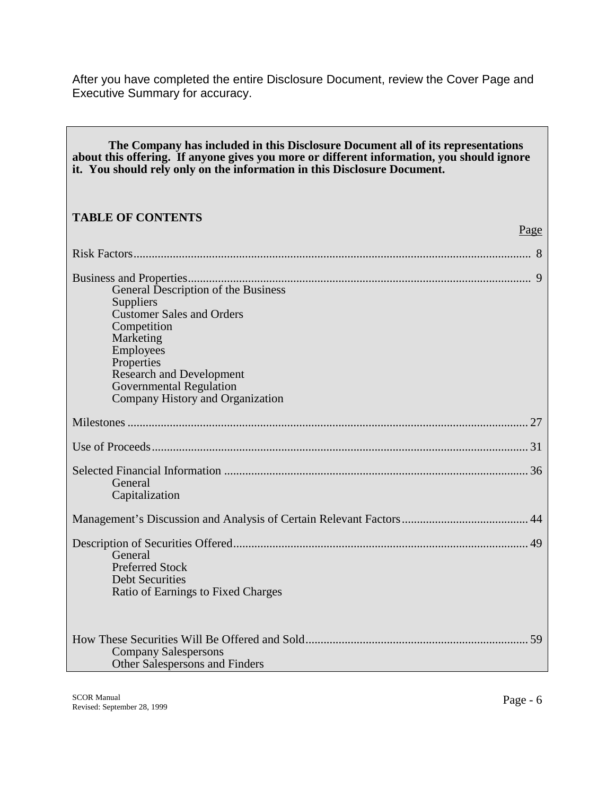After you have completed the entire Disclosure Document, review the Cover Page and Executive Summary for accuracy.

| The Company has included in this Disclosure Document all of its representations<br>about this offering. If anyone gives you more or different information, you should ignore<br>it. You should rely only on the information in this Disclosure Document. |
|----------------------------------------------------------------------------------------------------------------------------------------------------------------------------------------------------------------------------------------------------------|
| <b>TABLE OF CONTENTS</b><br>Page                                                                                                                                                                                                                         |
|                                                                                                                                                                                                                                                          |
| General Description of the Business<br>Suppliers<br><b>Customer Sales and Orders</b><br>Competition<br>Marketing<br>Employees<br>Properties<br><b>Research and Development</b><br><b>Governmental Regulation</b><br>Company History and Organization     |
|                                                                                                                                                                                                                                                          |
|                                                                                                                                                                                                                                                          |
| General<br>Capitalization                                                                                                                                                                                                                                |
|                                                                                                                                                                                                                                                          |
| General<br><b>Preferred Stock</b><br><b>Debt Securities</b><br>Ratio of Earnings to Fixed Charges                                                                                                                                                        |
| 59<br><b>Company Salespersons</b><br>Other Salespersons and Finders                                                                                                                                                                                      |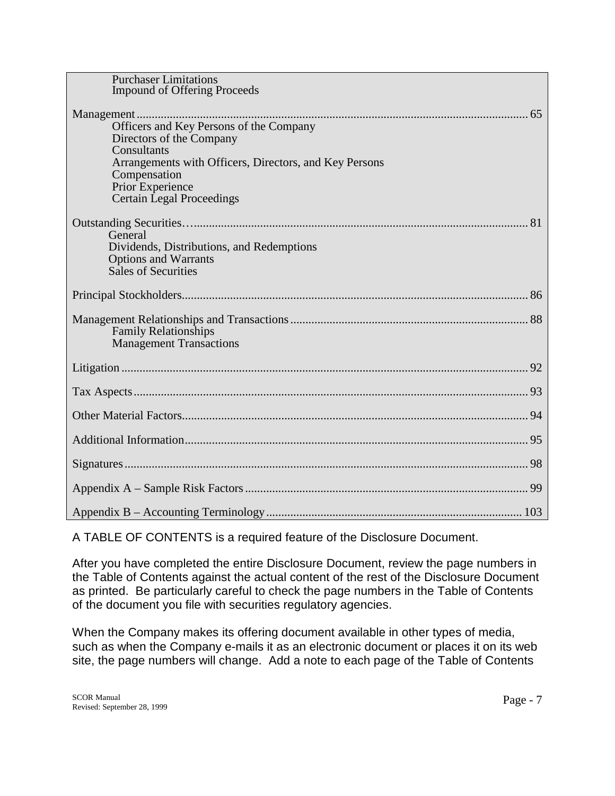| <b>Purchaser Limitations</b><br><b>Impound of Offering Proceeds</b>                                               |
|-------------------------------------------------------------------------------------------------------------------|
| Officers and Key Persons of the Company<br>Directors of the Company                                               |
| Consultants<br>Arrangements with Officers, Directors, and Key Persons<br>Compensation                             |
| Prior Experience<br><b>Certain Legal Proceedings</b>                                                              |
| General<br>Dividends, Distributions, and Redemptions<br><b>Options and Warrants</b><br><b>Sales of Securities</b> |
|                                                                                                                   |
| <b>Family Relationships</b><br><b>Management Transactions</b>                                                     |
|                                                                                                                   |
|                                                                                                                   |
|                                                                                                                   |
|                                                                                                                   |
|                                                                                                                   |
|                                                                                                                   |
|                                                                                                                   |

A TABLE OF CONTENTS is a required feature of the Disclosure Document.

After you have completed the entire Disclosure Document, review the page numbers in the Table of Contents against the actual content of the rest of the Disclosure Document as printed. Be particularly careful to check the page numbers in the Table of Contents of the document you file with securities regulatory agencies.

When the Company makes its offering document available in other types of media, such as when the Company e-mails it as an electronic document or places it on its web site, the page numbers will change. Add a note to each page of the Table of Contents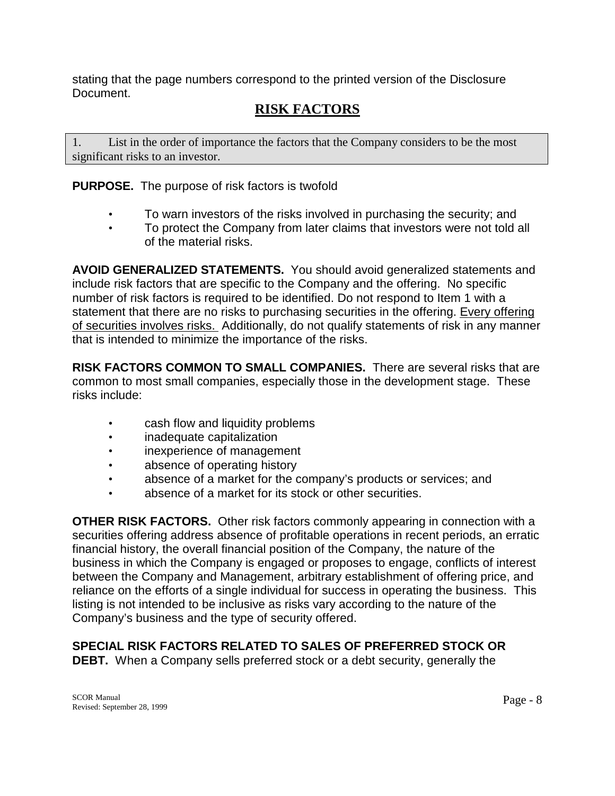stating that the page numbers correspond to the printed version of the Disclosure Document.

# **RISK FACTORS**

1. List in the order of importance the factors that the Company considers to be the most significant risks to an investor.

**PURPOSE.** The purpose of risk factors is twofold

- To warn investors of the risks involved in purchasing the security; and
- To protect the Company from later claims that investors were not told all of the material risks.

**AVOID GENERALIZED STATEMENTS.** You should avoid generalized statements and include risk factors that are specific to the Company and the offering. No specific number of risk factors is required to be identified. Do not respond to Item 1 with a statement that there are no risks to purchasing securities in the offering. Every offering of securities involves risks. Additionally, do not qualify statements of risk in any manner that is intended to minimize the importance of the risks.

**RISK FACTORS COMMON TO SMALL COMPANIES.** There are several risks that are common to most small companies, especially those in the development stage. These risks include:

- cash flow and liquidity problems
- inadequate capitalization
- inexperience of management
- absence of operating history
- absence of a market for the company's products or services; and
- absence of a market for its stock or other securities.

**OTHER RISK FACTORS.** Other risk factors commonly appearing in connection with a securities offering address absence of profitable operations in recent periods, an erratic financial history, the overall financial position of the Company, the nature of the business in which the Company is engaged or proposes to engage, conflicts of interest between the Company and Management, arbitrary establishment of offering price, and reliance on the efforts of a single individual for success in operating the business. This listing is not intended to be inclusive as risks vary according to the nature of the Company's business and the type of security offered.

# **SPECIAL RISK FACTORS RELATED TO SALES OF PREFERRED STOCK OR**

**DEBT.** When a Company sells preferred stock or a debt security, generally the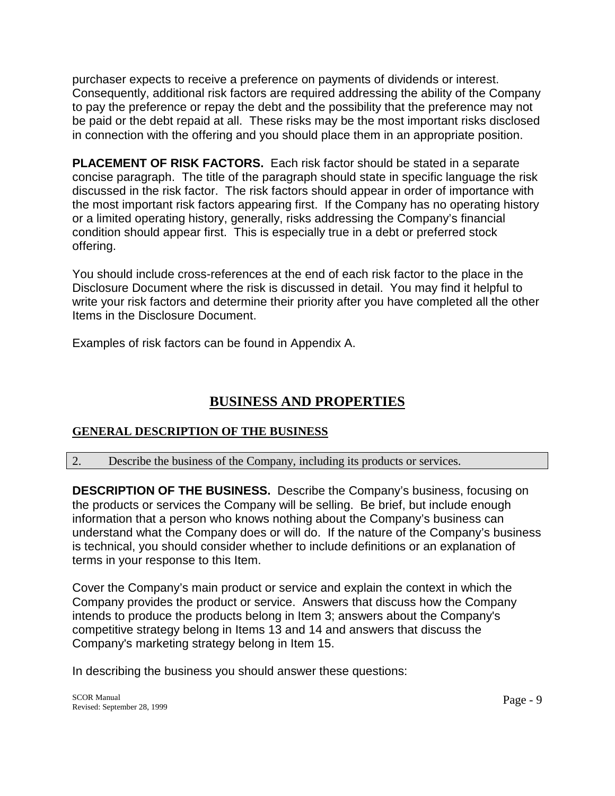purchaser expects to receive a preference on payments of dividends or interest. Consequently, additional risk factors are required addressing the ability of the Company to pay the preference or repay the debt and the possibility that the preference may not be paid or the debt repaid at all. These risks may be the most important risks disclosed in connection with the offering and you should place them in an appropriate position.

**PLACEMENT OF RISK FACTORS.** Each risk factor should be stated in a separate concise paragraph. The title of the paragraph should state in specific language the risk discussed in the risk factor. The risk factors should appear in order of importance with the most important risk factors appearing first. If the Company has no operating history or a limited operating history, generally, risks addressing the Company's financial condition should appear first. This is especially true in a debt or preferred stock offering.

You should include cross-references at the end of each risk factor to the place in the Disclosure Document where the risk is discussed in detail. You may find it helpful to write your risk factors and determine their priority after you have completed all the other Items in the Disclosure Document.

Examples of risk factors can be found in Appendix A.

# **BUSINESS AND PROPERTIES**

# **GENERAL DESCRIPTION OF THE BUSINESS**

## 2. Describe the business of the Company, including its products or services.

**DESCRIPTION OF THE BUSINESS.** Describe the Company's business, focusing on the products or services the Company will be selling. Be brief, but include enough information that a person who knows nothing about the Company's business can understand what the Company does or will do. If the nature of the Company's business is technical, you should consider whether to include definitions or an explanation of terms in your response to this Item.

Cover the Company's main product or service and explain the context in which the Company provides the product or service. Answers that discuss how the Company intends to produce the products belong in Item 3; answers about the Company's competitive strategy belong in Items 13 and 14 and answers that discuss the Company's marketing strategy belong in Item 15.

In describing the business you should answer these questions: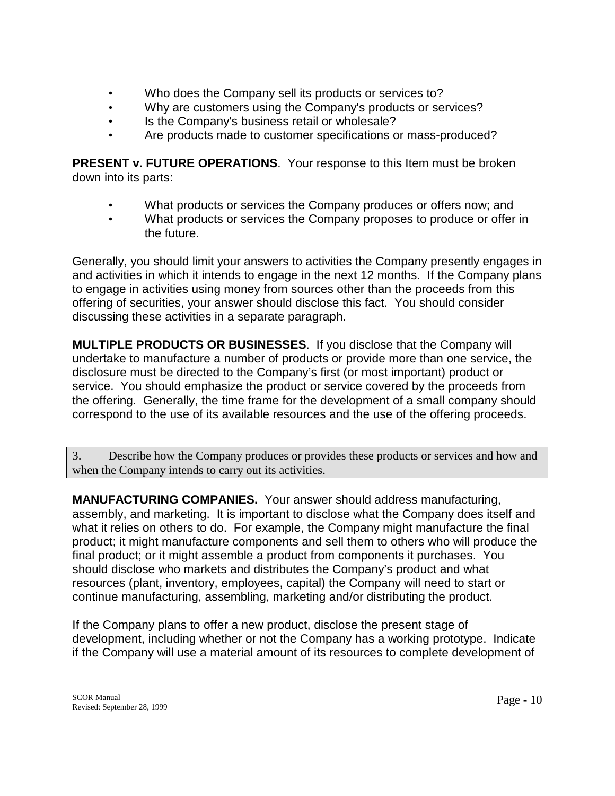- Who does the Company sell its products or services to?
- Why are customers using the Company's products or services?
- Is the Company's business retail or wholesale?
- Are products made to customer specifications or mass-produced?

**PRESENT v. FUTURE OPERATIONS.** Your response to this Item must be broken down into its parts:

- What products or services the Company produces or offers now; and
- What products or services the Company proposes to produce or offer in the future.

Generally, you should limit your answers to activities the Company presently engages in and activities in which it intends to engage in the next 12 months. If the Company plans to engage in activities using money from sources other than the proceeds from this offering of securities, your answer should disclose this fact. You should consider discussing these activities in a separate paragraph.

**MULTIPLE PRODUCTS OR BUSINESSES**. If you disclose that the Company will undertake to manufacture a number of products or provide more than one service, the disclosure must be directed to the Company's first (or most important) product or service. You should emphasize the product or service covered by the proceeds from the offering. Generally, the time frame for the development of a small company should correspond to the use of its available resources and the use of the offering proceeds.

3. Describe how the Company produces or provides these products or services and how and when the Company intends to carry out its activities.

**MANUFACTURING COMPANIES.** Your answer should address manufacturing, assembly, and marketing. It is important to disclose what the Company does itself and what it relies on others to do. For example, the Company might manufacture the final product; it might manufacture components and sell them to others who will produce the final product; or it might assemble a product from components it purchases. You should disclose who markets and distributes the Company's product and what resources (plant, inventory, employees, capital) the Company will need to start or continue manufacturing, assembling, marketing and/or distributing the product.

If the Company plans to offer a new product, disclose the present stage of development, including whether or not the Company has a working prototype. Indicate if the Company will use a material amount of its resources to complete development of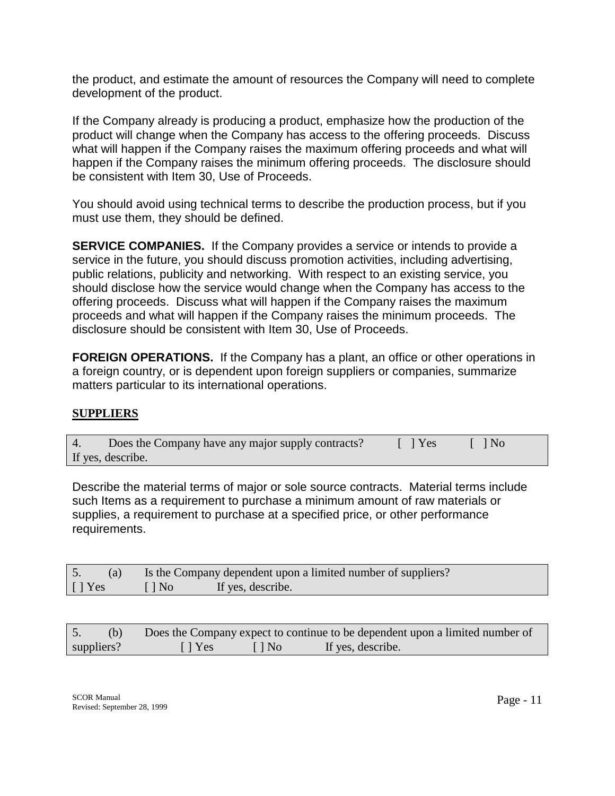the product, and estimate the amount of resources the Company will need to complete development of the product.

If the Company already is producing a product, emphasize how the production of the product will change when the Company has access to the offering proceeds. Discuss what will happen if the Company raises the maximum offering proceeds and what will happen if the Company raises the minimum offering proceeds. The disclosure should be consistent with Item 30, Use of Proceeds.

You should avoid using technical terms to describe the production process, but if you must use them, they should be defined.

**SERVICE COMPANIES.** If the Company provides a service or intends to provide a service in the future, you should discuss promotion activities, including advertising, public relations, publicity and networking. With respect to an existing service, you should disclose how the service would change when the Company has access to the offering proceeds. Discuss what will happen if the Company raises the maximum proceeds and what will happen if the Company raises the minimum proceeds. The disclosure should be consistent with Item 30, Use of Proceeds.

**FOREIGN OPERATIONS.** If the Company has a plant, an office or other operations in a foreign country, or is dependent upon foreign suppliers or companies, summarize matters particular to its international operations.

## **SUPPLIERS**

| 4. | Does the Company have any major supply contracts? | $\lceil \ \rceil$ Yes | $\vert$   $\vert$ No |
|----|---------------------------------------------------|-----------------------|----------------------|
|    | If yes, describe.                                 |                       |                      |

Describe the material terms of major or sole source contracts. Material terms include such Items as a requirement to purchase a minimum amount of raw materials or supplies, a requirement to purchase at a specified price, or other performance requirements.

|                |           | Is the Company dependent upon a limited number of suppliers? |
|----------------|-----------|--------------------------------------------------------------|
| $\lceil$   Yes | $\Box$ No | If yes, describe.                                            |

|            |                           |                          | Does the Company expect to continue to be dependent upon a limited number of |
|------------|---------------------------|--------------------------|------------------------------------------------------------------------------|
| suppliers? | $\lceil \cdot \rceil$ Yes | $\lceil \cdot \rceil$ No | If yes, describe.                                                            |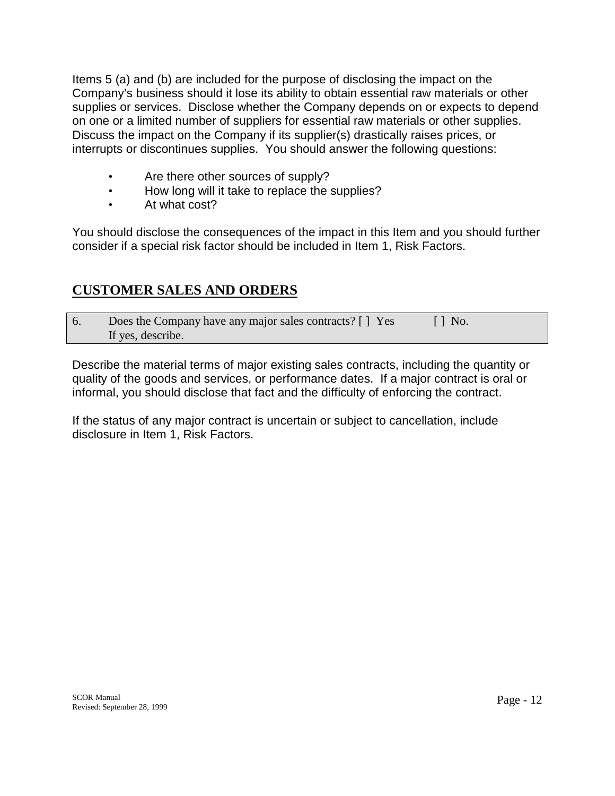Items 5 (a) and (b) are included for the purpose of disclosing the impact on the Company's business should it lose its ability to obtain essential raw materials or other supplies or services. Disclose whether the Company depends on or expects to depend on one or a limited number of suppliers for essential raw materials or other supplies. Discuss the impact on the Company if its supplier(s) drastically raises prices, or interrupts or discontinues supplies. You should answer the following questions:

- Are there other sources of supply?
- How long will it take to replace the supplies?
- At what cost?

You should disclose the consequences of the impact in this Item and you should further consider if a special risk factor should be included in Item 1, Risk Factors.

# **CUSTOMER SALES AND ORDERS**

| Does the Company have any major sales contracts? [ ] Yes | $\lceil \cdot \rceil$ No. |
|----------------------------------------------------------|---------------------------|
| If yes, describe.                                        |                           |

Describe the material terms of major existing sales contracts, including the quantity or quality of the goods and services, or performance dates. If a major contract is oral or informal, you should disclose that fact and the difficulty of enforcing the contract.

If the status of any major contract is uncertain or subject to cancellation, include disclosure in Item 1, Risk Factors.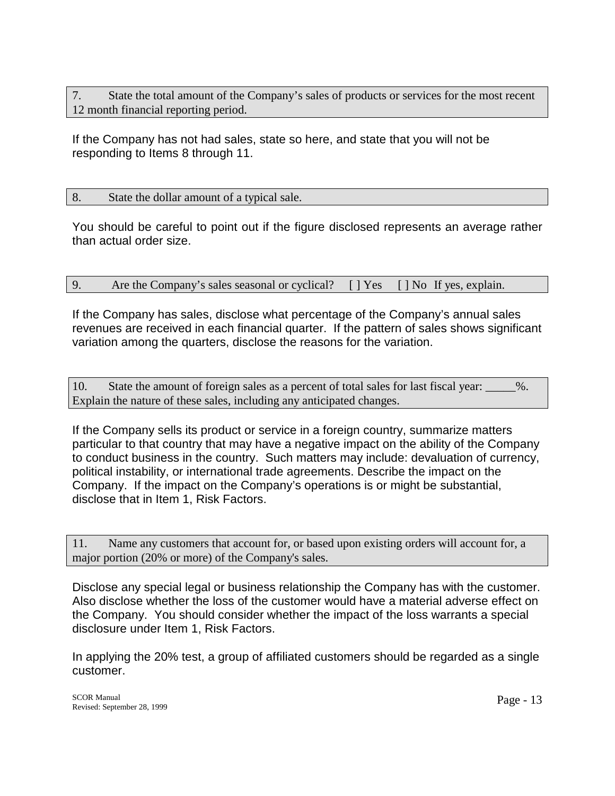7. State the total amount of the Company's sales of products or services for the most recent 12 month financial reporting period.

If the Company has not had sales, state so here, and state that you will not be responding to Items 8 through 11.

### 8. State the dollar amount of a typical sale.

You should be careful to point out if the figure disclosed represents an average rather than actual order size.

| 9. | Are the Company's sales seasonal or cyclical? [] Yes [] No If yes, explain. |  |
|----|-----------------------------------------------------------------------------|--|

If the Company has sales, disclose what percentage of the Company's annual sales revenues are received in each financial quarter. If the pattern of sales shows significant variation among the quarters, disclose the reasons for the variation.

10. State the amount of foreign sales as a percent of total sales for last fiscal year: \_\_\_\_\_%. Explain the nature of these sales, including any anticipated changes.

If the Company sells its product or service in a foreign country, summarize matters particular to that country that may have a negative impact on the ability of the Company to conduct business in the country. Such matters may include: devaluation of currency, political instability, or international trade agreements. Describe the impact on the Company. If the impact on the Company's operations is or might be substantial, disclose that in Item 1, Risk Factors.

11. Name any customers that account for, or based upon existing orders will account for, a major portion (20% or more) of the Company's sales.

Disclose any special legal or business relationship the Company has with the customer. Also disclose whether the loss of the customer would have a material adverse effect on the Company. You should consider whether the impact of the loss warrants a special disclosure under Item 1, Risk Factors.

In applying the 20% test, a group of affiliated customers should be regarded as a single customer.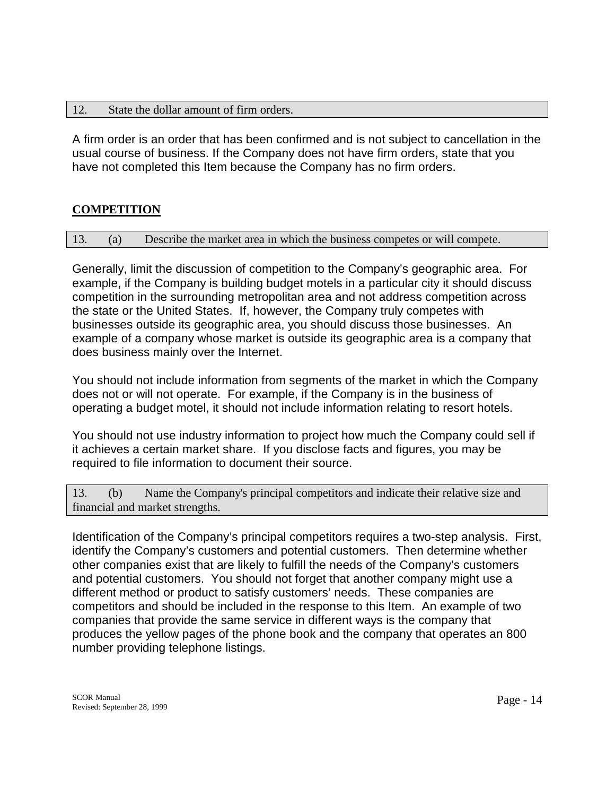#### 12. State the dollar amount of firm orders.

A firm order is an order that has been confirmed and is not subject to cancellation in the usual course of business. If the Company does not have firm orders, state that you have not completed this Item because the Company has no firm orders.

# **COMPETITION**

13. (a) Describe the market area in which the business competes or will compete.

Generally, limit the discussion of competition to the Company's geographic area. For example, if the Company is building budget motels in a particular city it should discuss competition in the surrounding metropolitan area and not address competition across the state or the United States. If, however, the Company truly competes with businesses outside its geographic area, you should discuss those businesses. An example of a company whose market is outside its geographic area is a company that does business mainly over the Internet.

You should not include information from segments of the market in which the Company does not or will not operate. For example, if the Company is in the business of operating a budget motel, it should not include information relating to resort hotels.

You should not use industry information to project how much the Company could sell if it achieves a certain market share. If you disclose facts and figures, you may be required to file information to document their source.

13. (b) Name the Company's principal competitors and indicate their relative size and financial and market strengths.

Identification of the Company's principal competitors requires a two-step analysis. First, identify the Company's customers and potential customers. Then determine whether other companies exist that are likely to fulfill the needs of the Company's customers and potential customers. You should not forget that another company might use a different method or product to satisfy customers' needs. These companies are competitors and should be included in the response to this Item. An example of two companies that provide the same service in different ways is the company that produces the yellow pages of the phone book and the company that operates an 800 number providing telephone listings.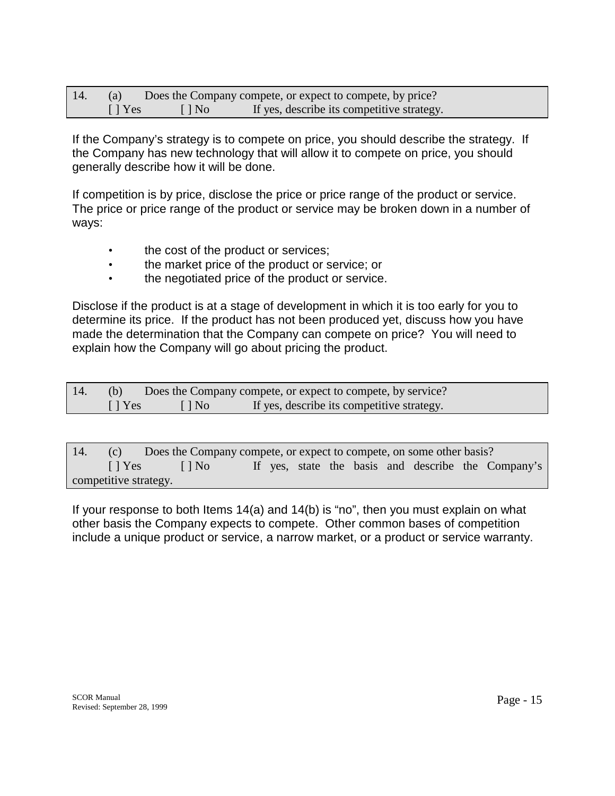| 14. | (a)                       |              | Does the Company compete, or expect to compete, by price? |
|-----|---------------------------|--------------|-----------------------------------------------------------|
|     | $\lceil \cdot \rceil$ Yes | $\vert$   No | If yes, describe its competitive strategy.                |

If the Company's strategy is to compete on price, you should describe the strategy. If the Company has new technology that will allow it to compete on price, you should generally describe how it will be done.

If competition is by price, disclose the price or price range of the product or service. The price or price range of the product or service may be broken down in a number of ways:

- the cost of the product or services;
- the market price of the product or service; or
- the negotiated price of the product or service.

Disclose if the product is at a stage of development in which it is too early for you to determine its price. If the product has not been produced yet, discuss how you have made the determination that the Company can compete on price? You will need to explain how the Company will go about pricing the product.

|                           |                          | Does the Company compete, or expect to compete, by service? |
|---------------------------|--------------------------|-------------------------------------------------------------|
| $\lceil \cdot \rceil$ Yes | $\lceil \cdot \rceil$ No | If yes, describe its competitive strategy.                  |

| 14. | Does the Company compete, or expect to compete, on some other basis?<br>(c) |                                                    |  |  |  |  |  |  |  |                                                    |
|-----|-----------------------------------------------------------------------------|----------------------------------------------------|--|--|--|--|--|--|--|----------------------------------------------------|
|     |                                                                             | $\lceil \cdot \rceil$ Yes $\lceil \cdot \rceil$ No |  |  |  |  |  |  |  | If yes, state the basis and describe the Company's |
|     | competitive strategy.                                                       |                                                    |  |  |  |  |  |  |  |                                                    |

If your response to both Items 14(a) and 14(b) is "no", then you must explain on what other basis the Company expects to compete. Other common bases of competition include a unique product or service, a narrow market, or a product or service warranty.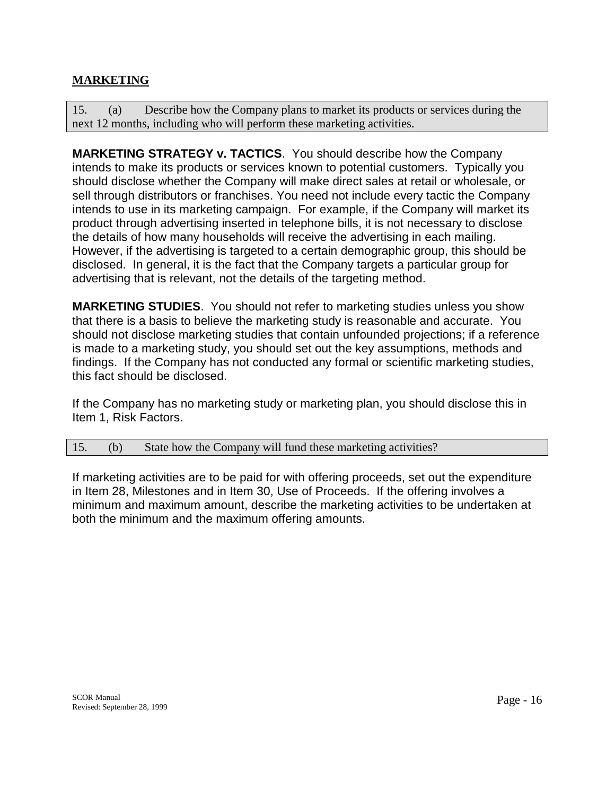# **MARKETING**

15. (a) Describe how the Company plans to market its products or services during the next 12 months, including who will perform these marketing activities.

**MARKETING STRATEGY v. TACTICS**.You should describe how the Company intends to make its products or services known to potential customers. Typically you should disclose whether the Company will make direct sales at retail or wholesale, or sell through distributors or franchises. You need not include every tactic the Company intends to use in its marketing campaign. For example, if the Company will market its product through advertising inserted in telephone bills, it is not necessary to disclose the details of how many households will receive the advertising in each mailing. However, if the advertising is targeted to a certain demographic group, this should be disclosed. In general, it is the fact that the Company targets a particular group for advertising that is relevant, not the details of the targeting method.

**MARKETING STUDIES**. You should not refer to marketing studies unless you show that there is a basis to believe the marketing study is reasonable and accurate. You should not disclose marketing studies that contain unfounded projections; if a reference is made to a marketing study, you should set out the key assumptions, methods and findings. If the Company has not conducted any formal or scientific marketing studies, this fact should be disclosed.

If the Company has no marketing study or marketing plan, you should disclose this in Item 1, Risk Factors.

#### 15. (b) State how the Company will fund these marketing activities?

If marketing activities are to be paid for with offering proceeds, set out the expenditure in Item 28, Milestones and in Item 30, Use of Proceeds. If the offering involves a minimum and maximum amount, describe the marketing activities to be undertaken at both the minimum and the maximum offering amounts.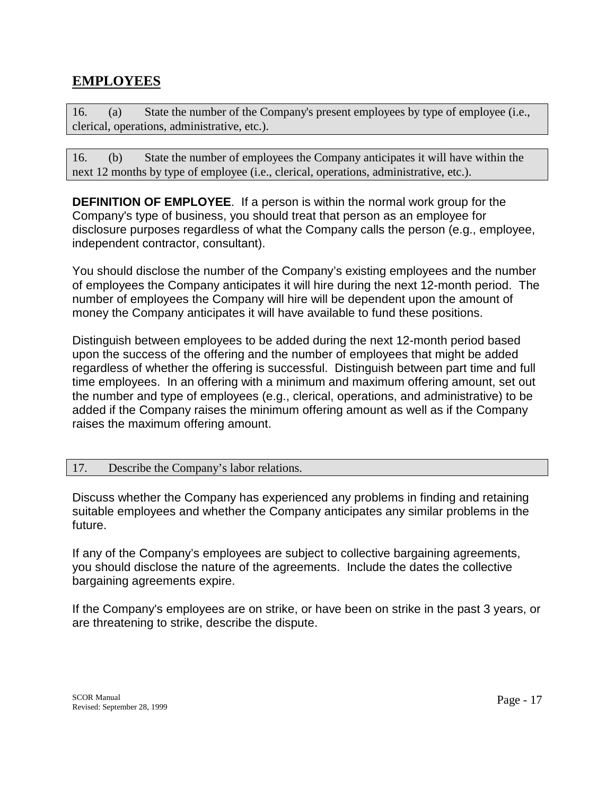# **EMPLOYEES**

16. (a) State the number of the Company's present employees by type of employee (i.e., clerical, operations, administrative, etc.).

16. (b) State the number of employees the Company anticipates it will have within the next 12 months by type of employee (i.e., clerical, operations, administrative, etc.).

**DEFINITION OF EMPLOYEE**. If a person is within the normal work group for the Company's type of business, you should treat that person as an employee for disclosure purposes regardless of what the Company calls the person (e.g., employee, independent contractor, consultant).

You should disclose the number of the Company's existing employees and the number of employees the Company anticipates it will hire during the next 12-month period. The number of employees the Company will hire will be dependent upon the amount of money the Company anticipates it will have available to fund these positions.

Distinguish between employees to be added during the next 12-month period based upon the success of the offering and the number of employees that might be added regardless of whether the offering is successful. Distinguish between part time and full time employees. In an offering with a minimum and maximum offering amount, set out the number and type of employees (e.g., clerical, operations, and administrative) to be added if the Company raises the minimum offering amount as well as if the Company raises the maximum offering amount.

#### 17. Describe the Company's labor relations.

Discuss whether the Company has experienced any problems in finding and retaining suitable employees and whether the Company anticipates any similar problems in the future.

If any of the Company's employees are subject to collective bargaining agreements, you should disclose the nature of the agreements. Include the dates the collective bargaining agreements expire.

If the Company's employees are on strike, or have been on strike in the past 3 years, or are threatening to strike, describe the dispute.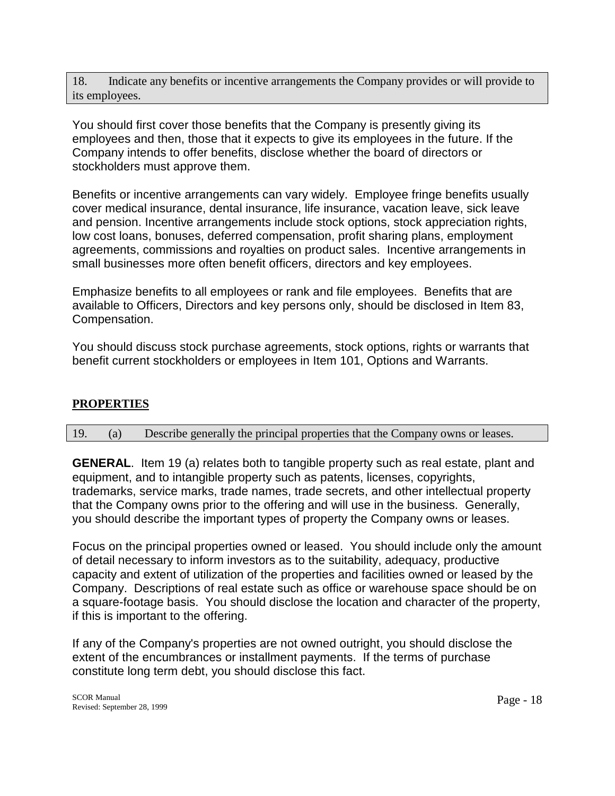18. Indicate any benefits or incentive arrangements the Company provides or will provide to its employees.

You should first cover those benefits that the Company is presently giving its employees and then, those that it expects to give its employees in the future. If the Company intends to offer benefits, disclose whether the board of directors or stockholders must approve them.

Benefits or incentive arrangements can vary widely. Employee fringe benefits usually cover medical insurance, dental insurance, life insurance, vacation leave, sick leave and pension. Incentive arrangements include stock options, stock appreciation rights, low cost loans, bonuses, deferred compensation, profit sharing plans, employment agreements, commissions and royalties on product sales. Incentive arrangements in small businesses more often benefit officers, directors and key employees.

Emphasize benefits to all employees or rank and file employees. Benefits that are available to Officers, Directors and key persons only, should be disclosed in Item 83, Compensation.

You should discuss stock purchase agreements, stock options, rights or warrants that benefit current stockholders or employees in Item 101, Options and Warrants.

## **PROPERTIES**

#### 19. (a) Describe generally the principal properties that the Company owns or leases.

**GENERAL**. Item 19 (a) relates both to tangible property such as real estate, plant and equipment, and to intangible property such as patents, licenses, copyrights, trademarks, service marks, trade names, trade secrets, and other intellectual property that the Company owns prior to the offering and will use in the business. Generally, you should describe the important types of property the Company owns or leases.

Focus on the principal properties owned or leased. You should include only the amount of detail necessary to inform investors as to the suitability, adequacy, productive capacity and extent of utilization of the properties and facilities owned or leased by the Company. Descriptions of real estate such as office or warehouse space should be on a square-footage basis. You should disclose the location and character of the property, if this is important to the offering.

If any of the Company's properties are not owned outright, you should disclose the extent of the encumbrances or installment payments. If the terms of purchase constitute long term debt, you should disclose this fact.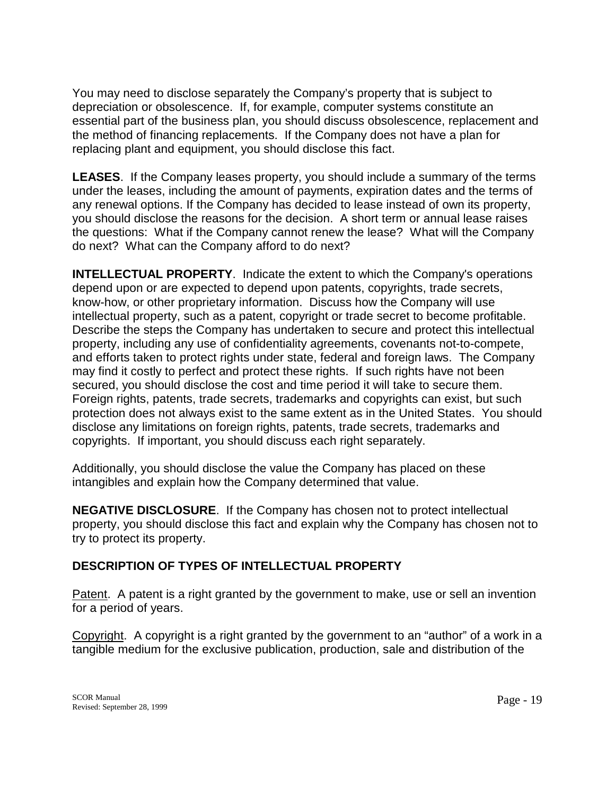You may need to disclose separately the Company's property that is subject to depreciation or obsolescence. If, for example, computer systems constitute an essential part of the business plan, you should discuss obsolescence, replacement and the method of financing replacements. If the Company does not have a plan for replacing plant and equipment, you should disclose this fact.

**LEASES**. If the Company leases property, you should include a summary of the terms under the leases, including the amount of payments, expiration dates and the terms of any renewal options. If the Company has decided to lease instead of own its property, you should disclose the reasons for the decision. A short term or annual lease raises the questions: What if the Company cannot renew the lease? What will the Company do next? What can the Company afford to do next?

**INTELLECTUAL PROPERTY**. Indicate the extent to which the Company's operations depend upon or are expected to depend upon patents, copyrights, trade secrets, know-how, or other proprietary information. Discuss how the Company will use intellectual property, such as a patent, copyright or trade secret to become profitable. Describe the steps the Company has undertaken to secure and protect this intellectual property, including any use of confidentiality agreements, covenants not-to-compete, and efforts taken to protect rights under state, federal and foreign laws. The Company may find it costly to perfect and protect these rights. If such rights have not been secured, you should disclose the cost and time period it will take to secure them. Foreign rights, patents, trade secrets, trademarks and copyrights can exist, but such protection does not always exist to the same extent as in the United States. You should disclose any limitations on foreign rights, patents, trade secrets, trademarks and copyrights. If important, you should discuss each right separately.

Additionally, you should disclose the value the Company has placed on these intangibles and explain how the Company determined that value.

**NEGATIVE DISCLOSURE**.If the Company has chosen not to protect intellectual property, you should disclose this fact and explain why the Company has chosen not to try to protect its property.

## **DESCRIPTION OF TYPES OF INTELLECTUAL PROPERTY**

Patent. A patent is a right granted by the government to make, use or sell an invention for a period of years.

Copyright. A copyright is a right granted by the government to an "author" of a work in a tangible medium for the exclusive publication, production, sale and distribution of the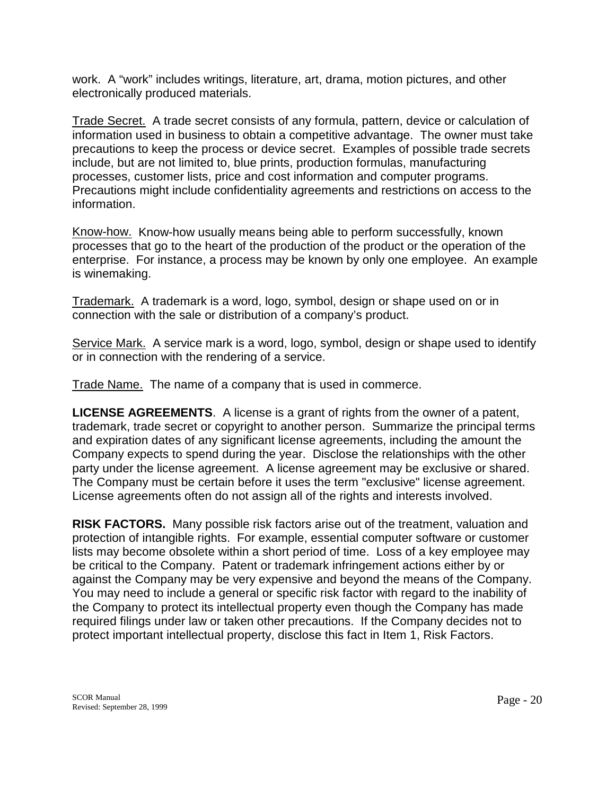work. A "work" includes writings, literature, art, drama, motion pictures, and other electronically produced materials.

Trade Secret. A trade secret consists of any formula, pattern, device or calculation of information used in business to obtain a competitive advantage. The owner must take precautions to keep the process or device secret. Examples of possible trade secrets include, but are not limited to, blue prints, production formulas, manufacturing processes, customer lists, price and cost information and computer programs. Precautions might include confidentiality agreements and restrictions on access to the information.

Know-how. Know-how usually means being able to perform successfully, known processes that go to the heart of the production of the product or the operation of the enterprise. For instance, a process may be known by only one employee. An example is winemaking.

Trademark. A trademark is a word, logo, symbol, design or shape used on or in connection with the sale or distribution of a company's product.

Service Mark. A service mark is a word, logo, symbol, design or shape used to identify or in connection with the rendering of a service.

Trade Name. The name of a company that is used in commerce.

**LICENSE AGREEMENTS**. A license is a grant of rights from the owner of a patent, trademark, trade secret or copyright to another person. Summarize the principal terms and expiration dates of any significant license agreements, including the amount the Company expects to spend during the year. Disclose the relationships with the other party under the license agreement. A license agreement may be exclusive or shared. The Company must be certain before it uses the term "exclusive" license agreement. License agreements often do not assign all of the rights and interests involved.

**RISK FACTORS.** Many possible risk factors arise out of the treatment, valuation and protection of intangible rights. For example, essential computer software or customer lists may become obsolete within a short period of time. Loss of a key employee may be critical to the Company. Patent or trademark infringement actions either by or against the Company may be very expensive and beyond the means of the Company. You may need to include a general or specific risk factor with regard to the inability of the Company to protect its intellectual property even though the Company has made required filings under law or taken other precautions. If the Company decides not to protect important intellectual property, disclose this fact in Item 1, Risk Factors.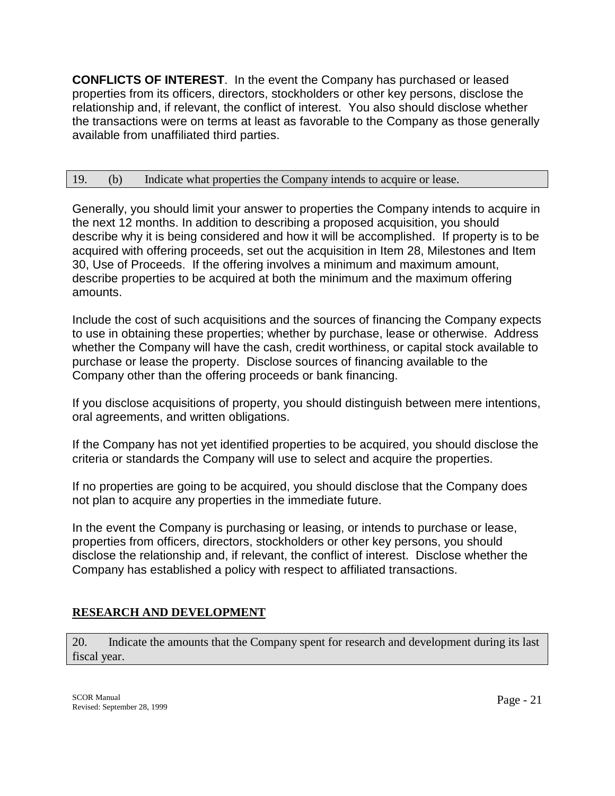**CONFLICTS OF INTEREST**. In the event the Company has purchased or leased properties from its officers, directors, stockholders or other key persons, disclose the relationship and, if relevant, the conflict of interest. You also should disclose whether the transactions were on terms at least as favorable to the Company as those generally available from unaffiliated third parties.

### 19. (b) Indicate what properties the Company intends to acquire or lease.

Generally, you should limit your answer to properties the Company intends to acquire in the next 12 months. In addition to describing a proposed acquisition, you should describe why it is being considered and how it will be accomplished. If property is to be acquired with offering proceeds, set out the acquisition in Item 28, Milestones and Item 30, Use of Proceeds. If the offering involves a minimum and maximum amount, describe properties to be acquired at both the minimum and the maximum offering amounts.

Include the cost of such acquisitions and the sources of financing the Company expects to use in obtaining these properties; whether by purchase, lease or otherwise. Address whether the Company will have the cash, credit worthiness, or capital stock available to purchase or lease the property. Disclose sources of financing available to the Company other than the offering proceeds or bank financing.

If you disclose acquisitions of property, you should distinguish between mere intentions, oral agreements, and written obligations.

If the Company has not yet identified properties to be acquired, you should disclose the criteria or standards the Company will use to select and acquire the properties.

If no properties are going to be acquired, you should disclose that the Company does not plan to acquire any properties in the immediate future.

In the event the Company is purchasing or leasing, or intends to purchase or lease, properties from officers, directors, stockholders or other key persons, you should disclose the relationship and, if relevant, the conflict of interest. Disclose whether the Company has established a policy with respect to affiliated transactions.

# **RESEARCH AND DEVELOPMENT**

20. Indicate the amounts that the Company spent for research and development during its last fiscal year.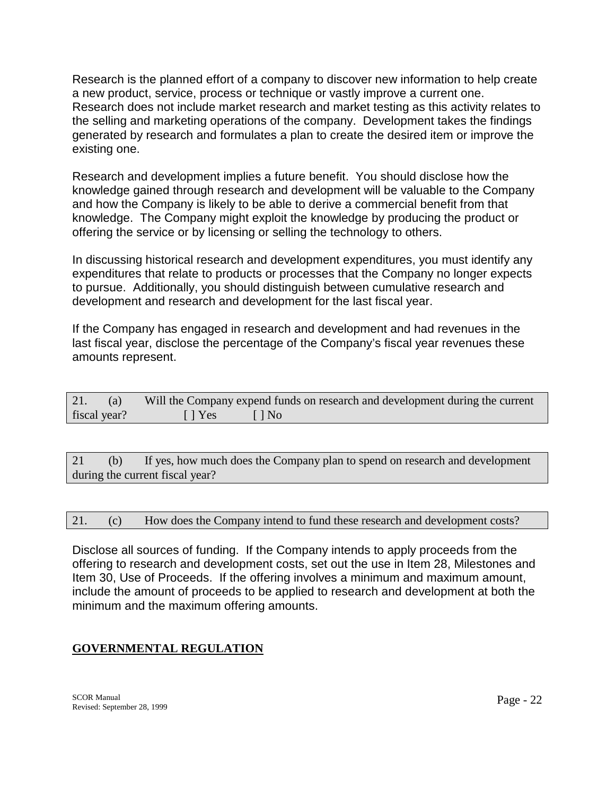Research is the planned effort of a company to discover new information to help create a new product, service, process or technique or vastly improve a current one. Research does not include market research and market testing as this activity relates to the selling and marketing operations of the company. Development takes the findings generated by research and formulates a plan to create the desired item or improve the existing one.

Research and development implies a future benefit. You should disclose how the knowledge gained through research and development will be valuable to the Company and how the Company is likely to be able to derive a commercial benefit from that knowledge. The Company might exploit the knowledge by producing the product or offering the service or by licensing or selling the technology to others.

In discussing historical research and development expenditures, you must identify any expenditures that relate to products or processes that the Company no longer expects to pursue. Additionally, you should distinguish between cumulative research and development and research and development for the last fiscal year.

If the Company has engaged in research and development and had revenues in the last fiscal year, disclose the percentage of the Company's fiscal year revenues these amounts represent.

| 21.<br>(a)   |                           | Will the Company expend funds on research and development during the current |
|--------------|---------------------------|------------------------------------------------------------------------------|
| fiscal year? | $\lceil \cdot \rceil$ Yes | $\Box$ No                                                                    |

21 (b) If yes, how much does the Company plan to spend on research and development during the current fiscal year?

21. (c) How does the Company intend to fund these research and development costs?

Disclose all sources of funding. If the Company intends to apply proceeds from the offering to research and development costs, set out the use in Item 28, Milestones and Item 30, Use of Proceeds. If the offering involves a minimum and maximum amount, include the amount of proceeds to be applied to research and development at both the minimum and the maximum offering amounts.

# **GOVERNMENTAL REGULATION**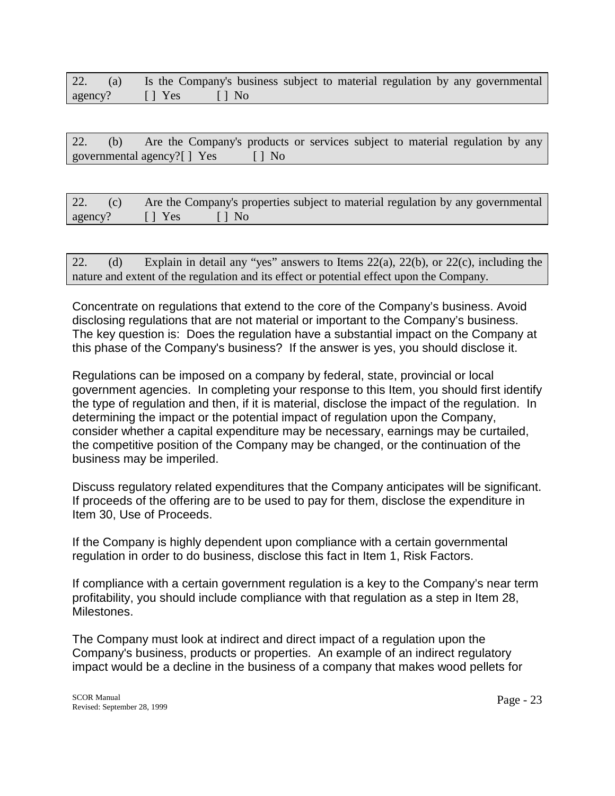|                      |  |  | 22. (a) Is the Company's business subject to material regulation by any governmental |
|----------------------|--|--|--------------------------------------------------------------------------------------|
| agency? [] Yes [] No |  |  |                                                                                      |

|  |  | 22. (b) Are the Company's products or services subject to material regulation by any |  |  |  |  |  |
|--|--|--------------------------------------------------------------------------------------|--|--|--|--|--|
|  |  | governmental agency?[] Yes [] No                                                     |  |  |  |  |  |

|                      | 22. (c) Are the Company's properties subject to material regulation by any governmental |
|----------------------|-----------------------------------------------------------------------------------------|
| agency? [] Yes [] No |                                                                                         |

| 22. $(d)$ | Explain in detail any "yes" answers to Items $22(a)$ , $22(b)$ , or $22(c)$ , including the |
|-----------|---------------------------------------------------------------------------------------------|
|           | nature and extent of the regulation and its effect or potential effect upon the Company.    |

Concentrate on regulations that extend to the core of the Company's business. Avoid disclosing regulations that are not material or important to the Company's business. The key question is: Does the regulation have a substantial impact on the Company at this phase of the Company's business? If the answer is yes, you should disclose it.

Regulations can be imposed on a company by federal, state, provincial or local government agencies. In completing your response to this Item, you should first identify the type of regulation and then, if it is material, disclose the impact of the regulation. In determining the impact or the potential impact of regulation upon the Company, consider whether a capital expenditure may be necessary, earnings may be curtailed, the competitive position of the Company may be changed, or the continuation of the business may be imperiled.

Discuss regulatory related expenditures that the Company anticipates will be significant. If proceeds of the offering are to be used to pay for them, disclose the expenditure in Item 30, Use of Proceeds.

If the Company is highly dependent upon compliance with a certain governmental regulation in order to do business, disclose this fact in Item 1, Risk Factors.

If compliance with a certain government regulation is a key to the Company's near term profitability, you should include compliance with that regulation as a step in Item 28, Milestones.

The Company must look at indirect and direct impact of a regulation upon the Company's business, products or properties. An example of an indirect regulatory impact would be a decline in the business of a company that makes wood pellets for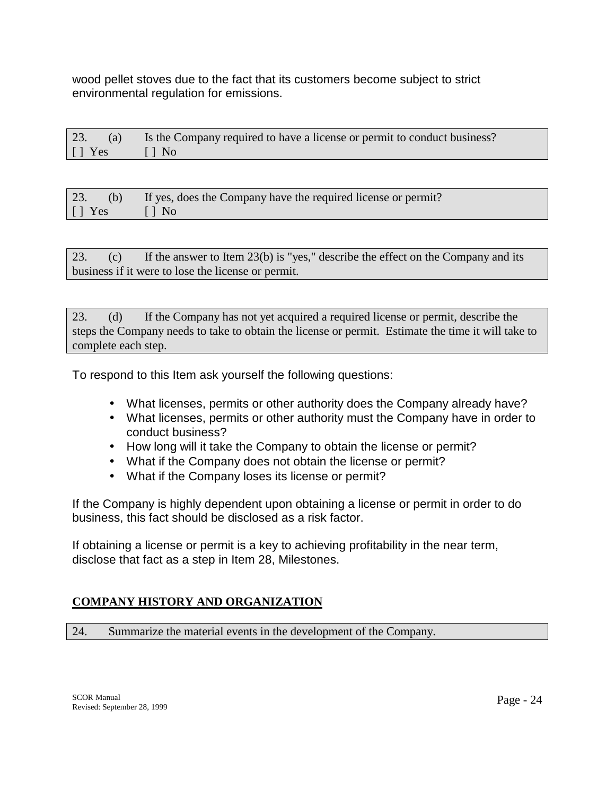wood pellet stoves due to the fact that its customers become subject to strict environmental regulation for emissions.

| 23.                       | (a) Is the Company required to have a license or permit to conduct business? |
|---------------------------|------------------------------------------------------------------------------|
| $\lceil \cdot \rceil$ Yes | $\Box$ $\Box$ No                                                             |

| 23.               | (b) If yes, does the Company have the required license or permit? |
|-------------------|-------------------------------------------------------------------|
| $\vert \vert$ Yes | $\sim$ 1   No $\sim$                                              |

23. (c) If the answer to Item 23(b) is "yes," describe the effect on the Company and its business if it were to lose the license or permit.

23. (d) If the Company has not yet acquired a required license or permit, describe the steps the Company needs to take to obtain the license or permit. Estimate the time it will take to complete each step.

To respond to this Item ask yourself the following questions:

- What licenses, permits or other authority does the Company already have?
- What licenses, permits or other authority must the Company have in order to conduct business?
- How long will it take the Company to obtain the license or permit?
- What if the Company does not obtain the license or permit?
- What if the Company loses its license or permit?

If the Company is highly dependent upon obtaining a license or permit in order to do business, this fact should be disclosed as a risk factor.

If obtaining a license or permit is a key to achieving profitability in the near term, disclose that fact as a step in Item 28, Milestones.

# **COMPANY HISTORY AND ORGANIZATION**

24. Summarize the material events in the development of the Company.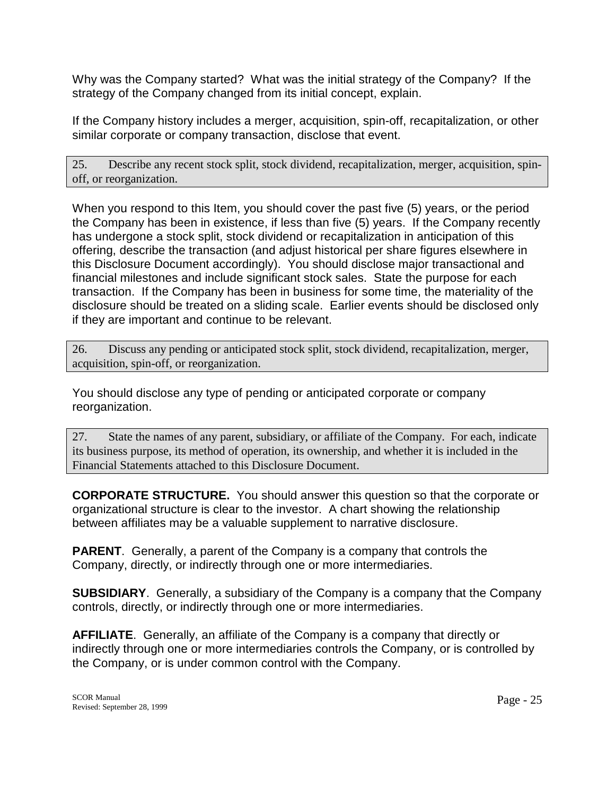Why was the Company started? What was the initial strategy of the Company? If the strategy of the Company changed from its initial concept, explain.

If the Company history includes a merger, acquisition, spin-off, recapitalization, or other similar corporate or company transaction, disclose that event.

25. Describe any recent stock split, stock dividend, recapitalization, merger, acquisition, spinoff, or reorganization.

When you respond to this Item, you should cover the past five (5) years, or the period the Company has been in existence, if less than five (5) years. If the Company recently has undergone a stock split, stock dividend or recapitalization in anticipation of this offering, describe the transaction (and adjust historical per share figures elsewhere in this Disclosure Document accordingly). You should disclose major transactional and financial milestones and include significant stock sales. State the purpose for each transaction. If the Company has been in business for some time, the materiality of the disclosure should be treated on a sliding scale. Earlier events should be disclosed only if they are important and continue to be relevant.

26. Discuss any pending or anticipated stock split, stock dividend, recapitalization, merger, acquisition, spin-off, or reorganization.

You should disclose any type of pending or anticipated corporate or company reorganization.

27. State the names of any parent, subsidiary, or affiliate of the Company. For each, indicate its business purpose, its method of operation, its ownership, and whether it is included in the Financial Statements attached to this Disclosure Document.

**CORPORATE STRUCTURE.** You should answer this question so that the corporate or organizational structure is clear to the investor. A chart showing the relationship between affiliates may be a valuable supplement to narrative disclosure.

**PARENT**. Generally, a parent of the Company is a company that controls the Company, directly, or indirectly through one or more intermediaries.

**SUBSIDIARY**.Generally, a subsidiary of the Company is a company that the Company controls, directly, or indirectly through one or more intermediaries.

**AFFILIATE**. Generally, an affiliate of the Company is a company that directly or indirectly through one or more intermediaries controls the Company, or is controlled by the Company, or is under common control with the Company.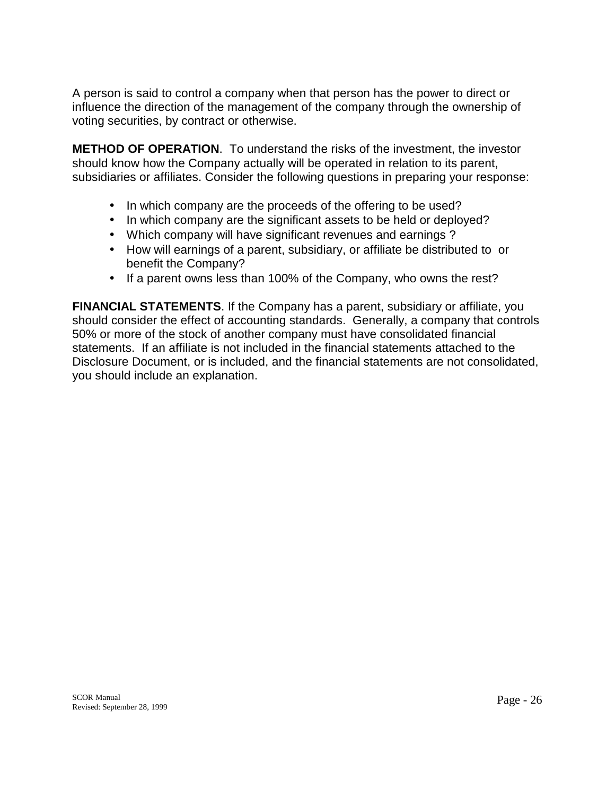A person is said to control a company when that person has the power to direct or influence the direction of the management of the company through the ownership of voting securities, by contract or otherwise.

**METHOD OF OPERATION**. To understand the risks of the investment, the investor should know how the Company actually will be operated in relation to its parent, subsidiaries or affiliates. Consider the following questions in preparing your response:

- In which company are the proceeds of the offering to be used?
- In which company are the significant assets to be held or deployed?
- Which company will have significant revenues and earnings ?
- How will earnings of a parent, subsidiary, or affiliate be distributed to or benefit the Company?
- If a parent owns less than 100% of the Company, who owns the rest?

**FINANCIAL STATEMENTS**. If the Company has a parent, subsidiary or affiliate, you should consider the effect of accounting standards. Generally, a company that controls 50% or more of the stock of another company must have consolidated financial statements. If an affiliate is not included in the financial statements attached to the Disclosure Document, or is included, and the financial statements are not consolidated, you should include an explanation.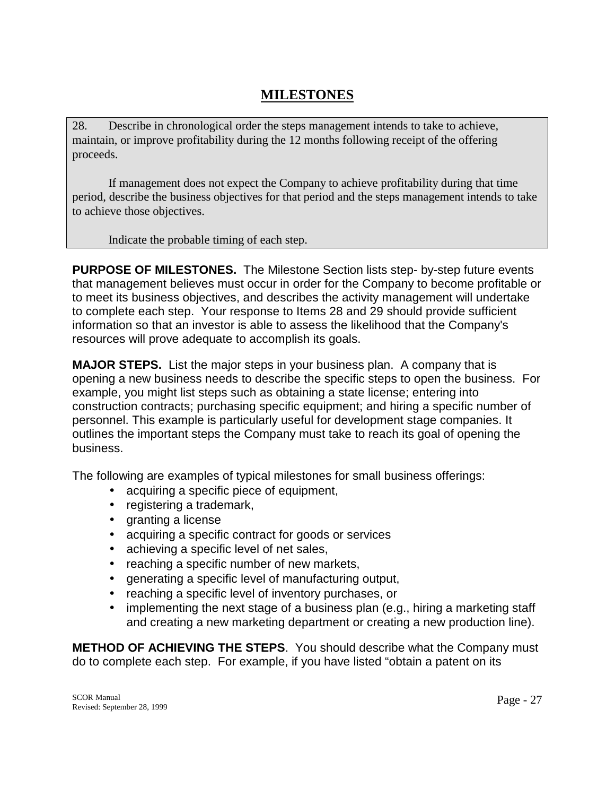# **MILESTONES**

28. Describe in chronological order the steps management intends to take to achieve, maintain, or improve profitability during the 12 months following receipt of the offering proceeds.

 If management does not expect the Company to achieve profitability during that time period, describe the business objectives for that period and the steps management intends to take to achieve those objectives.

Indicate the probable timing of each step.

**PURPOSE OF MILESTONES.** The Milestone Section lists step- by-step future events that management believes must occur in order for the Company to become profitable or to meet its business objectives, and describes the activity management will undertake to complete each step. Your response to Items 28 and 29 should provide sufficient information so that an investor is able to assess the likelihood that the Company's resources will prove adequate to accomplish its goals.

**MAJOR STEPS.** List the major steps in your business plan. A company that is opening a new business needs to describe the specific steps to open the business. For example, you might list steps such as obtaining a state license; entering into construction contracts; purchasing specific equipment; and hiring a specific number of personnel. This example is particularly useful for development stage companies. It outlines the important steps the Company must take to reach its goal of opening the business.

The following are examples of typical milestones for small business offerings:

- acquiring a specific piece of equipment,
- registering a trademark,
- granting a license
- acquiring a specific contract for goods or services
- achieving a specific level of net sales,
- reaching a specific number of new markets,
- generating a specific level of manufacturing output,
- reaching a specific level of inventory purchases, or
- implementing the next stage of a business plan (e.g., hiring a marketing staff and creating a new marketing department or creating a new production line).

**METHOD OF ACHIEVING THE STEPS**. You should describe what the Company must do to complete each step. For example, if you have listed "obtain a patent on its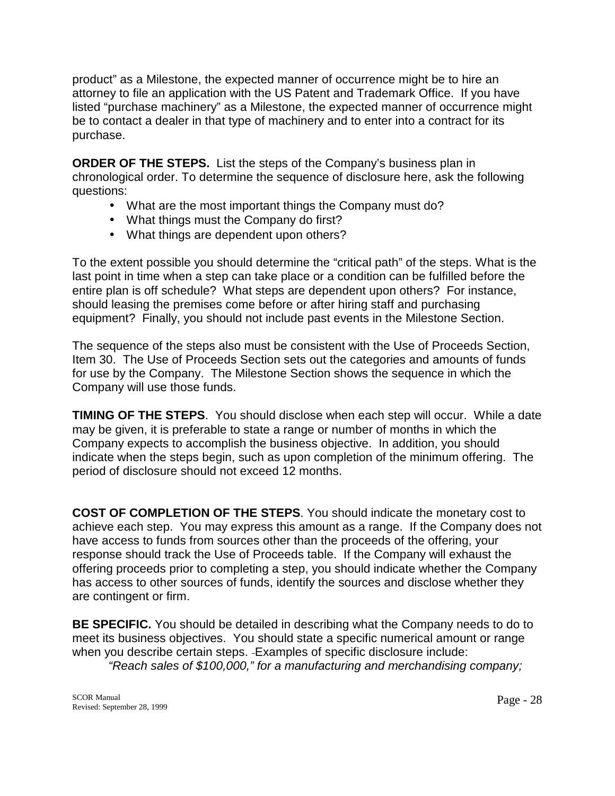product" as a Milestone, the expected manner of occurrence might be to hire an attorney to file an application with the US Patent and Trademark Office. If you have listed "purchase machinery" as a Milestone, the expected manner of occurrence might be to contact a dealer in that type of machinery and to enter into a contract for its purchase.

**ORDER OF THE STEPS.** List the steps of the Company's business plan in chronological order. To determine the sequence of disclosure here, ask the following questions:

- What are the most important things the Company must do?
- What things must the Company do first?
- What things are dependent upon others?

To the extent possible you should determine the "critical path" of the steps. What is the last point in time when a step can take place or a condition can be fulfilled before the entire plan is off schedule? What steps are dependent upon others? For instance, should leasing the premises come before or after hiring staff and purchasing equipment? Finally, you should not include past events in the Milestone Section.

The sequence of the steps also must be consistent with the Use of Proceeds Section, Item 30. The Use of Proceeds Section sets out the categories and amounts of funds for use by the Company. The Milestone Section shows the sequence in which the Company will use those funds.

**TIMING OF THE STEPS**. You should disclose when each step will occur. While a date may be given, it is preferable to state a range or number of months in which the Company expects to accomplish the business objective. In addition, you should indicate when the steps begin, such as upon completion of the minimum offering. The period of disclosure should not exceed 12 months.

**COST OF COMPLETION OF THE STEPS**. You should indicate the monetary cost to achieve each step. You may express this amount as a range. If the Company does not have access to funds from sources other than the proceeds of the offering, your response should track the Use of Proceeds table. If the Company will exhaust the offering proceeds prior to completing a step, you should indicate whether the Company has access to other sources of funds, identify the sources and disclose whether they are contingent or firm.

**BE SPECIFIC.** You should be detailed in describing what the Company needs to do to meet its business objectives. You should state a specific numerical amount or range when you describe certain steps. Examples of specific disclosure include:  *"Reach sales of \$100,000," for a manufacturing and merchandising company;*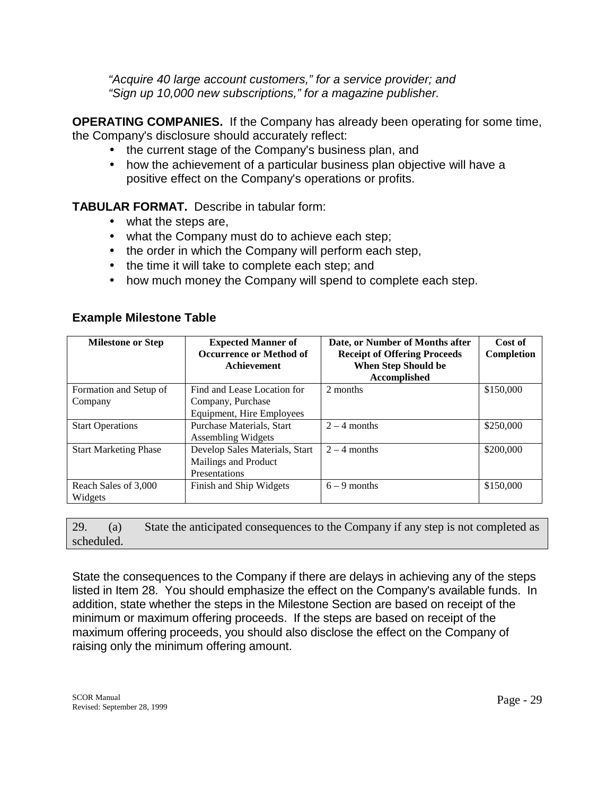*"Acquire 40 large account customers," for a service provider; and "Sign up 10,000 new subscriptions," for a magazine publisher.* 

**OPERATING COMPANIES.** If the Company has already been operating for some time, the Company's disclosure should accurately reflect:

- the current stage of the Company's business plan, and
- how the achievement of a particular business plan objective will have a positive effect on the Company's operations or profits.

# **TABULAR FORMAT.** Describe in tabular form:

- what the steps are,
- what the Company must do to achieve each step;
- the order in which the Company will perform each step,
- the time it will take to complete each step; and
- how much money the Company will spend to complete each step.

# **Example Milestone Table**

| <b>Milestone or Step</b>     | <b>Expected Manner of</b><br><b>Occurrence or Method of</b><br><b>Achievement</b> | Date, or Number of Months after<br><b>Receipt of Offering Proceeds</b><br><b>When Step Should be</b><br>Accomplished | Cost of<br>Completion |
|------------------------------|-----------------------------------------------------------------------------------|----------------------------------------------------------------------------------------------------------------------|-----------------------|
| Formation and Setup of       | Find and Lease Location for                                                       | 2 months                                                                                                             | \$150,000             |
| Company                      | Company, Purchase                                                                 |                                                                                                                      |                       |
|                              | Equipment, Hire Employees                                                         |                                                                                                                      |                       |
| <b>Start Operations</b>      | Purchase Materials, Start                                                         | $2 - 4$ months                                                                                                       | \$250,000             |
|                              | <b>Assembling Widgets</b>                                                         |                                                                                                                      |                       |
| <b>Start Marketing Phase</b> | Develop Sales Materials, Start                                                    | $2 - 4$ months                                                                                                       | \$200,000             |
|                              | Mailings and Product                                                              |                                                                                                                      |                       |
|                              | Presentations                                                                     |                                                                                                                      |                       |
| Reach Sales of 3,000         | Finish and Ship Widgets                                                           | $6 - 9$ months                                                                                                       | \$150,000             |
| Widgets                      |                                                                                   |                                                                                                                      |                       |

29. (a) State the anticipated consequences to the Company if any step is not completed as scheduled.

State the consequences to the Company if there are delays in achieving any of the steps listed in Item 28. You should emphasize the effect on the Company's available funds. In addition, state whether the steps in the Milestone Section are based on receipt of the minimum or maximum offering proceeds. If the steps are based on receipt of the maximum offering proceeds, you should also disclose the effect on the Company of raising only the minimum offering amount.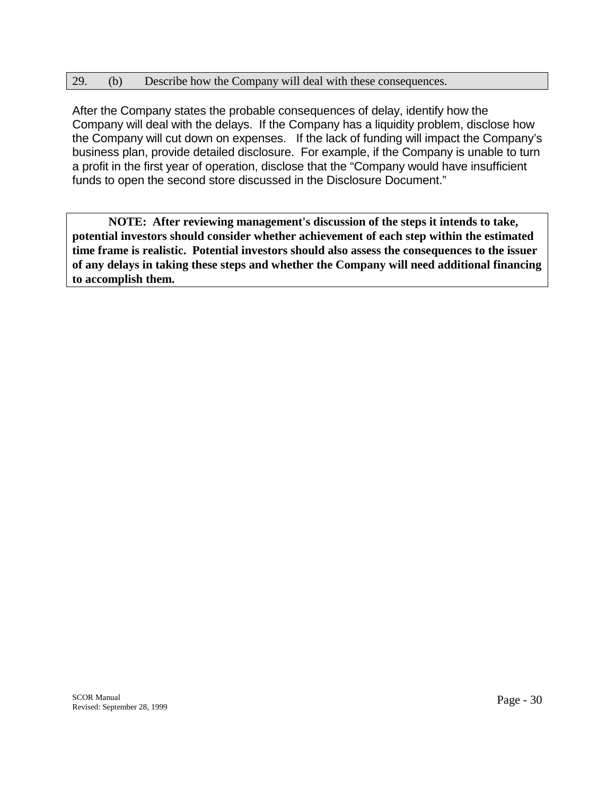### 29. (b) Describe how the Company will deal with these consequences.

After the Company states the probable consequences of delay, identify how the Company will deal with the delays. If the Company has a liquidity problem, disclose how the Company will cut down on expenses. If the lack of funding will impact the Company's business plan, provide detailed disclosure. For example, if the Company is unable to turn a profit in the first year of operation, disclose that the "Company would have insufficient funds to open the second store discussed in the Disclosure Document."

 **NOTE: After reviewing management's discussion of the steps it intends to take, potential investors should consider whether achievement of each step within the estimated time frame is realistic. Potential investors should also assess the consequences to the issuer of any delays in taking these steps and whether the Company will need additional financing to accomplish them.**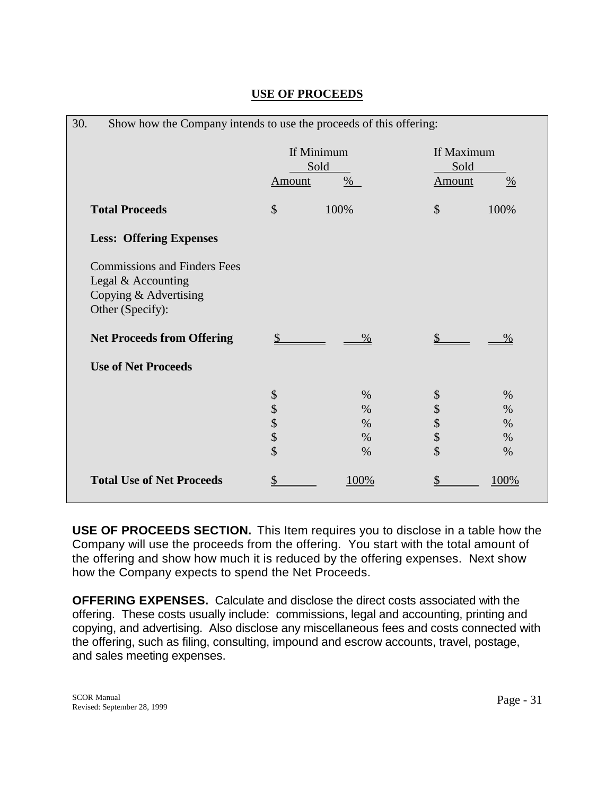| 30.                                                                                                    | Show how the Company intends to use the proceeds of this offering: |                                      |                                 |                                      |  |  |
|--------------------------------------------------------------------------------------------------------|--------------------------------------------------------------------|--------------------------------------|---------------------------------|--------------------------------------|--|--|
|                                                                                                        | Amount                                                             | If Minimum<br>Sold<br>$\frac{0}{6}$  | If Maximum<br>Sold<br>Amount    | $\frac{0}{0}$                        |  |  |
| <b>Total Proceeds</b>                                                                                  | \$                                                                 | 100%                                 | \$                              | 100%                                 |  |  |
| <b>Less: Offering Expenses</b>                                                                         |                                                                    |                                      |                                 |                                      |  |  |
| <b>Commissions and Finders Fees</b><br>Legal & Accounting<br>Copying & Advertising<br>Other (Specify): |                                                                    |                                      |                                 |                                      |  |  |
| <b>Net Proceeds from Offering</b>                                                                      | \$                                                                 | $\%$                                 |                                 | $\%$                                 |  |  |
| <b>Use of Net Proceeds</b>                                                                             |                                                                    |                                      |                                 |                                      |  |  |
|                                                                                                        | \$\$\$\$\$                                                         | $\%$<br>$\%$<br>$\%$<br>$\%$<br>$\%$ | \$<br>$\frac{1}{2}$<br>\$<br>\$ | $\%$<br>$\%$<br>$\%$<br>$\%$<br>$\%$ |  |  |
| <b>Total Use of Net Proceeds</b>                                                                       | \$                                                                 | 100%                                 |                                 | 100%                                 |  |  |

# **USE OF PROCEEDS**

**USE OF PROCEEDS SECTION.** This Item requires you to disclose in a table how the Company will use the proceeds from the offering. You start with the total amount of the offering and show how much it is reduced by the offering expenses. Next show how the Company expects to spend the Net Proceeds.

**OFFERING EXPENSES.** Calculate and disclose the direct costs associated with the offering. These costs usually include: commissions, legal and accounting, printing and copying, and advertising. Also disclose any miscellaneous fees and costs connected with the offering, such as filing, consulting, impound and escrow accounts, travel, postage, and sales meeting expenses.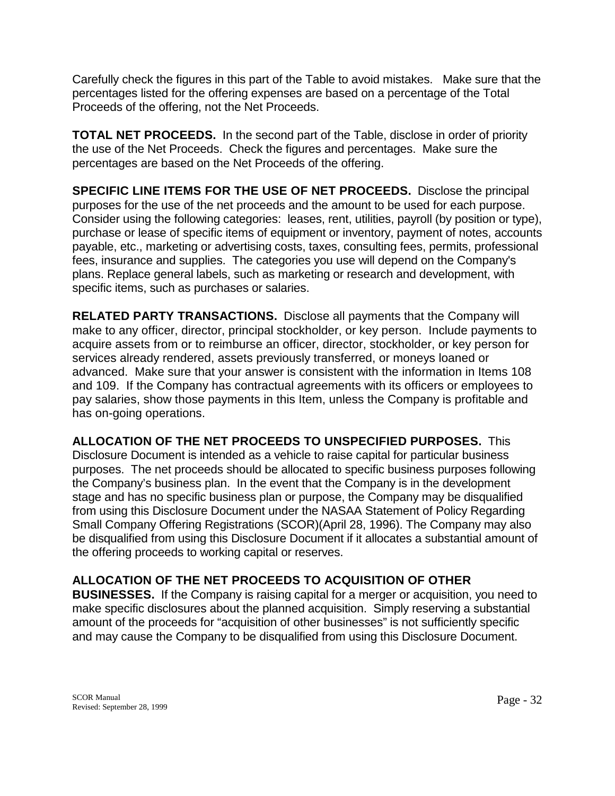Carefully check the figures in this part of the Table to avoid mistakes. Make sure that the percentages listed for the offering expenses are based on a percentage of the Total Proceeds of the offering, not the Net Proceeds.

**TOTAL NET PROCEEDS.** In the second part of the Table, disclose in order of priority the use of the Net Proceeds. Check the figures and percentages. Make sure the percentages are based on the Net Proceeds of the offering.

**SPECIFIC LINE ITEMS FOR THE USE OF NET PROCEEDS.** Disclose the principal purposes for the use of the net proceeds and the amount to be used for each purpose. Consider using the following categories: leases, rent, utilities, payroll (by position or type), purchase or lease of specific items of equipment or inventory, payment of notes, accounts payable, etc., marketing or advertising costs, taxes, consulting fees, permits, professional fees, insurance and supplies. The categories you use will depend on the Company's plans. Replace general labels, such as marketing or research and development, with specific items, such as purchases or salaries.

**RELATED PARTY TRANSACTIONS.** Disclose all payments that the Company will make to any officer, director, principal stockholder, or key person. Include payments to acquire assets from or to reimburse an officer, director, stockholder, or key person for services already rendered, assets previously transferred, or moneys loaned or advanced. Make sure that your answer is consistent with the information in Items 108 and 109. If the Company has contractual agreements with its officers or employees to pay salaries, show those payments in this Item, unless the Company is profitable and has on-going operations.

**ALLOCATION OF THE NET PROCEEDS TO UNSPECIFIED PURPOSES.** This Disclosure Document is intended as a vehicle to raise capital for particular business purposes. The net proceeds should be allocated to specific business purposes following the Company's business plan. In the event that the Company is in the development stage and has no specific business plan or purpose, the Company may be disqualified from using this Disclosure Document under the NASAA Statement of Policy Regarding Small Company Offering Registrations (SCOR)(April 28, 1996). The Company may also be disqualified from using this Disclosure Document if it allocates a substantial amount of the offering proceeds to working capital or reserves.

# **ALLOCATION OF THE NET PROCEEDS TO ACQUISITION OF OTHER**

**BUSINESSES.** If the Company is raising capital for a merger or acquisition, you need to make specific disclosures about the planned acquisition. Simply reserving a substantial amount of the proceeds for "acquisition of other businesses" is not sufficiently specific and may cause the Company to be disqualified from using this Disclosure Document.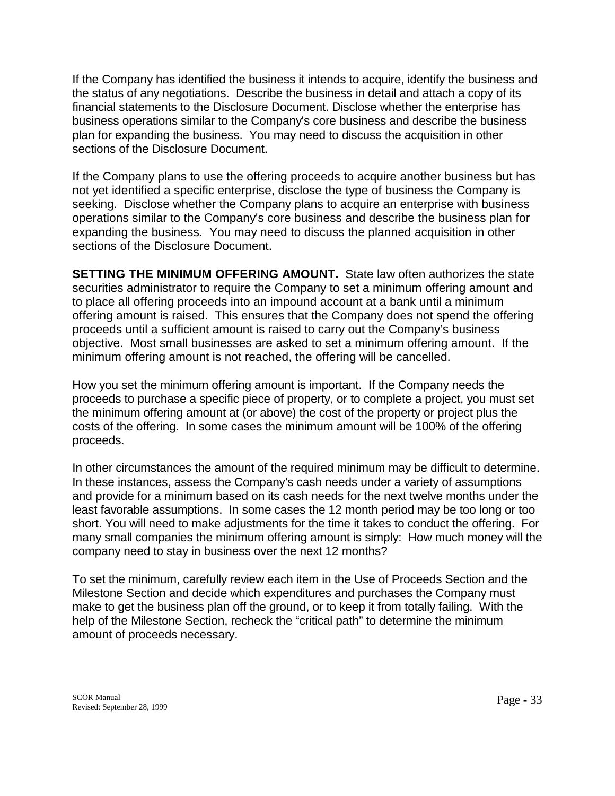If the Company has identified the business it intends to acquire, identify the business and the status of any negotiations. Describe the business in detail and attach a copy of its financial statements to the Disclosure Document. Disclose whether the enterprise has business operations similar to the Company's core business and describe the business plan for expanding the business. You may need to discuss the acquisition in other sections of the Disclosure Document.

If the Company plans to use the offering proceeds to acquire another business but has not yet identified a specific enterprise, disclose the type of business the Company is seeking. Disclose whether the Company plans to acquire an enterprise with business operations similar to the Company's core business and describe the business plan for expanding the business. You may need to discuss the planned acquisition in other sections of the Disclosure Document.

**SETTING THE MINIMUM OFFERING AMOUNT.** State law often authorizes the state securities administrator to require the Company to set a minimum offering amount and to place all offering proceeds into an impound account at a bank until a minimum offering amount is raised. This ensures that the Company does not spend the offering proceeds until a sufficient amount is raised to carry out the Company's business objective. Most small businesses are asked to set a minimum offering amount. If the minimum offering amount is not reached, the offering will be cancelled.

How you set the minimum offering amount is important. If the Company needs the proceeds to purchase a specific piece of property, or to complete a project, you must set the minimum offering amount at (or above) the cost of the property or project plus the costs of the offering. In some cases the minimum amount will be 100% of the offering proceeds.

In other circumstances the amount of the required minimum may be difficult to determine. In these instances, assess the Company's cash needs under a variety of assumptions and provide for a minimum based on its cash needs for the next twelve months under the least favorable assumptions. In some cases the 12 month period may be too long or too short. You will need to make adjustments for the time it takes to conduct the offering. For many small companies the minimum offering amount is simply: How much money will the company need to stay in business over the next 12 months?

To set the minimum, carefully review each item in the Use of Proceeds Section and the Milestone Section and decide which expenditures and purchases the Company must make to get the business plan off the ground, or to keep it from totally failing. With the help of the Milestone Section, recheck the "critical path" to determine the minimum amount of proceeds necessary.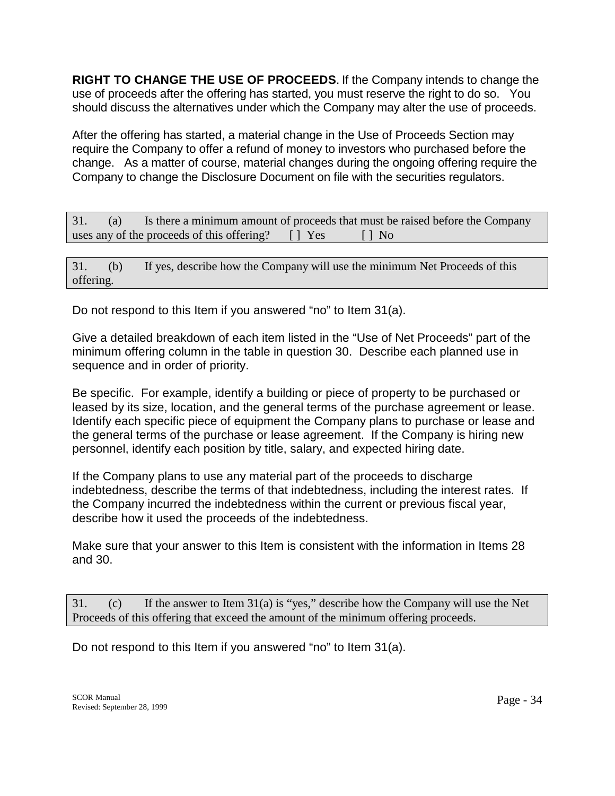**RIGHT TO CHANGE THE USE OF PROCEEDS**. If the Company intends to change the use of proceeds after the offering has started, you must reserve the right to do so. You should discuss the alternatives under which the Company may alter the use of proceeds.

After the offering has started, a material change in the Use of Proceeds Section may require the Company to offer a refund of money to investors who purchased before the change. As a matter of course, material changes during the ongoing offering require the Company to change the Disclosure Document on file with the securities regulators.

31. (a) Is there a minimum amount of proceeds that must be raised before the Company uses any of the proceeds of this offering?  $\Box$  Yes  $\Box$  No

31. (b) If yes, describe how the Company will use the minimum Net Proceeds of this offering.

Do not respond to this Item if you answered "no" to Item 31(a).

Give a detailed breakdown of each item listed in the "Use of Net Proceeds" part of the minimum offering column in the table in question 30. Describe each planned use in sequence and in order of priority.

Be specific. For example, identify a building or piece of property to be purchased or leased by its size, location, and the general terms of the purchase agreement or lease. Identify each specific piece of equipment the Company plans to purchase or lease and the general terms of the purchase or lease agreement. If the Company is hiring new personnel, identify each position by title, salary, and expected hiring date.

If the Company plans to use any material part of the proceeds to discharge indebtedness, describe the terms of that indebtedness, including the interest rates. If the Company incurred the indebtedness within the current or previous fiscal year, describe how it used the proceeds of the indebtedness.

Make sure that your answer to this Item is consistent with the information in Items 28 and 30.

31. (c) If the answer to Item 31(a) is "yes," describe how the Company will use the Net Proceeds of this offering that exceed the amount of the minimum offering proceeds.

Do not respond to this Item if you answered "no" to Item 31(a).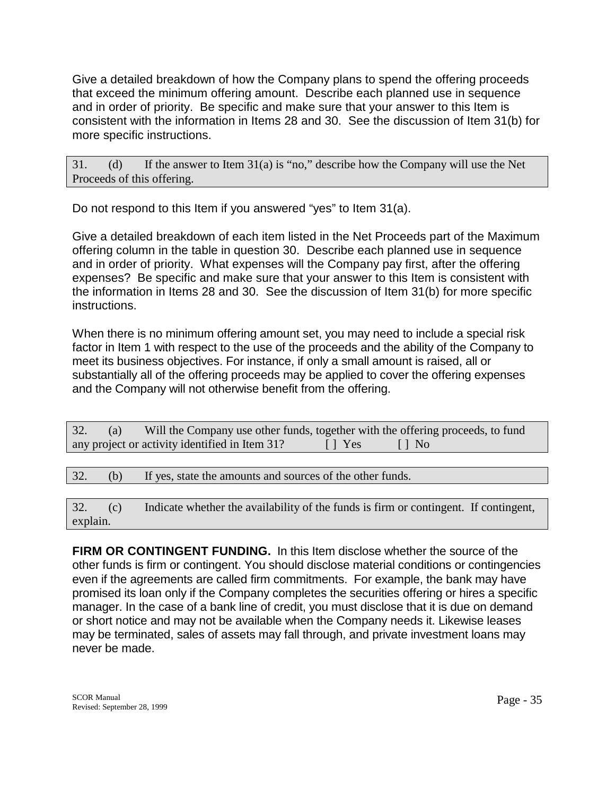Give a detailed breakdown of how the Company plans to spend the offering proceeds that exceed the minimum offering amount. Describe each planned use in sequence and in order of priority. Be specific and make sure that your answer to this Item is consistent with the information in Items 28 and 30. See the discussion of Item 31(b) for more specific instructions.

31. (d) If the answer to Item 31(a) is "no," describe how the Company will use the Net Proceeds of this offering.

Do not respond to this Item if you answered "yes" to Item 31(a).

Give a detailed breakdown of each item listed in the Net Proceeds part of the Maximum offering column in the table in question 30. Describe each planned use in sequence and in order of priority. What expenses will the Company pay first, after the offering expenses? Be specific and make sure that your answer to this Item is consistent with the information in Items 28 and 30. See the discussion of Item 31(b) for more specific instructions.

When there is no minimum offering amount set, you may need to include a special risk factor in Item 1 with respect to the use of the proceeds and the ability of the Company to meet its business objectives. For instance, if only a small amount is raised, all or substantially all of the offering proceeds may be applied to cover the offering expenses and the Company will not otherwise benefit from the offering.

| 32. | (a) | Will the Company use other funds, together with the offering proceeds, to fund                   |  |  |  |  |
|-----|-----|--------------------------------------------------------------------------------------------------|--|--|--|--|
|     |     | any project or activity identified in Item 31?<br>$\blacksquare$ $\blacksquare$ Yes<br>$\Box$ No |  |  |  |  |
|     |     |                                                                                                  |  |  |  |  |
| 32. | (b) | If yes, state the amounts and sources of the other funds.                                        |  |  |  |  |

32. (c) Indicate whether the availability of the funds is firm or contingent. If contingent, explain.

**FIRM OR CONTINGENT FUNDING.** In this Item disclose whether the source of the other funds is firm or contingent. You should disclose material conditions or contingencies even if the agreements are called firm commitments. For example, the bank may have promised its loan only if the Company completes the securities offering or hires a specific manager. In the case of a bank line of credit, you must disclose that it is due on demand or short notice and may not be available when the Company needs it. Likewise leases may be terminated, sales of assets may fall through, and private investment loans may never be made.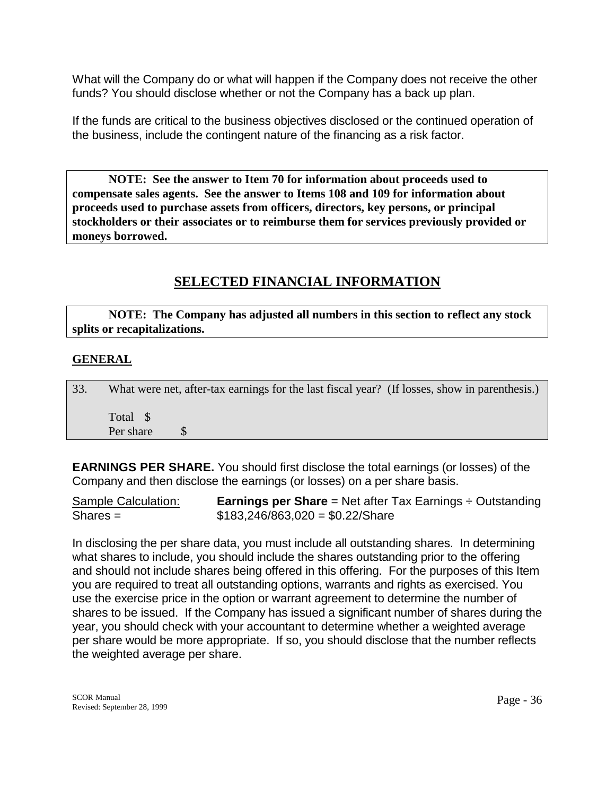What will the Company do or what will happen if the Company does not receive the other funds? You should disclose whether or not the Company has a back up plan.

If the funds are critical to the business objectives disclosed or the continued operation of the business, include the contingent nature of the financing as a risk factor.

**NOTE: See the answer to Item 70 for information about proceeds used to compensate sales agents. See the answer to Items 108 and 109 for information about proceeds used to purchase assets from officers, directors, key persons, or principal stockholders or their associates or to reimburse them for services previously provided or moneys borrowed.** 

# **SELECTED FINANCIAL INFORMATION**

 **NOTE: The Company has adjusted all numbers in this section to reflect any stock splits or recapitalizations.** 

## **GENERAL**

| 33. |           | What were net, after-tax earnings for the last fiscal year? (If losses, show in parenthesis.) |  |
|-----|-----------|-----------------------------------------------------------------------------------------------|--|
|     | Total \$  |                                                                                               |  |
|     | Per share |                                                                                               |  |

**EARNINGS PER SHARE.** You should first disclose the total earnings (or losses) of the Company and then disclose the earnings (or losses) on a per share basis.

Sample Calculation: **Earnings per Share** = Net after Tax Earnings ÷ Outstanding  $Shares =$  \$183,246/863,020 = \$0.22/Share

In disclosing the per share data, you must include all outstanding shares. In determining what shares to include, you should include the shares outstanding prior to the offering and should not include shares being offered in this offering. For the purposes of this Item you are required to treat all outstanding options, warrants and rights as exercised. You use the exercise price in the option or warrant agreement to determine the number of shares to be issued. If the Company has issued a significant number of shares during the year, you should check with your accountant to determine whether a weighted average per share would be more appropriate. If so, you should disclose that the number reflects the weighted average per share.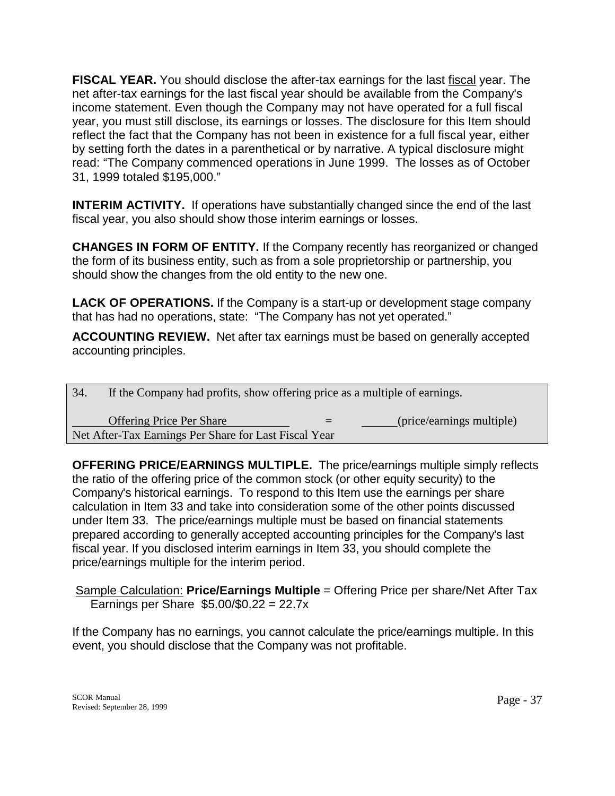**FISCAL YEAR.** You should disclose the after-tax earnings for the last fiscal year. The net after-tax earnings for the last fiscal year should be available from the Company's income statement. Even though the Company may not have operated for a full fiscal year, you must still disclose, its earnings or losses. The disclosure for this Item should reflect the fact that the Company has not been in existence for a full fiscal year, either by setting forth the dates in a parenthetical or by narrative. A typical disclosure might read: "The Company commenced operations in June 1999. The losses as of October 31, 1999 totaled \$195,000."

**INTERIM ACTIVITY.** If operations have substantially changed since the end of the last fiscal year, you also should show those interim earnings or losses.

**CHANGES IN FORM OF ENTITY.** If the Company recently has reorganized or changed the form of its business entity, such as from a sole proprietorship or partnership, you should show the changes from the old entity to the new one.

**LACK OF OPERATIONS.** If the Company is a start-up or development stage company that has had no operations, state: "The Company has not yet operated."

**ACCOUNTING REVIEW.** Net after tax earnings must be based on generally accepted accounting principles.

| 34. | If the Company had profits, show offering price as a multiple of earnings.               |                           |
|-----|------------------------------------------------------------------------------------------|---------------------------|
|     | <b>Offering Price Per Share</b><br>Net After-Tax Earnings Per Share for Last Fiscal Year | (price/earnings multiple) |

**OFFERING PRICE/EARNINGS MULTIPLE.** The price/earnings multiple simply reflects the ratio of the offering price of the common stock (or other equity security) to the Company's historical earnings. To respond to this Item use the earnings per share calculation in Item 33 and take into consideration some of the other points discussed under Item 33. The price/earnings multiple must be based on financial statements prepared according to generally accepted accounting principles for the Company's last fiscal year. If you disclosed interim earnings in Item 33, you should complete the price/earnings multiple for the interim period.

 Sample Calculation: **Price/Earnings Multiple** = Offering Price per share/Net After Tax Earnings per Share \$5.00/\$0.22 = 22.7x

If the Company has no earnings, you cannot calculate the price/earnings multiple. In this event, you should disclose that the Company was not profitable.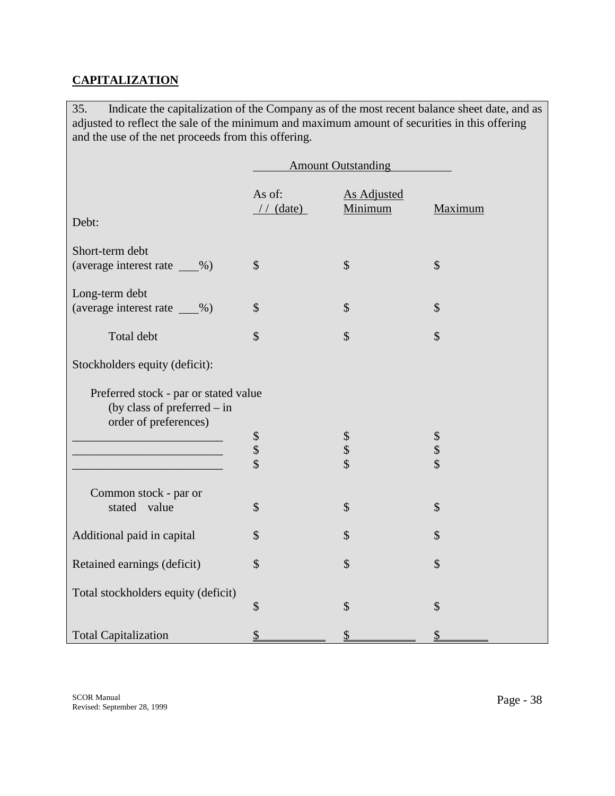# **CAPITALIZATION**

35. Indicate the capitalization of the Company as of the most recent balance sheet date, and as adjusted to reflect the sale of the minimum and maximum amount of securities in this offering and the use of the net proceeds from this offering.

|                                                                        | <b>Amount Outstanding</b>  |                               |                                                   |
|------------------------------------------------------------------------|----------------------------|-------------------------------|---------------------------------------------------|
|                                                                        | As of:<br>$//$ (date)      | <b>As Adjusted</b><br>Minimum | Maximum                                           |
| Debt:                                                                  |                            |                               |                                                   |
| Short-term debt                                                        |                            |                               |                                                   |
| (average interest rate ___%)                                           | $\mathcal{S}$              | \$                            | $\mathcal{S}$                                     |
| Long-term debt                                                         |                            |                               |                                                   |
| (average interest rate ___%)                                           | \$                         | $\mathcal{S}$                 | $\mathcal{S}$                                     |
| Total debt                                                             | $\mathcal{S}$              | \$                            | \$                                                |
| Stockholders equity (deficit):                                         |                            |                               |                                                   |
|                                                                        |                            |                               |                                                   |
| Preferred stock - par or stated value<br>(by class of preferred $-$ in |                            |                               |                                                   |
| order of preferences)                                                  |                            |                               |                                                   |
|                                                                        | $\boldsymbol{\mathsf{\$}}$ | $\boldsymbol{\$}$             | $\boldsymbol{\$}$                                 |
|                                                                        | $\frac{1}{3}$              | $\boldsymbol{\mathsf{\$}}$    | $\boldsymbol{\mathsf{\$}}$<br>$\hat{\mathcal{L}}$ |
|                                                                        |                            | $\hat{\mathcal{L}}$           |                                                   |
| Common stock - par or                                                  |                            |                               |                                                   |
| stated value                                                           | \$                         | \$                            | \$                                                |
| Additional paid in capital                                             | \$                         | $\mathcal{S}$                 | $\mathcal{S}$                                     |
| Retained earnings (deficit)                                            | \$                         | \$                            | $\mathcal{S}$                                     |
|                                                                        |                            |                               |                                                   |
| Total stockholders equity (deficit)                                    | \$                         | \$                            | \$                                                |
|                                                                        |                            |                               |                                                   |
| <b>Total Capitalization</b>                                            | $\frac{1}{2}$              | \$                            | \$                                                |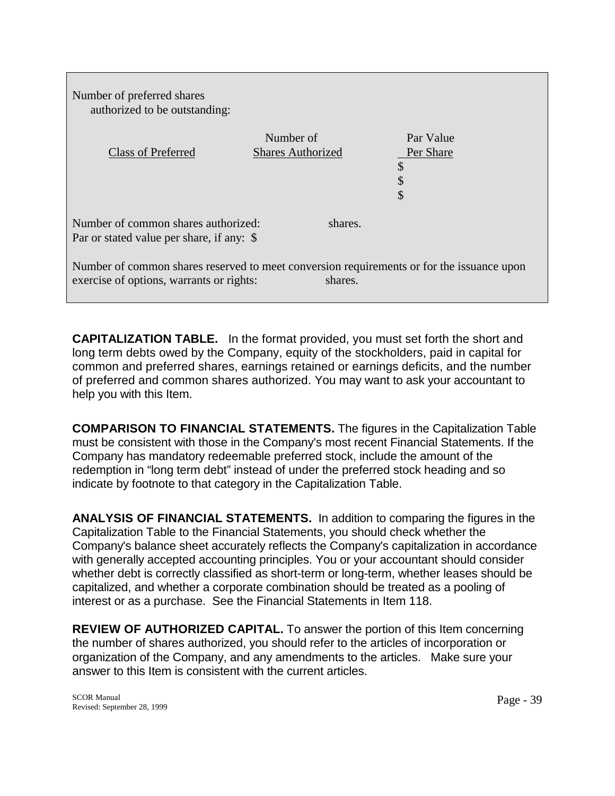Number of preferred shares authorized to be outstanding:

| <b>Class of Preferred</b>                                                                                                             | Number of<br><b>Shares Authorized</b> |         | Par Value<br>Per Share<br>\$<br>\$<br>\$ |  |
|---------------------------------------------------------------------------------------------------------------------------------------|---------------------------------------|---------|------------------------------------------|--|
| Number of common shares authorized:<br>shares.<br>Par or stated value per share, if any: \$                                           |                                       |         |                                          |  |
| Number of common shares reserved to meet conversion requirements or for the issuance upon<br>exercise of options, warrants or rights: |                                       | shares. |                                          |  |

**CAPITALIZATION TABLE.** In the format provided, you must set forth the short and long term debts owed by the Company, equity of the stockholders, paid in capital for common and preferred shares, earnings retained or earnings deficits, and the number of preferred and common shares authorized. You may want to ask your accountant to help you with this Item.

**COMPARISON TO FINANCIAL STATEMENTS.** The figures in the Capitalization Table must be consistent with those in the Company's most recent Financial Statements. If the Company has mandatory redeemable preferred stock, include the amount of the redemption in "long term debt" instead of under the preferred stock heading and so indicate by footnote to that category in the Capitalization Table.

**ANALYSIS OF FINANCIAL STATEMENTS.** In addition to comparing the figures in the Capitalization Table to the Financial Statements, you should check whether the Company's balance sheet accurately reflects the Company's capitalization in accordance with generally accepted accounting principles. You or your accountant should consider whether debt is correctly classified as short-term or long-term, whether leases should be capitalized, and whether a corporate combination should be treated as a pooling of interest or as a purchase. See the Financial Statements in Item 118.

**REVIEW OF AUTHORIZED CAPITAL.** To answer the portion of this Item concerning the number of shares authorized, you should refer to the articles of incorporation or organization of the Company, and any amendments to the articles. Make sure your answer to this Item is consistent with the current articles.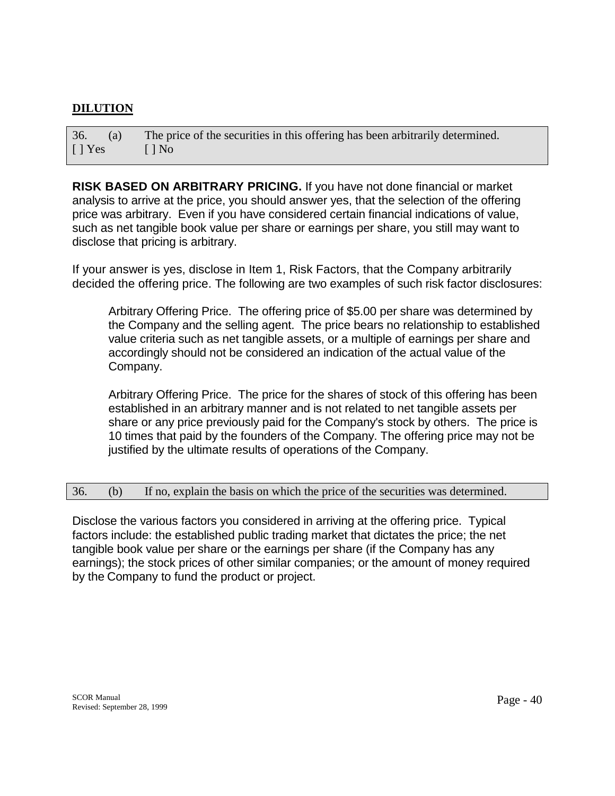## **DILUTION**

36. (a) The price of the securities in this offering has been arbitrarily determined.  $[ ] Yes ]$   $[ ] No$ 

**RISK BASED ON ARBITRARY PRICING.** If you have not done financial or market analysis to arrive at the price, you should answer yes, that the selection of the offering price was arbitrary. Even if you have considered certain financial indications of value, such as net tangible book value per share or earnings per share, you still may want to disclose that pricing is arbitrary.

If your answer is yes, disclose in Item 1, Risk Factors, that the Company arbitrarily decided the offering price. The following are two examples of such risk factor disclosures:

Arbitrary Offering Price. The offering price of \$5.00 per share was determined by the Company and the selling agent. The price bears no relationship to established value criteria such as net tangible assets, or a multiple of earnings per share and accordingly should not be considered an indication of the actual value of the Company.

 Arbitrary Offering Price. The price for the shares of stock of this offering has been established in an arbitrary manner and is not related to net tangible assets per share or any price previously paid for the Company's stock by others. The price is 10 times that paid by the founders of the Company. The offering price may not be justified by the ultimate results of operations of the Company.

#### 36. (b) If no, explain the basis on which the price of the securities was determined.

Disclose the various factors you considered in arriving at the offering price. Typical factors include: the established public trading market that dictates the price; the net tangible book value per share or the earnings per share (if the Company has any earnings); the stock prices of other similar companies; or the amount of money required by the Company to fund the product or project.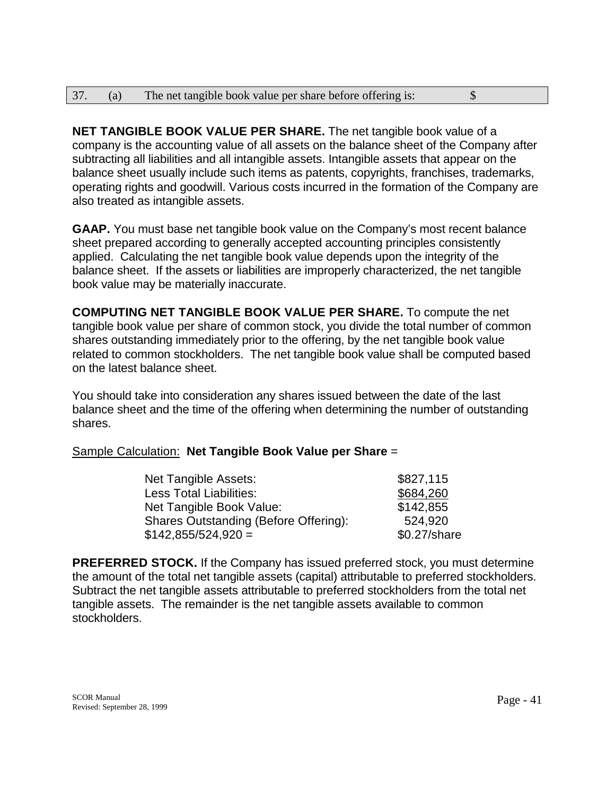| 37. | (a) | The net tangible book value per share before offering is: |  |
|-----|-----|-----------------------------------------------------------|--|
|     |     |                                                           |  |

**NET TANGIBLE BOOK VALUE PER SHARE.** The net tangible book value of a company is the accounting value of all assets on the balance sheet of the Company after subtracting all liabilities and all intangible assets. Intangible assets that appear on the balance sheet usually include such items as patents, copyrights, franchises, trademarks, operating rights and goodwill. Various costs incurred in the formation of the Company are also treated as intangible assets.

**GAAP.** You must base net tangible book value on the Company's most recent balance sheet prepared according to generally accepted accounting principles consistently applied. Calculating the net tangible book value depends upon the integrity of the balance sheet. If the assets or liabilities are improperly characterized, the net tangible book value may be materially inaccurate.

**COMPUTING NET TANGIBLE BOOK VALUE PER SHARE.** To compute the net tangible book value per share of common stock, you divide the total number of common shares outstanding immediately prior to the offering, by the net tangible book value related to common stockholders. The net tangible book value shall be computed based on the latest balance sheet.

You should take into consideration any shares issued between the date of the last balance sheet and the time of the offering when determining the number of outstanding shares.

## Sample Calculation: **Net Tangible Book Value per Share** =

| Net Tangible Assets:                  | \$827,115      |
|---------------------------------------|----------------|
| Less Total Liabilities:               | \$684,260      |
| Net Tangible Book Value:              | \$142,855      |
| Shares Outstanding (Before Offering): | 524.920        |
| $$142,855/524,920 =$                  | $$0.27$ /share |

**PREFERRED STOCK.** If the Company has issued preferred stock, you must determine the amount of the total net tangible assets (capital) attributable to preferred stockholders. Subtract the net tangible assets attributable to preferred stockholders from the total net tangible assets. The remainder is the net tangible assets available to common stockholders.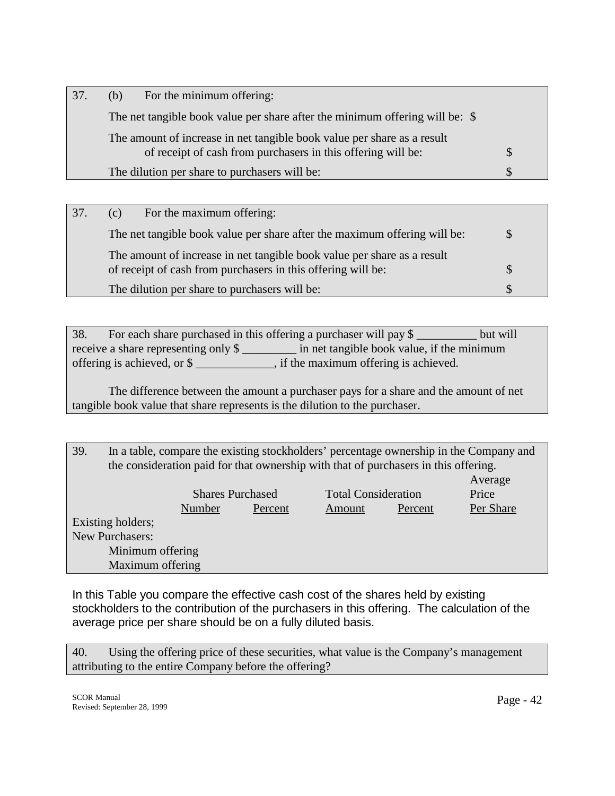| 37. | (b) | For the minimum offering:                                                    |  |
|-----|-----|------------------------------------------------------------------------------|--|
|     |     | The net tangible book value per share after the minimum offering will be: \$ |  |
|     |     | The amount of increase in net tangible book value per share as a result      |  |
|     |     | of receipt of cash from purchasers in this offering will be:                 |  |
|     |     | The dilution per share to purchasers will be:                                |  |
|     |     |                                                                              |  |

| 37. | For the maximum offering:<br>(c)                                                                                                        |  |
|-----|-----------------------------------------------------------------------------------------------------------------------------------------|--|
|     | The net tangible book value per share after the maximum offering will be:                                                               |  |
|     | The amount of increase in net tangible book value per share as a result<br>of receipt of cash from purchasers in this offering will be: |  |
|     | The dilution per share to purchasers will be:                                                                                           |  |

38. For each share purchased in this offering a purchaser will pay \$ \_\_\_\_\_\_\_\_\_\_ but will receive a share representing only \$ \_\_\_\_\_\_\_\_\_ in net tangible book value, if the minimum offering is achieved, or \$ \_\_\_\_\_\_\_\_\_\_\_\_\_, if the maximum offering is achieved.

 The difference between the amount a purchaser pays for a share and the amount of net tangible book value that share represents is the dilution to the purchaser.

39. In a table, compare the existing stockholders' percentage ownership in the Company and the consideration paid for that ownership with that of purchasers in this offering.

|                   |                         |         |                            |         | Average   |
|-------------------|-------------------------|---------|----------------------------|---------|-----------|
|                   | <b>Shares Purchased</b> |         | <b>Total Consideration</b> |         | Price     |
|                   | Number                  | Percent | Amount                     | Percent | Per Share |
| Existing holders; |                         |         |                            |         |           |
| New Purchasers:   |                         |         |                            |         |           |
| Minimum offering  |                         |         |                            |         |           |
| Maximum offering  |                         |         |                            |         |           |

In this Table you compare the effective cash cost of the shares held by existing stockholders to the contribution of the purchasers in this offering. The calculation of the average price per share should be on a fully diluted basis.

40. Using the offering price of these securities, what value is the Company's management attributing to the entire Company before the offering?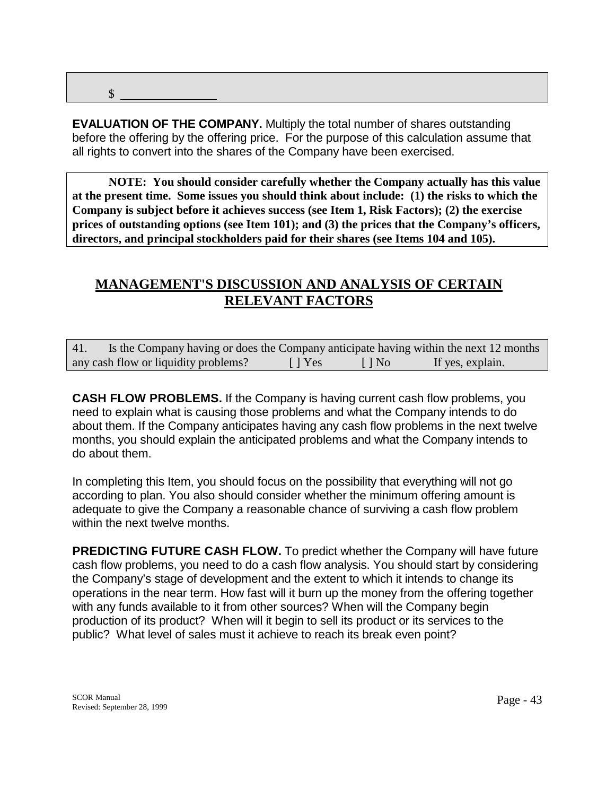\$

**EVALUATION OF THE COMPANY.** Multiply the total number of shares outstanding before the offering by the offering price. For the purpose of this calculation assume that all rights to convert into the shares of the Company have been exercised.

**NOTE: You should consider carefully whether the Company actually has this value at the present time. Some issues you should think about include: (1) the risks to which the Company is subject before it achieves success (see Item 1, Risk Factors); (2) the exercise prices of outstanding options (see Item 101); and (3) the prices that the Company's officers, directors, and principal stockholders paid for their shares (see Items 104 and 105).** 

# **MANAGEMENT'S DISCUSSION AND ANALYSIS OF CERTAIN RELEVANT FACTORS**

| 41. | Is the Company having or does the Company anticipate having within the next 12 months |               |              |                  |  |
|-----|---------------------------------------------------------------------------------------|---------------|--------------|------------------|--|
|     | any cash flow or liquidity problems?                                                  | $\vert$   Yes | $\vert$   No | If yes, explain. |  |

**CASH FLOW PROBLEMS.** If the Company is having current cash flow problems, you need to explain what is causing those problems and what the Company intends to do about them. If the Company anticipates having any cash flow problems in the next twelve months, you should explain the anticipated problems and what the Company intends to do about them.

In completing this Item, you should focus on the possibility that everything will not go according to plan. You also should consider whether the minimum offering amount is adequate to give the Company a reasonable chance of surviving a cash flow problem within the next twelve months.

**PREDICTING FUTURE CASH FLOW.** To predict whether the Company will have future cash flow problems, you need to do a cash flow analysis. You should start by considering the Company's stage of development and the extent to which it intends to change its operations in the near term. How fast will it burn up the money from the offering together with any funds available to it from other sources? When will the Company begin production of its product? When will it begin to sell its product or its services to the public? What level of sales must it achieve to reach its break even point?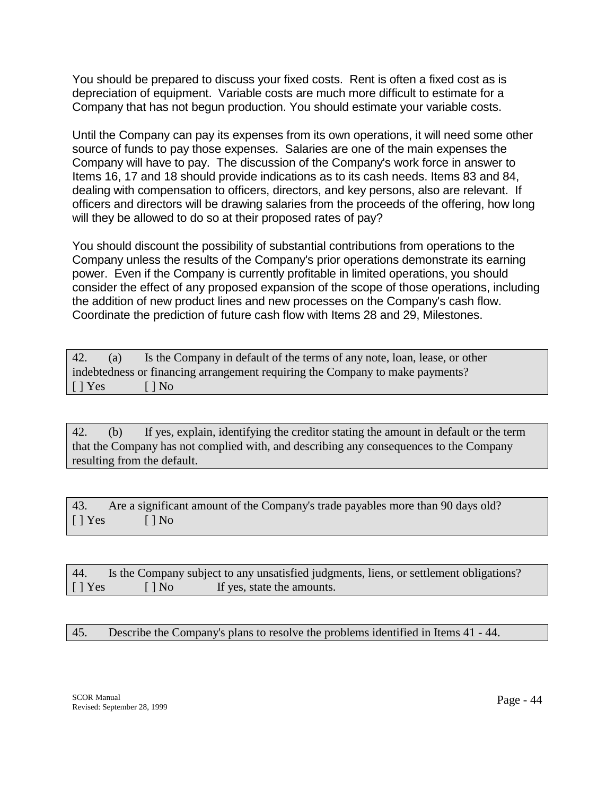You should be prepared to discuss your fixed costs. Rent is often a fixed cost as is depreciation of equipment. Variable costs are much more difficult to estimate for a Company that has not begun production. You should estimate your variable costs.

Until the Company can pay its expenses from its own operations, it will need some other source of funds to pay those expenses. Salaries are one of the main expenses the Company will have to pay. The discussion of the Company's work force in answer to Items 16, 17 and 18 should provide indications as to its cash needs. Items 83 and 84, dealing with compensation to officers, directors, and key persons, also are relevant. If officers and directors will be drawing salaries from the proceeds of the offering, how long will they be allowed to do so at their proposed rates of pay?

You should discount the possibility of substantial contributions from operations to the Company unless the results of the Company's prior operations demonstrate its earning power. Even if the Company is currently profitable in limited operations, you should consider the effect of any proposed expansion of the scope of those operations, including the addition of new product lines and new processes on the Company's cash flow. Coordinate the prediction of future cash flow with Items 28 and 29, Milestones.

| 42.                       | (a) | Is the Company in default of the terms of any note, loan, lease, or other     |
|---------------------------|-----|-------------------------------------------------------------------------------|
|                           |     | indebtedness or financing arrangement requiring the Company to make payments? |
| $\lceil \cdot \rceil$ Yes |     | $\Box$ No                                                                     |

42. (b) If yes, explain, identifying the creditor stating the amount in default or the term that the Company has not complied with, and describing any consequences to the Company resulting from the default.

43. Are a significant amount of the Company's trade payables more than 90 days old?  $[ ]$  Yes  $[ ]$  No

| 44.       |           | Is the Company subject to any unsatisfied judgments, liens, or settlement obligations? |  |
|-----------|-----------|----------------------------------------------------------------------------------------|--|
| $[$   Yes | $\Box$ No | If yes, state the amounts.                                                             |  |

## 45. Describe the Company's plans to resolve the problems identified in Items 41 - 44.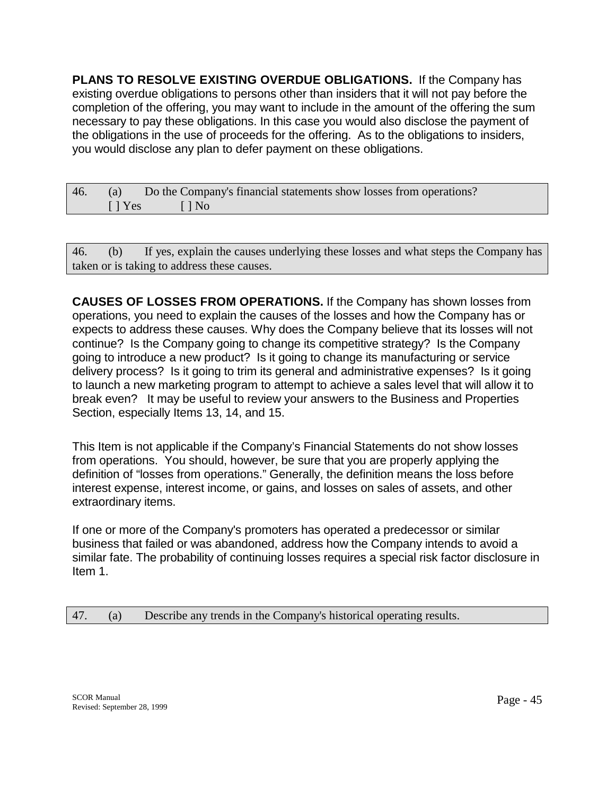**PLANS TO RESOLVE EXISTING OVERDUE OBLIGATIONS.** If the Company has existing overdue obligations to persons other than insiders that it will not pay before the completion of the offering, you may want to include in the amount of the offering the sum necessary to pay these obligations. In this case you would also disclose the payment of the obligations in the use of proceeds for the offering. As to the obligations to insiders, you would disclose any plan to defer payment on these obligations.

| 46. | (a)        | Do the Company's financial statements show losses from operations? |
|-----|------------|--------------------------------------------------------------------|
|     | $\Box$ Yes | $\Box$ $\Box$ $\Box$ $\Box$                                        |

46. (b) If yes, explain the causes underlying these losses and what steps the Company has taken or is taking to address these causes.

**CAUSES OF LOSSES FROM OPERATIONS.** If the Company has shown losses from operations, you need to explain the causes of the losses and how the Company has or expects to address these causes. Why does the Company believe that its losses will not continue? Is the Company going to change its competitive strategy? Is the Company going to introduce a new product? Is it going to change its manufacturing or service delivery process? Is it going to trim its general and administrative expenses? Is it going to launch a new marketing program to attempt to achieve a sales level that will allow it to break even? It may be useful to review your answers to the Business and Properties Section, especially Items 13, 14, and 15.

This Item is not applicable if the Company's Financial Statements do not show losses from operations. You should, however, be sure that you are properly applying the definition of "losses from operations." Generally, the definition means the loss before interest expense, interest income, or gains, and losses on sales of assets, and other extraordinary items.

If one or more of the Company's promoters has operated a predecessor or similar business that failed or was abandoned, address how the Company intends to avoid a similar fate. The probability of continuing losses requires a special risk factor disclosure in Item 1.

47. (a) Describe any trends in the Company's historical operating results.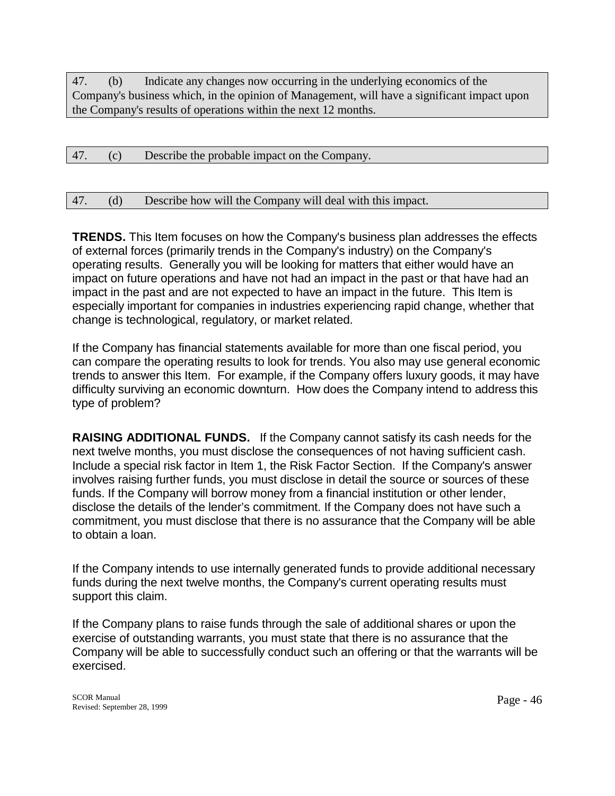47. (b) Indicate any changes now occurring in the underlying economics of the Company's business which, in the opinion of Management, will have a significant impact upon the Company's results of operations within the next 12 months.

| 47. | (c) | Describe the probable impact on the Company. |
|-----|-----|----------------------------------------------|
|     |     |                                              |

#### 47. (d) Describe how will the Company will deal with this impact.

**TRENDS.** This Item focuses on how the Company's business plan addresses the effects of external forces (primarily trends in the Company's industry) on the Company's operating results. Generally you will be looking for matters that either would have an impact on future operations and have not had an impact in the past or that have had an impact in the past and are not expected to have an impact in the future. This Item is especially important for companies in industries experiencing rapid change, whether that change is technological, regulatory, or market related.

If the Company has financial statements available for more than one fiscal period, you can compare the operating results to look for trends. You also may use general economic trends to answer this Item. For example, if the Company offers luxury goods, it may have difficulty surviving an economic downturn. How does the Company intend to address this type of problem?

**RAISING ADDITIONAL FUNDS.** If the Company cannot satisfy its cash needs for the next twelve months, you must disclose the consequences of not having sufficient cash. Include a special risk factor in Item 1, the Risk Factor Section. If the Company's answer involves raising further funds, you must disclose in detail the source or sources of these funds. If the Company will borrow money from a financial institution or other lender, disclose the details of the lender's commitment. If the Company does not have such a commitment, you must disclose that there is no assurance that the Company will be able to obtain a loan.

If the Company intends to use internally generated funds to provide additional necessary funds during the next twelve months, the Company's current operating results must support this claim.

If the Company plans to raise funds through the sale of additional shares or upon the exercise of outstanding warrants, you must state that there is no assurance that the Company will be able to successfully conduct such an offering or that the warrants will be exercised.

SCOR Manual SCOR Manual Page - 46<br>Revised: September 28, 1999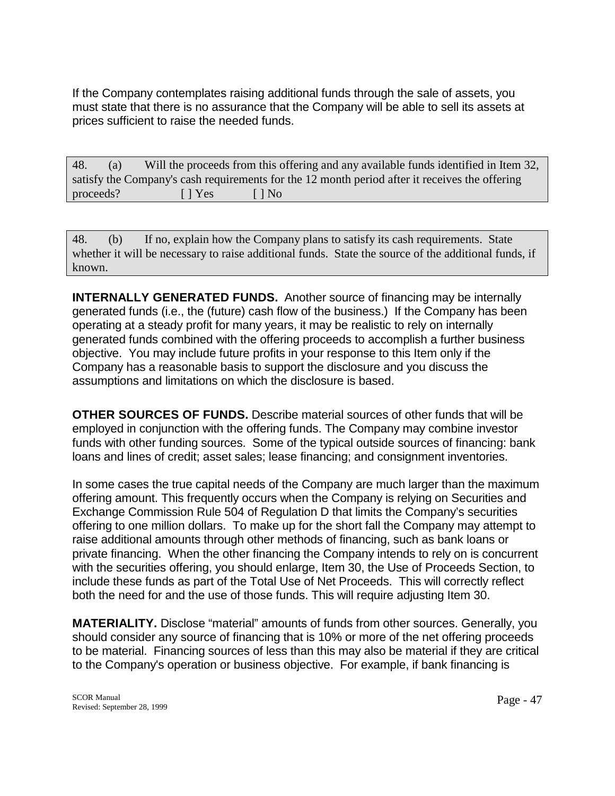If the Company contemplates raising additional funds through the sale of assets, you must state that there is no assurance that the Company will be able to sell its assets at prices sufficient to raise the needed funds.

| 48.       | (a)                                                                                            |            | Will the proceeds from this offering and any available funds identified in Item 32, |  |  |  |  |
|-----------|------------------------------------------------------------------------------------------------|------------|-------------------------------------------------------------------------------------|--|--|--|--|
|           | satisfy the Company's cash requirements for the 12 month period after it receives the offering |            |                                                                                     |  |  |  |  |
| proceeds? |                                                                                                | $\Box$ Yes | $\Box$ No                                                                           |  |  |  |  |

48. (b) If no, explain how the Company plans to satisfy its cash requirements. State whether it will be necessary to raise additional funds. State the source of the additional funds, if known.

**INTERNALLY GENERATED FUNDS.** Another source of financing may be internally generated funds (i.e., the (future) cash flow of the business.) If the Company has been operating at a steady profit for many years, it may be realistic to rely on internally generated funds combined with the offering proceeds to accomplish a further business objective. You may include future profits in your response to this Item only if the Company has a reasonable basis to support the disclosure and you discuss the assumptions and limitations on which the disclosure is based.

**OTHER SOURCES OF FUNDS.** Describe material sources of other funds that will be employed in conjunction with the offering funds. The Company may combine investor funds with other funding sources. Some of the typical outside sources of financing: bank loans and lines of credit; asset sales; lease financing; and consignment inventories.

In some cases the true capital needs of the Company are much larger than the maximum offering amount. This frequently occurs when the Company is relying on Securities and Exchange Commission Rule 504 of Regulation D that limits the Company's securities offering to one million dollars. To make up for the short fall the Company may attempt to raise additional amounts through other methods of financing, such as bank loans or private financing. When the other financing the Company intends to rely on is concurrent with the securities offering, you should enlarge, Item 30, the Use of Proceeds Section, to include these funds as part of the Total Use of Net Proceeds. This will correctly reflect both the need for and the use of those funds. This will require adjusting Item 30.

**MATERIALITY.** Disclose "material" amounts of funds from other sources. Generally, you should consider any source of financing that is 10% or more of the net offering proceeds to be material. Financing sources of less than this may also be material if they are critical to the Company's operation or business objective. For example, if bank financing is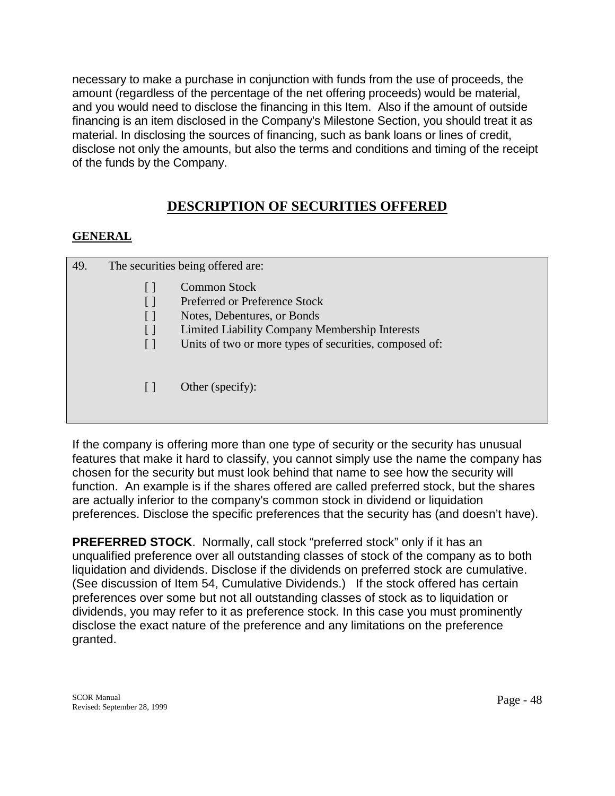necessary to make a purchase in conjunction with funds from the use of proceeds, the amount (regardless of the percentage of the net offering proceeds) would be material, and you would need to disclose the financing in this Item. Also if the amount of outside financing is an item disclosed in the Company's Milestone Section, you should treat it as material. In disclosing the sources of financing, such as bank loans or lines of credit, disclose not only the amounts, but also the terms and conditions and timing of the receipt of the funds by the Company.

# **DESCRIPTION OF SECURITIES OFFERED**

# **GENERAL**

| 49. |              | The securities being offered are:                      |
|-----|--------------|--------------------------------------------------------|
|     |              | <b>Common Stock</b><br>Preferred or Preference Stock   |
|     | $\mathsf{L}$ | Notes, Debentures, or Bonds                            |
|     | $\lceil$ 1   | Limited Liability Company Membership Interests         |
|     | $\mathsf{L}$ | Units of two or more types of securities, composed of: |
|     |              | Other (specify):                                       |

If the company is offering more than one type of security or the security has unusual features that make it hard to classify, you cannot simply use the name the company has chosen for the security but must look behind that name to see how the security will function. An example is if the shares offered are called preferred stock, but the shares are actually inferior to the company's common stock in dividend or liquidation preferences. Disclose the specific preferences that the security has (and doesn't have).

**PREFERRED STOCK**. Normally, call stock "preferred stock" only if it has an unqualified preference over all outstanding classes of stock of the company as to both liquidation and dividends. Disclose if the dividends on preferred stock are cumulative. (See discussion of Item 54, Cumulative Dividends.) If the stock offered has certain preferences over some but not all outstanding classes of stock as to liquidation or dividends, you may refer to it as preference stock. In this case you must prominently disclose the exact nature of the preference and any limitations on the preference granted.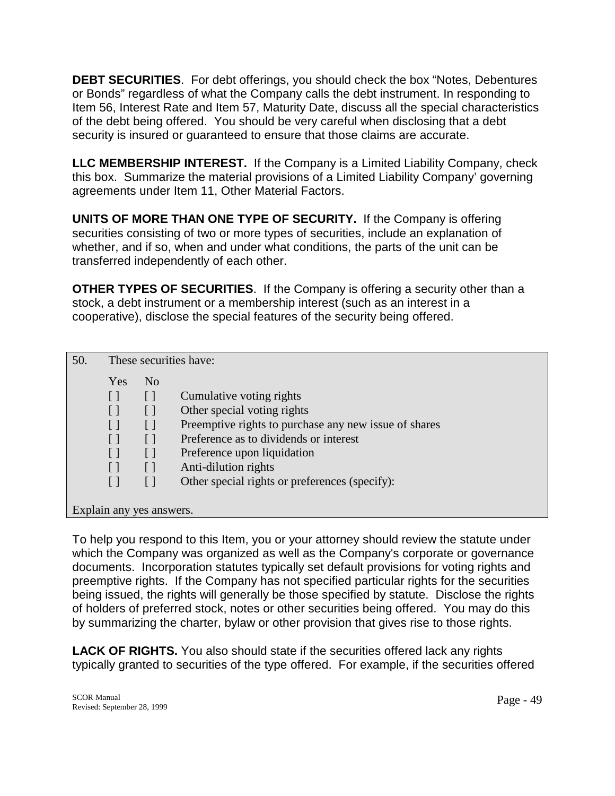**DEBT SECURITIES**. For debt offerings, you should check the box "Notes, Debentures or Bonds" regardless of what the Company calls the debt instrument. In responding to Item 56, Interest Rate and Item 57, Maturity Date, discuss all the special characteristics of the debt being offered. You should be very careful when disclosing that a debt security is insured or guaranteed to ensure that those claims are accurate.

**LLC MEMBERSHIP INTEREST.** If the Company is a Limited Liability Company, check this box. Summarize the material provisions of a Limited Liability Company' governing agreements under Item 11, Other Material Factors.

**UNITS OF MORE THAN ONE TYPE OF SECURITY.** If the Company is offering securities consisting of two or more types of securities, include an explanation of whether, and if so, when and under what conditions, the parts of the unit can be transferred independently of each other.

**OTHER TYPES OF SECURITIES**. If the Company is offering a security other than a stock, a debt instrument or a membership interest (such as an interest in a cooperative), disclose the special features of the security being offered.

| 50. | These securities have: |                          |                                                       |  |
|-----|------------------------|--------------------------|-------------------------------------------------------|--|
|     | <b>Yes</b>             | N <sub>0</sub>           |                                                       |  |
|     | $\lceil$ $\rceil$      |                          | Cumulative voting rights                              |  |
|     |                        |                          | Other special voting rights                           |  |
|     |                        |                          | Preemptive rights to purchase any new issue of shares |  |
|     |                        |                          | Preference as to dividends or interest                |  |
|     |                        |                          | Preference upon liquidation                           |  |
|     |                        |                          | Anti-dilution rights                                  |  |
|     |                        |                          | Other special rights or preferences (specify):        |  |
|     |                        |                          |                                                       |  |
|     |                        | Explain any yes answers. |                                                       |  |
|     |                        |                          |                                                       |  |

To help you respond to this Item, you or your attorney should review the statute under which the Company was organized as well as the Company's corporate or governance documents. Incorporation statutes typically set default provisions for voting rights and preemptive rights. If the Company has not specified particular rights for the securities being issued, the rights will generally be those specified by statute. Disclose the rights of holders of preferred stock, notes or other securities being offered. You may do this by summarizing the charter, bylaw or other provision that gives rise to those rights.

**LACK OF RIGHTS.** You also should state if the securities offered lack any rights typically granted to securities of the type offered. For example, if the securities offered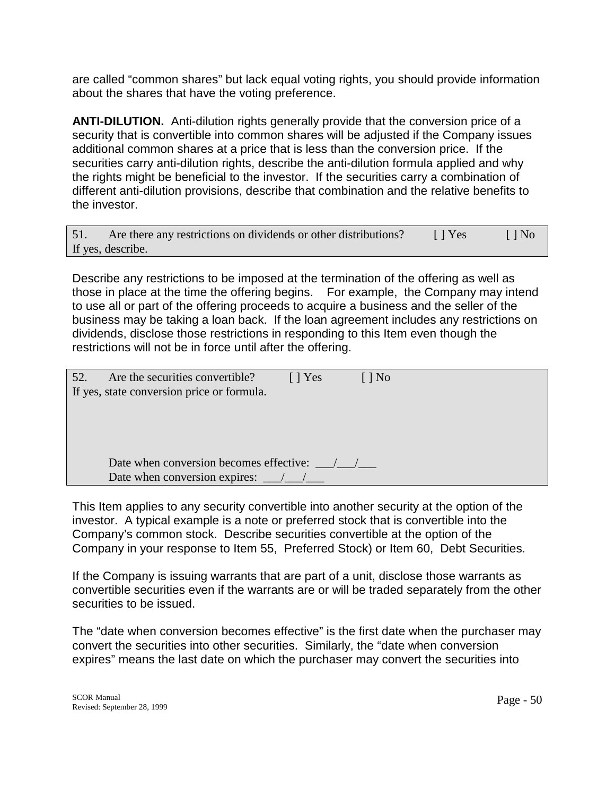are called "common shares" but lack equal voting rights, you should provide information about the shares that have the voting preference.

**ANTI-DILUTION.** Anti-dilution rights generally provide that the conversion price of a security that is convertible into common shares will be adjusted if the Company issues additional common shares at a price that is less than the conversion price. If the securities carry anti-dilution rights, describe the anti-dilution formula applied and why the rights might be beneficial to the investor. If the securities carry a combination of different anti-dilution provisions, describe that combination and the relative benefits to the investor.

| 51. | Are there any restrictions on dividends or other distributions? | $\Box$ Yes | $\lceil \cdot \rceil$ No |
|-----|-----------------------------------------------------------------|------------|--------------------------|
|     | If yes, describe.                                               |            |                          |

Describe any restrictions to be imposed at the termination of the offering as well as those in place at the time the offering begins. For example, the Company may intend to use all or part of the offering proceeds to acquire a business and the seller of the business may be taking a loan back. If the loan agreement includes any restrictions on dividends, disclose those restrictions in responding to this Item even though the restrictions will not be in force until after the offering.

| 52. | Are the securities convertible?            | I l Yes | $\lceil \, \rceil$ No |
|-----|--------------------------------------------|---------|-----------------------|
|     | If yes, state conversion price or formula. |         |                       |
|     |                                            |         |                       |
|     |                                            |         |                       |
|     |                                            |         |                       |
|     | Date when conversion becomes effective:    |         |                       |
|     | Date when conversion expires:              |         |                       |

This Item applies to any security convertible into another security at the option of the investor. A typical example is a note or preferred stock that is convertible into the Company's common stock. Describe securities convertible at the option of the Company in your response to Item 55, Preferred Stock) or Item 60, Debt Securities.

If the Company is issuing warrants that are part of a unit, disclose those warrants as convertible securities even if the warrants are or will be traded separately from the other securities to be issued.

The "date when conversion becomes effective" is the first date when the purchaser may convert the securities into other securities. Similarly, the "date when conversion expires" means the last date on which the purchaser may convert the securities into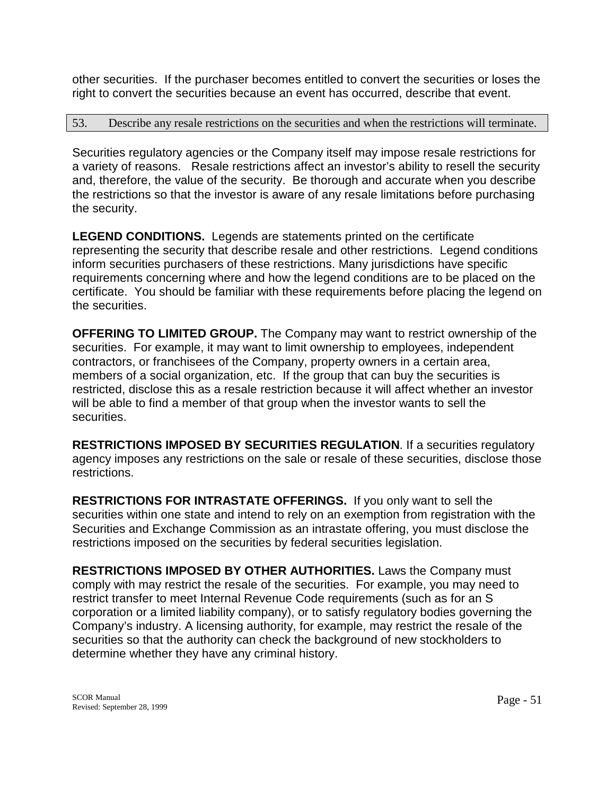other securities. If the purchaser becomes entitled to convert the securities or loses the right to convert the securities because an event has occurred, describe that event.

### 53. Describe any resale restrictions on the securities and when the restrictions will terminate.

Securities regulatory agencies or the Company itself may impose resale restrictions for a variety of reasons. Resale restrictions affect an investor's ability to resell the security and, therefore, the value of the security. Be thorough and accurate when you describe the restrictions so that the investor is aware of any resale limitations before purchasing the security.

**LEGEND CONDITIONS.** Legends are statements printed on the certificate representing the security that describe resale and other restrictions. Legend conditions inform securities purchasers of these restrictions. Many jurisdictions have specific requirements concerning where and how the legend conditions are to be placed on the certificate. You should be familiar with these requirements before placing the legend on the securities.

**OFFERING TO LIMITED GROUP.** The Company may want to restrict ownership of the securities. For example, it may want to limit ownership to employees, independent contractors, or franchisees of the Company, property owners in a certain area, members of a social organization, etc. If the group that can buy the securities is restricted, disclose this as a resale restriction because it will affect whether an investor will be able to find a member of that group when the investor wants to sell the securities.

**RESTRICTIONS IMPOSED BY SECURITIES REGULATION**. If a securities regulatory agency imposes any restrictions on the sale or resale of these securities, disclose those restrictions.

**RESTRICTIONS FOR INTRASTATE OFFERINGS.** If you only want to sell the securities within one state and intend to rely on an exemption from registration with the Securities and Exchange Commission as an intrastate offering, you must disclose the restrictions imposed on the securities by federal securities legislation.

**RESTRICTIONS IMPOSED BY OTHER AUTHORITIES.** Laws the Company must comply with may restrict the resale of the securities. For example, you may need to restrict transfer to meet Internal Revenue Code requirements (such as for an S corporation or a limited liability company), or to satisfy regulatory bodies governing the Company's industry. A licensing authority, for example, may restrict the resale of the securities so that the authority can check the background of new stockholders to determine whether they have any criminal history.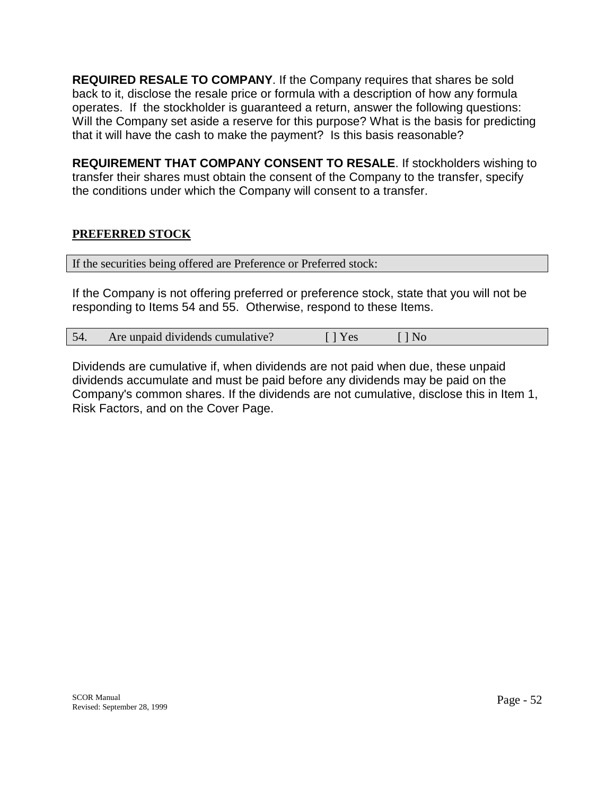**REQUIRED RESALE TO COMPANY**. If the Company requires that shares be sold back to it, disclose the resale price or formula with a description of how any formula operates. If the stockholder is guaranteed a return, answer the following questions: Will the Company set aside a reserve for this purpose? What is the basis for predicting that it will have the cash to make the payment? Is this basis reasonable?

**REQUIREMENT THAT COMPANY CONSENT TO RESALE**. If stockholders wishing to transfer their shares must obtain the consent of the Company to the transfer, specify the conditions under which the Company will consent to a transfer.

## **PREFERRED STOCK**

| If the securities being offered are Preference or Preferred stock: |  |
|--------------------------------------------------------------------|--|
|                                                                    |  |

If the Company is not offering preferred or preference stock, state that you will not be responding to Items 54 and 55. Otherwise, respond to these Items.

| Are unpaid dividends cumulative? | l Yes | $\Box$ No |  |
|----------------------------------|-------|-----------|--|
|----------------------------------|-------|-----------|--|

Dividends are cumulative if, when dividends are not paid when due, these unpaid dividends accumulate and must be paid before any dividends may be paid on the Company's common shares. If the dividends are not cumulative, disclose this in Item 1, Risk Factors, and on the Cover Page.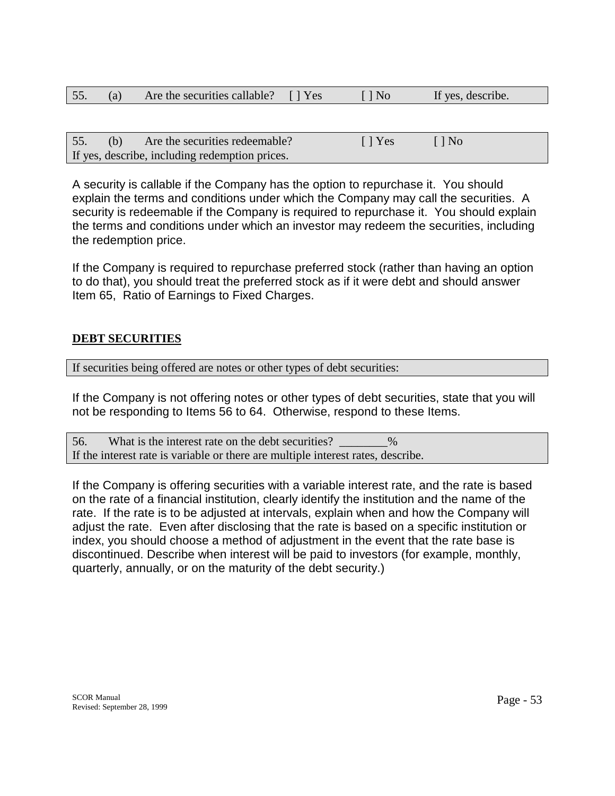| 55. | Are the securities callable? [] Yes | $\bigcap$ No | If yes, describe. |  |
|-----|-------------------------------------|--------------|-------------------|--|
|     |                                     |              |                   |  |

| 55. | (b) | Are the securities redeemable?                 | $\lceil$   Yes | $\lceil \cdot \rceil$ No |
|-----|-----|------------------------------------------------|----------------|--------------------------|
|     |     | If yes, describe, including redemption prices. |                |                          |

A security is callable if the Company has the option to repurchase it. You should explain the terms and conditions under which the Company may call the securities. A security is redeemable if the Company is required to repurchase it. You should explain the terms and conditions under which an investor may redeem the securities, including the redemption price.

If the Company is required to repurchase preferred stock (rather than having an option to do that), you should treat the preferred stock as if it were debt and should answer Item 65, Ratio of Earnings to Fixed Charges.

## **DEBT SECURITIES**

If securities being offered are notes or other types of debt securities:

If the Company is not offering notes or other types of debt securities, state that you will not be responding to Items 56 to 64. Otherwise, respond to these Items.

56. What is the interest rate on the debt securities?  $\%$ If the interest rate is variable or there are multiple interest rates, describe.

If the Company is offering securities with a variable interest rate, and the rate is based on the rate of a financial institution, clearly identify the institution and the name of the rate. If the rate is to be adjusted at intervals, explain when and how the Company will adjust the rate. Even after disclosing that the rate is based on a specific institution or index, you should choose a method of adjustment in the event that the rate base is discontinued. Describe when interest will be paid to investors (for example, monthly, quarterly, annually, or on the maturity of the debt security.)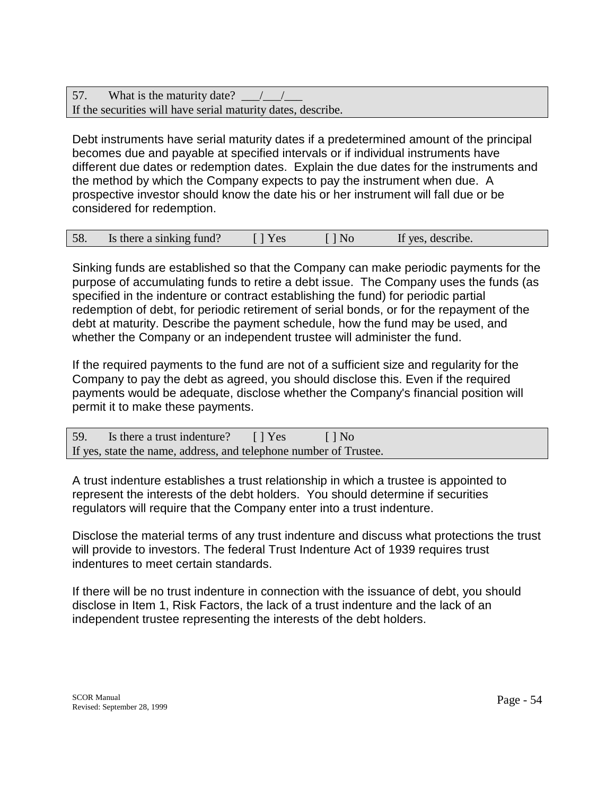57. What is the maturity date? If the securities will have serial maturity dates, describe.

Debt instruments have serial maturity dates if a predetermined amount of the principal becomes due and payable at specified intervals or if individual instruments have different due dates or redemption dates. Explain the due dates for the instruments and the method by which the Company expects to pay the instrument when due. A prospective investor should know the date his or her instrument will fall due or be considered for redemption.

| 58. | Is there a sinking fund? | $\lceil$   Yes | $\lceil \cdot \rceil$ No | If yes, describe. |  |
|-----|--------------------------|----------------|--------------------------|-------------------|--|
|-----|--------------------------|----------------|--------------------------|-------------------|--|

Sinking funds are established so that the Company can make periodic payments for the purpose of accumulating funds to retire a debt issue. The Company uses the funds (as specified in the indenture or contract establishing the fund) for periodic partial redemption of debt, for periodic retirement of serial bonds, or for the repayment of the debt at maturity. Describe the payment schedule, how the fund may be used, and whether the Company or an independent trustee will administer the fund.

If the required payments to the fund are not of a sufficient size and regularity for the Company to pay the debt as agreed, you should disclose this. Even if the required payments would be adequate, disclose whether the Company's financial position will permit it to make these payments.

| 59. Is there a trust indenture? [] Yes                            | II No |
|-------------------------------------------------------------------|-------|
| If yes, state the name, address, and telephone number of Trustee. |       |

A trust indenture establishes a trust relationship in which a trustee is appointed to represent the interests of the debt holders. You should determine if securities regulators will require that the Company enter into a trust indenture.

Disclose the material terms of any trust indenture and discuss what protections the trust will provide to investors. The federal Trust Indenture Act of 1939 requires trust indentures to meet certain standards.

If there will be no trust indenture in connection with the issuance of debt, you should disclose in Item 1, Risk Factors, the lack of a trust indenture and the lack of an independent trustee representing the interests of the debt holders.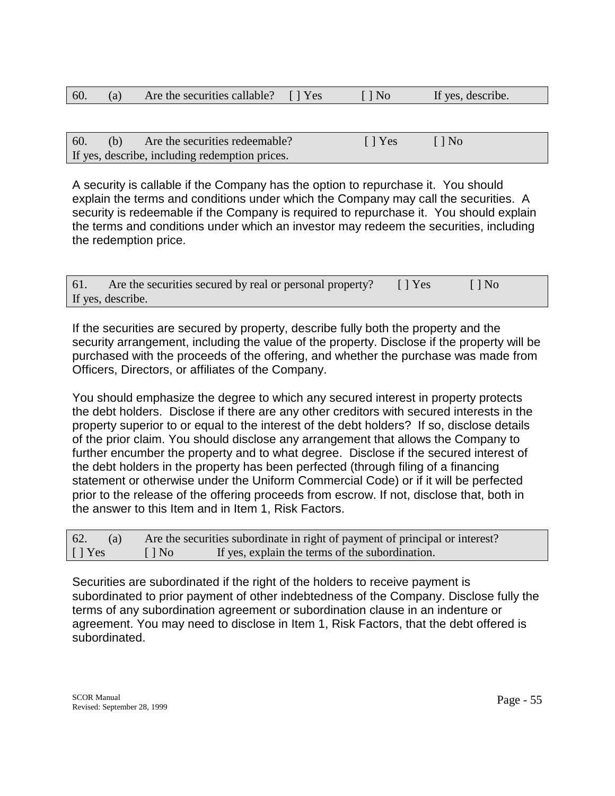| 60. | Are the securities callable? [] Yes | $\lceil \, \rceil$ No | If yes, describe. |  |
|-----|-------------------------------------|-----------------------|-------------------|--|
|     |                                     |                       |                   |  |

| 60. | (b) | Are the securities redeemable?                 | $\lceil \cdot \rceil$ Yes | $\Box$ $\Box$ No |
|-----|-----|------------------------------------------------|---------------------------|------------------|
|     |     | If yes, describe, including redemption prices. |                           |                  |

A security is callable if the Company has the option to repurchase it. You should explain the terms and conditions under which the Company may call the securities. A security is redeemable if the Company is required to repurchase it. You should explain the terms and conditions under which an investor may redeem the securities, including the redemption price.

| 61. | Are the securities secured by real or personal property? | $\lceil$   Yes | $\Box$ No. |  |
|-----|----------------------------------------------------------|----------------|------------|--|
|     | If yes, describe.                                        |                |            |  |

If the securities are secured by property, describe fully both the property and the security arrangement, including the value of the property. Disclose if the property will be purchased with the proceeds of the offering, and whether the purchase was made from Officers, Directors, or affiliates of the Company.

You should emphasize the degree to which any secured interest in property protects the debt holders. Disclose if there are any other creditors with secured interests in the property superior to or equal to the interest of the debt holders? If so, disclose details of the prior claim. You should disclose any arrangement that allows the Company to further encumber the property and to what degree. Disclose if the secured interest of the debt holders in the property has been perfected (through filing of a financing statement or otherwise under the Uniform Commercial Code) or if it will be perfected prior to the release of the offering proceeds from escrow. If not, disclose that, both in the answer to this Item and in Item 1, Risk Factors.

| 62.<br>(a)     |                          | Are the securities subordinate in right of payment of principal or interest? |
|----------------|--------------------------|------------------------------------------------------------------------------|
| $\lceil$   Yes | $\lceil \cdot \rceil$ No | If yes, explain the terms of the subordination.                              |

Securities are subordinated if the right of the holders to receive payment is subordinated to prior payment of other indebtedness of the Company. Disclose fully the terms of any subordination agreement or subordination clause in an indenture or agreement. You may need to disclose in Item 1, Risk Factors, that the debt offered is subordinated.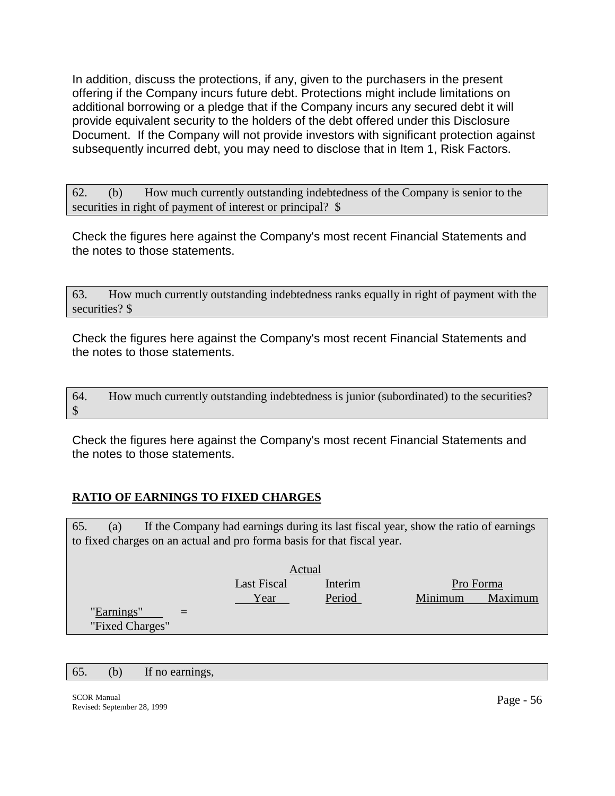In addition, discuss the protections, if any, given to the purchasers in the present offering if the Company incurs future debt. Protections might include limitations on additional borrowing or a pledge that if the Company incurs any secured debt it will provide equivalent security to the holders of the debt offered under this Disclosure Document. If the Company will not provide investors with significant protection against subsequently incurred debt, you may need to disclose that in Item 1, Risk Factors.

62. (b) How much currently outstanding indebtedness of the Company is senior to the securities in right of payment of interest or principal?  $\$ 

Check the figures here against the Company's most recent Financial Statements and the notes to those statements.

63. How much currently outstanding indebtedness ranks equally in right of payment with the securities? \$

Check the figures here against the Company's most recent Financial Statements and the notes to those statements.

64. How much currently outstanding indebtedness is junior (subordinated) to the securities? \$

Check the figures here against the Company's most recent Financial Statements and the notes to those statements.

## **RATIO OF EARNINGS TO FIXED CHARGES**

65. (a) If the Company had earnings during its last fiscal year, show the ratio of earnings to fixed charges on an actual and pro forma basis for that fiscal year.

|                 |     |                    | Actual  |           |         |
|-----------------|-----|--------------------|---------|-----------|---------|
|                 |     | <b>Last Fiscal</b> | Interim | Pro Forma |         |
|                 |     | Year               | Period  | Minimum   | Maximum |
| "Earnings"      | $=$ |                    |         |           |         |
| "Fixed Charges" |     |                    |         |           |         |

65. (b) If no earnings,

SCOR Manual Revised: September 28, 1999 Page - 56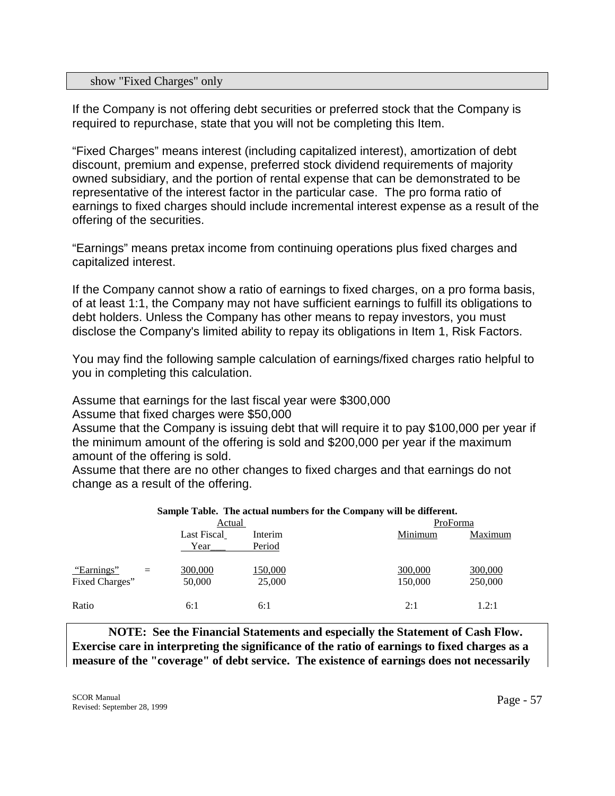#### show "Fixed Charges" only

If the Company is not offering debt securities or preferred stock that the Company is required to repurchase, state that you will not be completing this Item.

"Fixed Charges" means interest (including capitalized interest), amortization of debt discount, premium and expense, preferred stock dividend requirements of majority owned subsidiary, and the portion of rental expense that can be demonstrated to be representative of the interest factor in the particular case. The pro forma ratio of earnings to fixed charges should include incremental interest expense as a result of the offering of the securities.

"Earnings" means pretax income from continuing operations plus fixed charges and capitalized interest.

If the Company cannot show a ratio of earnings to fixed charges, on a pro forma basis, of at least 1:1, the Company may not have sufficient earnings to fulfill its obligations to debt holders. Unless the Company has other means to repay investors, you must disclose the Company's limited ability to repay its obligations in Item 1, Risk Factors.

You may find the following sample calculation of earnings/fixed charges ratio helpful to you in completing this calculation.

Assume that earnings for the last fiscal year were \$300,000

Assume that fixed charges were \$50,000

Assume that the Company is issuing debt that will require it to pay \$100,000 per year if the minimum amount of the offering is sold and \$200,000 per year if the maximum amount of the offering is sold.

Assume that there are no other changes to fixed charges and that earnings do not change as a result of the offering.

|                |             | sample Table. The actual numbers for the Company will be unterent. |          |         |
|----------------|-------------|--------------------------------------------------------------------|----------|---------|
|                | Actual      |                                                                    | ProForma |         |
|                | Last Fiscal | Interim                                                            | Minimum  | Maximum |
|                | Year        | Period                                                             |          |         |
| "Earnings"     | 300,000     | 150,000                                                            | 300,000  | 300,000 |
| Fixed Charges" | 50,000      | 25,000                                                             | 150,000  | 250,000 |
| Ratio          | 6:1         | 6:1                                                                | 2:1      | 1.2:1   |

#### **Sample Table. The actual numbers for the Company will be different.**

 **NOTE: See the Financial Statements and especially the Statement of Cash Flow. Exercise care in interpreting the significance of the ratio of earnings to fixed charges as a measure of the "coverage" of debt service. The existence of earnings does not necessarily**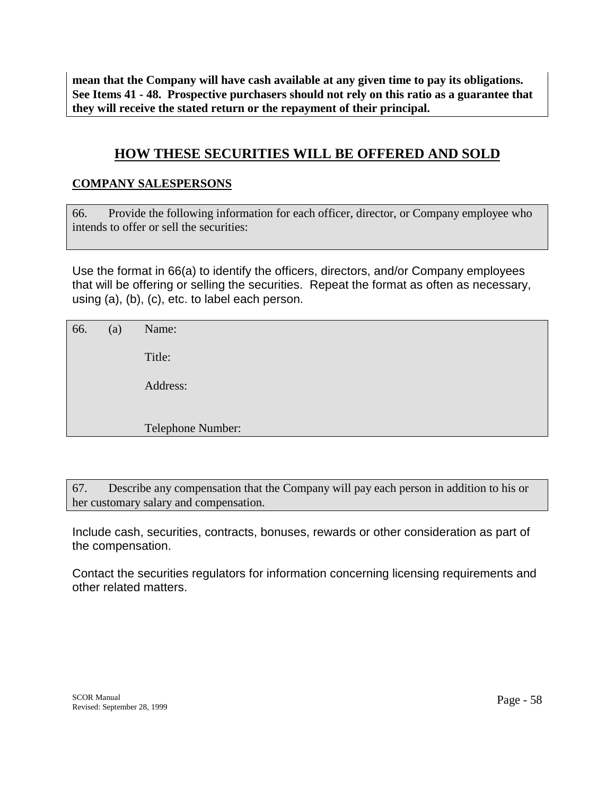**mean that the Company will have cash available at any given time to pay its obligations. See Items 41 - 48. Prospective purchasers should not rely on this ratio as a guarantee that they will receive the stated return or the repayment of their principal.** 

# **HOW THESE SECURITIES WILL BE OFFERED AND SOLD**

# **COMPANY SALESPERSONS**

66. Provide the following information for each officer, director, or Company employee who intends to offer or sell the securities:

Use the format in 66(a) to identify the officers, directors, and/or Company employees that will be offering or selling the securities. Repeat the format as often as necessary, using (a), (b), (c), etc. to label each person.

| 66. | (a) | Name:             |
|-----|-----|-------------------|
|     |     | Title:            |
|     |     | Address:          |
|     |     |                   |
|     |     | Telephone Number: |

67. Describe any compensation that the Company will pay each person in addition to his or her customary salary and compensation.

Include cash, securities, contracts, bonuses, rewards or other consideration as part of the compensation.

Contact the securities regulators for information concerning licensing requirements and other related matters.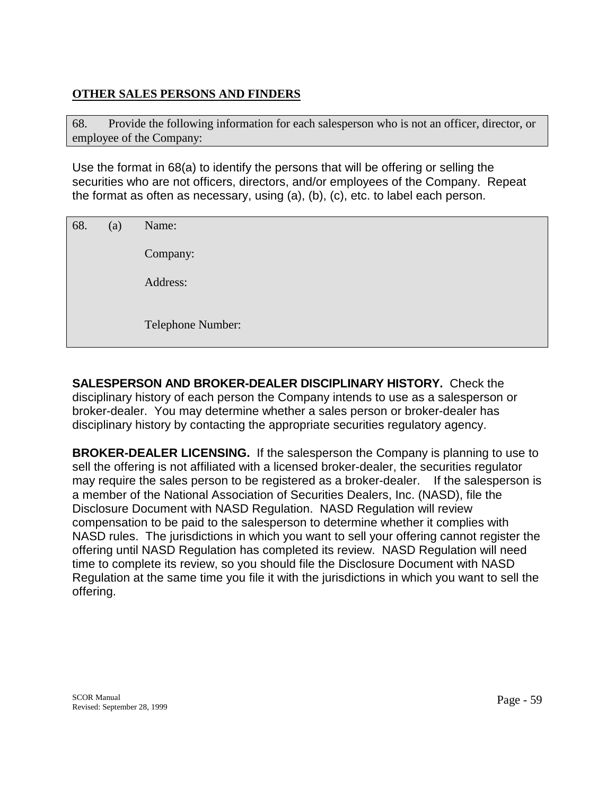# **OTHER SALES PERSONS AND FINDERS**

68. Provide the following information for each salesperson who is not an officer, director, or employee of the Company:

Use the format in 68(a) to identify the persons that will be offering or selling the securities who are not officers, directors, and/or employees of the Company. Repeat the format as often as necessary, using (a), (b), (c), etc. to label each person.

| 68. | (a) | Name:             |
|-----|-----|-------------------|
|     |     | Company:          |
|     |     | Address:          |
|     |     | Telephone Number: |

**SALESPERSON AND BROKER-DEALER DISCIPLINARY HISTORY.** Check the disciplinary history of each person the Company intends to use as a salesperson or broker-dealer. You may determine whether a sales person or broker-dealer has disciplinary history by contacting the appropriate securities regulatory agency.

**BROKER-DEALER LICENSING.** If the salesperson the Company is planning to use to sell the offering is not affiliated with a licensed broker-dealer, the securities regulator may require the sales person to be registered as a broker-dealer. If the salesperson is a member of the National Association of Securities Dealers, Inc. (NASD), file the Disclosure Document with NASD Regulation. NASD Regulation will review compensation to be paid to the salesperson to determine whether it complies with NASD rules. The jurisdictions in which you want to sell your offering cannot register the offering until NASD Regulation has completed its review. NASD Regulation will need time to complete its review, so you should file the Disclosure Document with NASD Regulation at the same time you file it with the jurisdictions in which you want to sell the offering.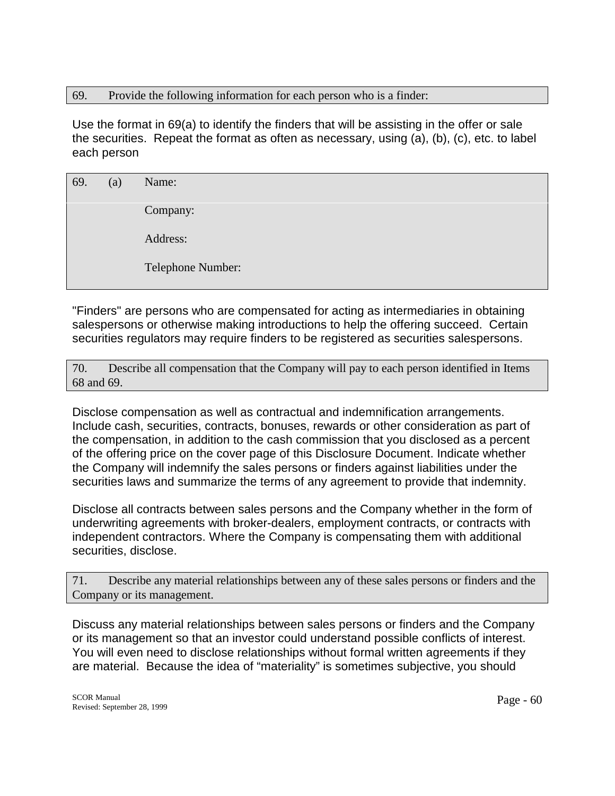### 69. Provide the following information for each person who is a finder:

Use the format in 69(a) to identify the finders that will be assisting in the offer or sale the securities. Repeat the format as often as necessary, using (a), (b), (c), etc. to label each person

| 69. | (a) | Name:             |
|-----|-----|-------------------|
|     |     | Company:          |
|     |     | Address:          |
|     |     | Telephone Number: |

"Finders" are persons who are compensated for acting as intermediaries in obtaining salespersons or otherwise making introductions to help the offering succeed. Certain securities regulators may require finders to be registered as securities salespersons.

70. Describe all compensation that the Company will pay to each person identified in Items 68 and 69.

Disclose compensation as well as contractual and indemnification arrangements. Include cash, securities, contracts, bonuses, rewards or other consideration as part of the compensation, in addition to the cash commission that you disclosed as a percent of the offering price on the cover page of this Disclosure Document. Indicate whether the Company will indemnify the sales persons or finders against liabilities under the securities laws and summarize the terms of any agreement to provide that indemnity.

Disclose all contracts between sales persons and the Company whether in the form of underwriting agreements with broker-dealers, employment contracts, or contracts with independent contractors. Where the Company is compensating them with additional securities, disclose.

71. Describe any material relationships between any of these sales persons or finders and the Company or its management.

Discuss any material relationships between sales persons or finders and the Company or its management so that an investor could understand possible conflicts of interest. You will even need to disclose relationships without formal written agreements if they are material. Because the idea of "materiality" is sometimes subjective, you should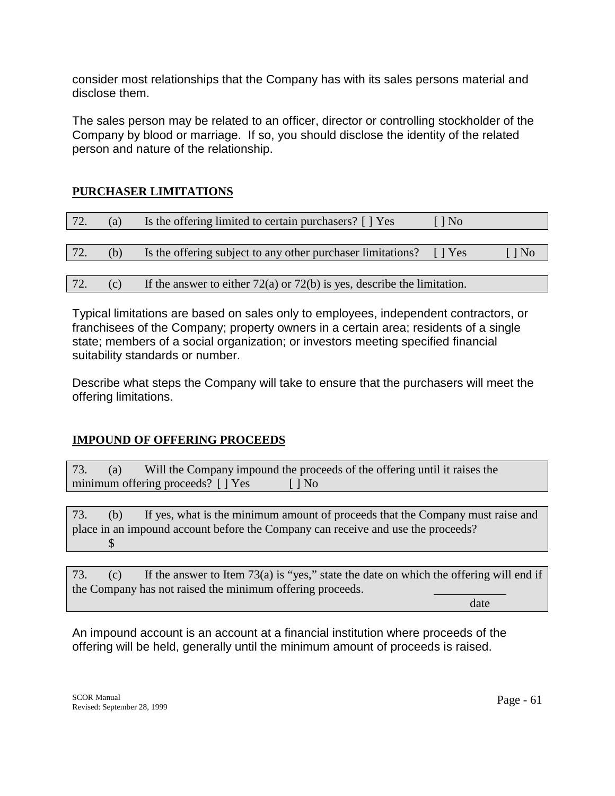consider most relationships that the Company has with its sales persons material and disclose them.

The sales person may be related to an officer, director or controlling stockholder of the Company by blood or marriage. If so, you should disclose the identity of the related person and nature of the relationship.

# **PURCHASER LIMITATIONS**

| 72. | (a) | Is the offering limited to certain purchasers? [ ] Yes                      | $\lceil \cdot \rceil$ No |                          |
|-----|-----|-----------------------------------------------------------------------------|--------------------------|--------------------------|
|     |     |                                                                             |                          |                          |
| 72. | (b) | Is the offering subject to any other purchaser limitations?                 | $\vert$   Yes            | $\lceil \cdot \rceil$ No |
|     |     |                                                                             |                          |                          |
| 72. | (c) | If the answer to either $72(a)$ or $72(b)$ is yes, describe the limitation. |                          |                          |

Typical limitations are based on sales only to employees, independent contractors, or franchisees of the Company; property owners in a certain area; residents of a single state; members of a social organization; or investors meeting specified financial suitability standards or number.

Describe what steps the Company will take to ensure that the purchasers will meet the offering limitations.

## **IMPOUND OF OFFERING PROCEEDS**

73. (a) Will the Company impound the proceeds of the offering until it raises the minimum offering proceeds?  $[ ]$  Yes  $[ ]$  No

73. (b) If yes, what is the minimum amount of proceeds that the Company must raise and place in an impound account before the Company can receive and use the proceeds? \$

73. (c) If the answer to Item 73(a) is "yes," state the date on which the offering will end if the Company has not raised the minimum offering proceeds.

date the contract of the contract of the contract of the contract of the contract of the contract of the contract of

An impound account is an account at a financial institution where proceeds of the offering will be held, generally until the minimum amount of proceeds is raised.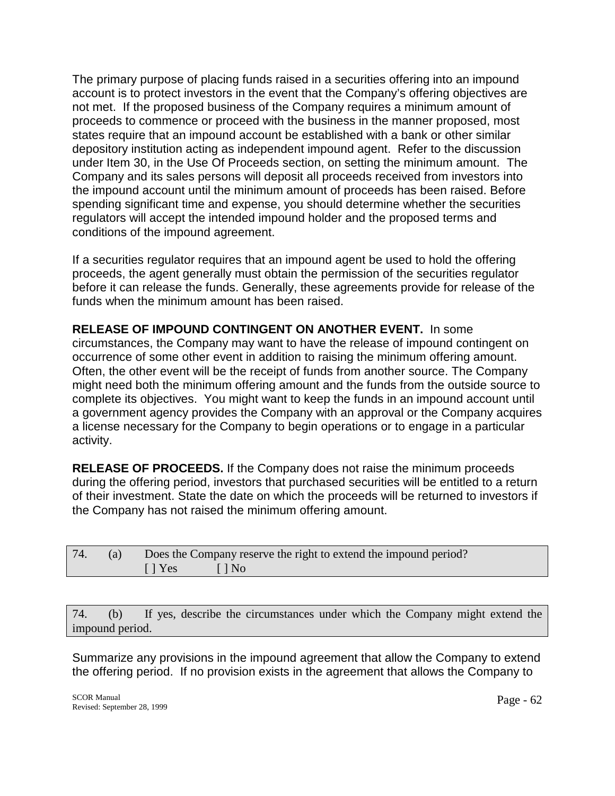The primary purpose of placing funds raised in a securities offering into an impound account is to protect investors in the event that the Company's offering objectives are not met. If the proposed business of the Company requires a minimum amount of proceeds to commence or proceed with the business in the manner proposed, most states require that an impound account be established with a bank or other similar depository institution acting as independent impound agent. Refer to the discussion under Item 30, in the Use Of Proceeds section, on setting the minimum amount. The Company and its sales persons will deposit all proceeds received from investors into the impound account until the minimum amount of proceeds has been raised. Before spending significant time and expense, you should determine whether the securities regulators will accept the intended impound holder and the proposed terms and conditions of the impound agreement.

If a securities regulator requires that an impound agent be used to hold the offering proceeds, the agent generally must obtain the permission of the securities regulator before it can release the funds. Generally, these agreements provide for release of the funds when the minimum amount has been raised.

**RELEASE OF IMPOUND CONTINGENT ON ANOTHER EVENT.** In some circumstances, the Company may want to have the release of impound contingent on occurrence of some other event in addition to raising the minimum offering amount. Often, the other event will be the receipt of funds from another source. The Company might need both the minimum offering amount and the funds from the outside source to complete its objectives. You might want to keep the funds in an impound account until a government agency provides the Company with an approval or the Company acquires a license necessary for the Company to begin operations or to engage in a particular activity.

**RELEASE OF PROCEEDS.** If the Company does not raise the minimum proceeds during the offering period, investors that purchased securities will be entitled to a return of their investment. State the date on which the proceeds will be returned to investors if the Company has not raised the minimum offering amount.

| 74. | (a) |                           | Does the Company reserve the right to extend the impound period? |
|-----|-----|---------------------------|------------------------------------------------------------------|
|     |     | $\lceil \cdot \rceil$ Yes | $\Box$ $\Box$ $\Box$ $\Box$                                      |

74. (b) If yes, describe the circumstances under which the Company might extend the impound period.

Summarize any provisions in the impound agreement that allow the Company to extend the offering period. If no provision exists in the agreement that allows the Company to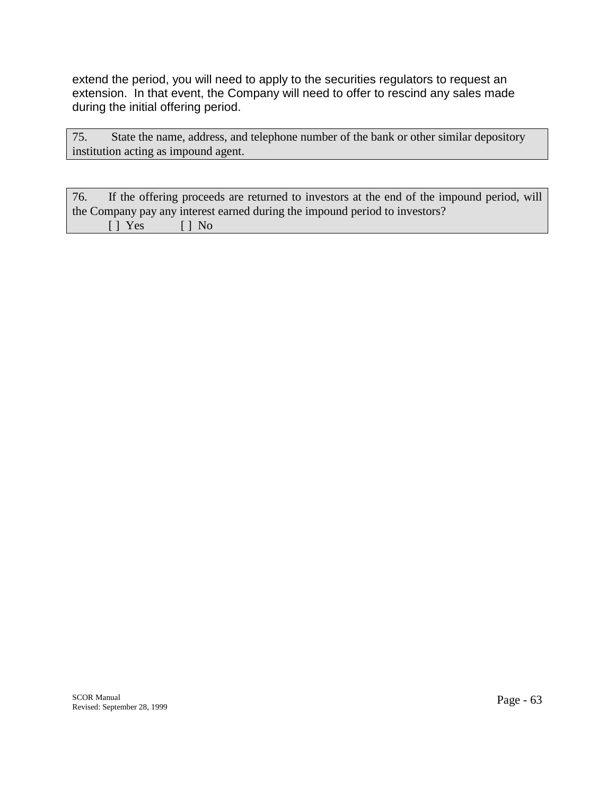extend the period, you will need to apply to the securities regulators to request an extension. In that event, the Company will need to offer to rescind any sales made during the initial offering period.

75. State the name, address, and telephone number of the bank or other similar depository institution acting as impound agent.

| 76. |              | If the offering proceeds are returned to investors at the end of the impound period, will |  |
|-----|--------------|-------------------------------------------------------------------------------------------|--|
|     |              | the Company pay any interest earned during the impound period to investors?               |  |
|     | Il Yes Il No |                                                                                           |  |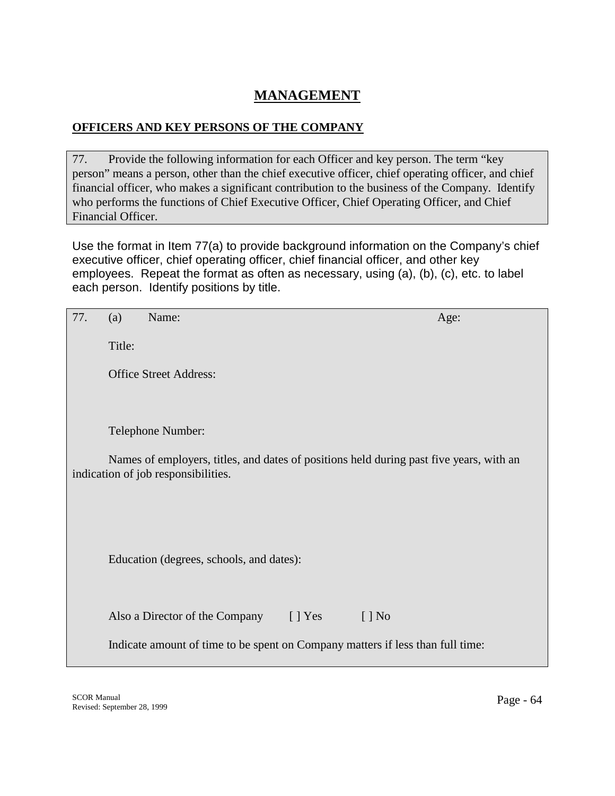# **MANAGEMENT**

# **OFFICERS AND KEY PERSONS OF THE COMPANY**

77. Provide the following information for each Officer and key person. The term "key person" means a person, other than the chief executive officer, chief operating officer, and chief financial officer, who makes a significant contribution to the business of the Company. Identify who performs the functions of Chief Executive Officer, Chief Operating Officer, and Chief Financial Officer.

Use the format in Item 77(a) to provide background information on the Company's chief executive officer, chief operating officer, chief financial officer, and other key employees. Repeat the format as often as necessary, using (a), (b), (c), etc. to label each person. Identify positions by title.

| 77. | (a)    | Name:                                                                                                                          | Age:                     |
|-----|--------|--------------------------------------------------------------------------------------------------------------------------------|--------------------------|
|     | Title: |                                                                                                                                |                          |
|     |        | <b>Office Street Address:</b>                                                                                                  |                          |
|     |        |                                                                                                                                |                          |
|     |        | Telephone Number:                                                                                                              |                          |
|     |        | Names of employers, titles, and dates of positions held during past five years, with an<br>indication of job responsibilities. |                          |
|     |        |                                                                                                                                |                          |
|     |        |                                                                                                                                |                          |
|     |        | Education (degrees, schools, and dates):                                                                                       |                          |
|     |        |                                                                                                                                |                          |
|     |        | Also a Director of the Company [] Yes                                                                                          | $\lceil \cdot \rceil$ No |
|     |        | Indicate amount of time to be spent on Company matters if less than full time:                                                 |                          |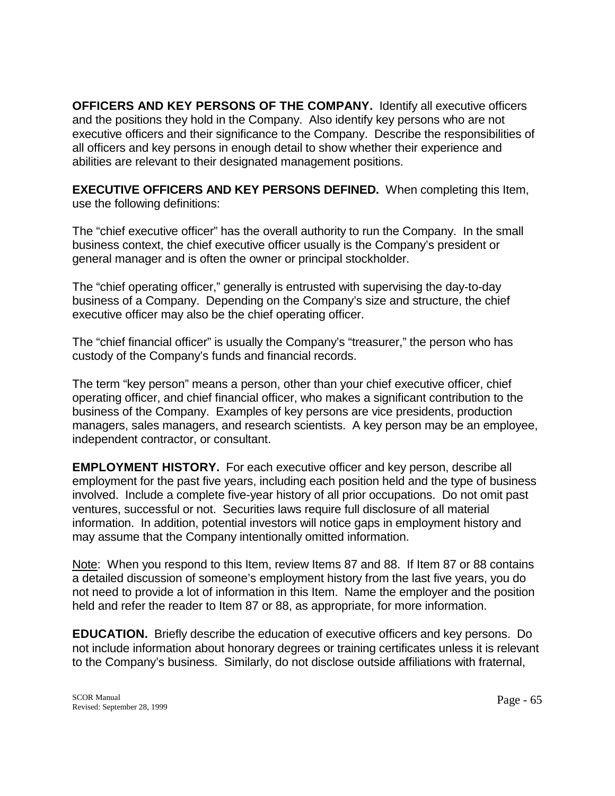**OFFICERS AND KEY PERSONS OF THE COMPANY.** Identify all executive officers and the positions they hold in the Company. Also identify key persons who are not executive officers and their significance to the Company. Describe the responsibilities of all officers and key persons in enough detail to show whether their experience and abilities are relevant to their designated management positions.

**EXECUTIVE OFFICERS AND KEY PERSONS DEFINED.** When completing this Item, use the following definitions:

The "chief executive officer" has the overall authority to run the Company. In the small business context, the chief executive officer usually is the Company's president or general manager and is often the owner or principal stockholder.

The "chief operating officer," generally is entrusted with supervising the day-to-day business of a Company. Depending on the Company's size and structure, the chief executive officer may also be the chief operating officer.

The "chief financial officer" is usually the Company's "treasurer," the person who has custody of the Company's funds and financial records.

The term "key person" means a person, other than your chief executive officer, chief operating officer, and chief financial officer, who makes a significant contribution to the business of the Company. Examples of key persons are vice presidents, production managers, sales managers, and research scientists. A key person may be an employee, independent contractor, or consultant.

**EMPLOYMENT HISTORY.** For each executive officer and key person, describe all employment for the past five years, including each position held and the type of business involved. Include a complete five-year history of all prior occupations. Do not omit past ventures, successful or not. Securities laws require full disclosure of all material information. In addition, potential investors will notice gaps in employment history and may assume that the Company intentionally omitted information.

Note: When you respond to this Item, review Items 87 and 88. If Item 87 or 88 contains a detailed discussion of someone's employment history from the last five years, you do not need to provide a lot of information in this Item. Name the employer and the position held and refer the reader to Item 87 or 88, as appropriate, for more information.

**EDUCATION.** Briefly describe the education of executive officers and key persons. Do not include information about honorary degrees or training certificates unless it is relevant to the Company's business. Similarly, do not disclose outside affiliations with fraternal,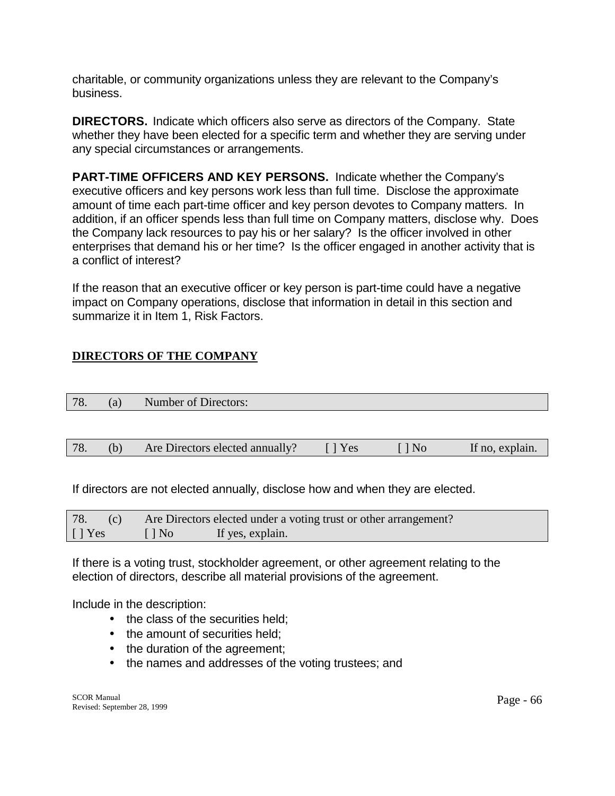charitable, or community organizations unless they are relevant to the Company's business.

**DIRECTORS.** Indicate which officers also serve as directors of the Company. State whether they have been elected for a specific term and whether they are serving under any special circumstances or arrangements.

**PART-TIME OFFICERS AND KEY PERSONS.** Indicate whether the Company's executive officers and key persons work less than full time. Disclose the approximate amount of time each part-time officer and key person devotes to Company matters. In addition, if an officer spends less than full time on Company matters, disclose why. Does the Company lack resources to pay his or her salary? Is the officer involved in other enterprises that demand his or her time? Is the officer engaged in another activity that is a conflict of interest?

If the reason that an executive officer or key person is part-time could have a negative impact on Company operations, disclose that information in detail in this section and summarize it in Item 1, Risk Factors.

# **DIRECTORS OF THE COMPANY**

| 70<br>$\sqrt{ }$<br>$\cdots$ | a. | Number of Directors: |
|------------------------------|----|----------------------|
|                              |    |                      |

| 78.<br>Are Directors elected annually?<br>Yes | If no, explain.<br>' No |
|-----------------------------------------------|-------------------------|
|-----------------------------------------------|-------------------------|

If directors are not elected annually, disclose how and when they are elected.

| 78.<br>(c)     |           | Are Directors elected under a voting trust or other arrangement? |
|----------------|-----------|------------------------------------------------------------------|
| $\lceil$   Yes | $\Box$ No | If yes, explain.                                                 |

If there is a voting trust, stockholder agreement, or other agreement relating to the election of directors, describe all material provisions of the agreement.

Include in the description:

- the class of the securities held;
- the amount of securities held:
- the duration of the agreement;
- the names and addresses of the voting trustees; and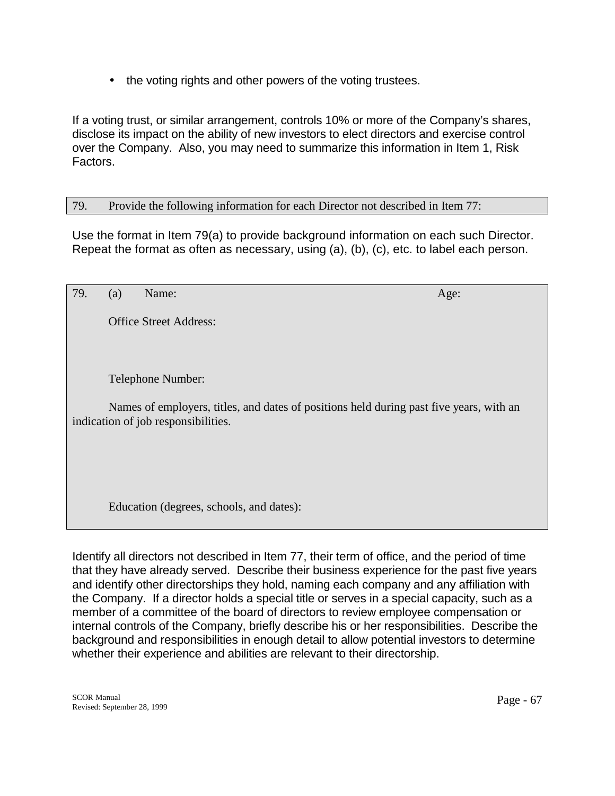• the voting rights and other powers of the voting trustees.

If a voting trust, or similar arrangement, controls 10% or more of the Company's shares, disclose its impact on the ability of new investors to elect directors and exercise control over the Company. Also, you may need to summarize this information in Item 1, Risk Factors.

### 79. Provide the following information for each Director not described in Item 77:

Use the format in Item 79(a) to provide background information on each such Director. Repeat the format as often as necessary, using (a), (b), (c), etc. to label each person.

| 79. | (a) | Name:                                                                                                                          | Age: |
|-----|-----|--------------------------------------------------------------------------------------------------------------------------------|------|
|     |     | <b>Office Street Address:</b>                                                                                                  |      |
|     |     |                                                                                                                                |      |
|     |     | Telephone Number:                                                                                                              |      |
|     |     | Names of employers, titles, and dates of positions held during past five years, with an<br>indication of job responsibilities. |      |
|     |     |                                                                                                                                |      |
|     |     |                                                                                                                                |      |
|     |     | Education (degrees, schools, and dates):                                                                                       |      |

Identify all directors not described in Item 77, their term of office, and the period of time that they have already served. Describe their business experience for the past five years and identify other directorships they hold, naming each company and any affiliation with the Company. If a director holds a special title or serves in a special capacity, such as a member of a committee of the board of directors to review employee compensation or internal controls of the Company, briefly describe his or her responsibilities. Describe the background and responsibilities in enough detail to allow potential investors to determine whether their experience and abilities are relevant to their directorship.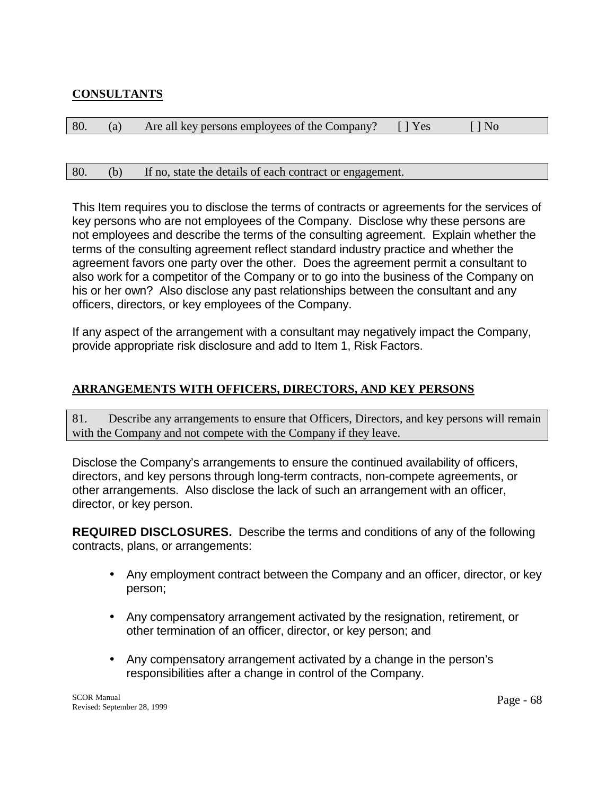# **CONSULTANTS**

| 80. | (a) Are all key persons employees of the Company? [] Yes [] No |  |  |
|-----|----------------------------------------------------------------|--|--|
|     |                                                                |  |  |

### 80. (b) If no, state the details of each contract or engagement.

This Item requires you to disclose the terms of contracts or agreements for the services of key persons who are not employees of the Company. Disclose why these persons are not employees and describe the terms of the consulting agreement. Explain whether the terms of the consulting agreement reflect standard industry practice and whether the agreement favors one party over the other. Does the agreement permit a consultant to also work for a competitor of the Company or to go into the business of the Company on his or her own? Also disclose any past relationships between the consultant and any officers, directors, or key employees of the Company.

If any aspect of the arrangement with a consultant may negatively impact the Company, provide appropriate risk disclosure and add to Item 1, Risk Factors.

## **ARRANGEMENTS WITH OFFICERS, DIRECTORS, AND KEY PERSONS**

81. Describe any arrangements to ensure that Officers, Directors, and key persons will remain with the Company and not compete with the Company if they leave.

Disclose the Company's arrangements to ensure the continued availability of officers, directors, and key persons through long-term contracts, non-compete agreements, or other arrangements. Also disclose the lack of such an arrangement with an officer, director, or key person.

**REQUIRED DISCLOSURES.** Describe the terms and conditions of any of the following contracts, plans, or arrangements:

- Any employment contract between the Company and an officer, director, or key person;
- Any compensatory arrangement activated by the resignation, retirement, or other termination of an officer, director, or key person; and
- Any compensatory arrangement activated by a change in the person's responsibilities after a change in control of the Company.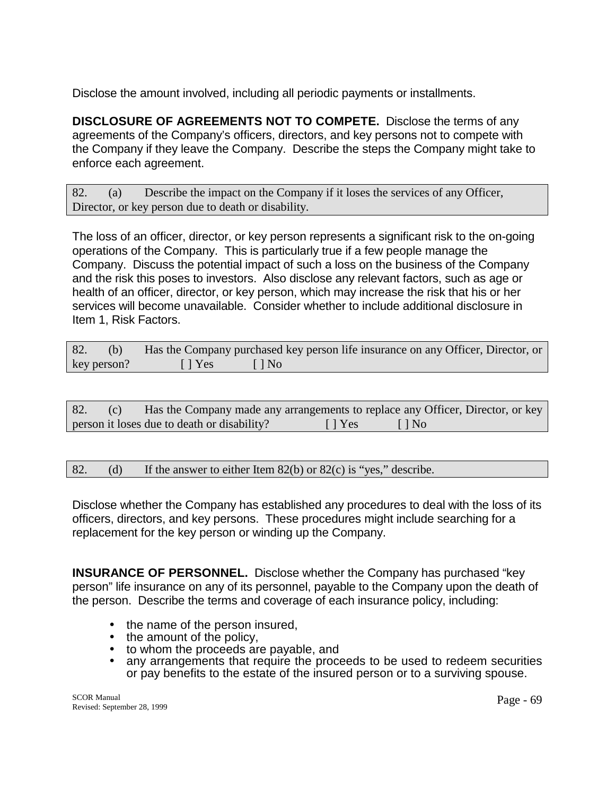Disclose the amount involved, including all periodic payments or installments.

**DISCLOSURE OF AGREEMENTS NOT TO COMPETE.** Disclose the terms of any agreements of the Company's officers, directors, and key persons not to compete with the Company if they leave the Company. Describe the steps the Company might take to enforce each agreement.

82. (a) Describe the impact on the Company if it loses the services of any Officer, Director, or key person due to death or disability.

The loss of an officer, director, or key person represents a significant risk to the on-going operations of the Company. This is particularly true if a few people manage the Company. Discuss the potential impact of such a loss on the business of the Company and the risk this poses to investors. Also disclose any relevant factors, such as age or health of an officer, director, or key person, which may increase the risk that his or her services will become unavailable. Consider whether to include additional disclosure in Item 1, Risk Factors.

| 82.         |                                                                                      | (b) Has the Company purchased key person life insurance on any Officer, Director, or |
|-------------|--------------------------------------------------------------------------------------|--------------------------------------------------------------------------------------|
| key person? | $\begin{bmatrix} \end{bmatrix} \text{Yes}$ $\begin{bmatrix} \end{bmatrix} \text{No}$ |                                                                                      |

| 82. | (C) |                                             |                   | Has the Company made any arrangements to replace any Officer, Director, or key |
|-----|-----|---------------------------------------------|-------------------|--------------------------------------------------------------------------------|
|     |     | person it loses due to death or disability? | $\parallel$   Yes | $\Box$ No                                                                      |

82. (d) If the answer to either Item 82(b) or 82(c) is "yes," describe.

Disclose whether the Company has established any procedures to deal with the loss of its officers, directors, and key persons. These procedures might include searching for a replacement for the key person or winding up the Company.

**INSURANCE OF PERSONNEL.** Disclose whether the Company has purchased "key" person" life insurance on any of its personnel, payable to the Company upon the death of the person. Describe the terms and coverage of each insurance policy, including:

- 
- 
- 
- the name of the person insured,<br>• to whom the proceeds are payable, and<br>• any arrangements that require the proceeds to be used to redeem securities or pay benefits to the estate of the insured person or to a surviving spouse.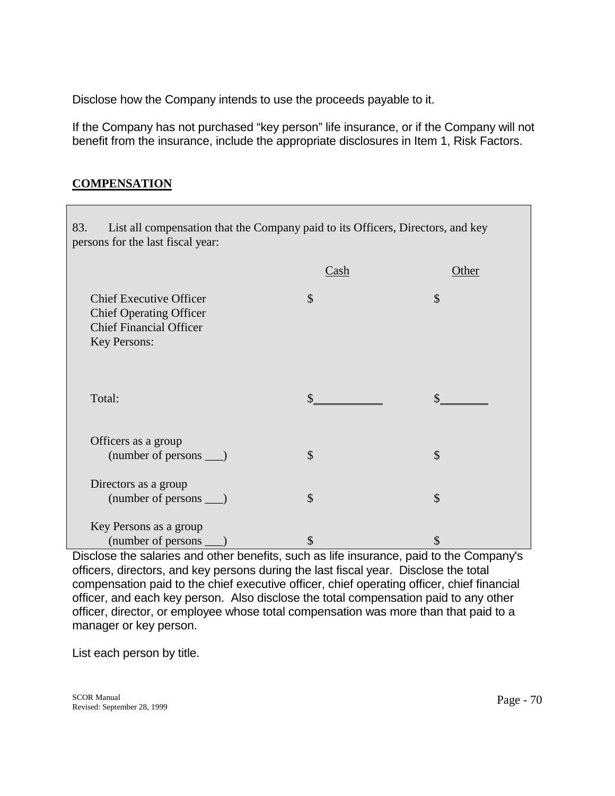Disclose how the Company intends to use the proceeds payable to it.

If the Company has not purchased "key person" life insurance, or if the Company will not benefit from the insurance, include the appropriate disclosures in Item 1, Risk Factors.

## **COMPENSATION**

| List all compensation that the Company paid to its Officers, Directors, and key<br>83.<br>persons for the last fiscal year: |                                   |               |  |  |
|-----------------------------------------------------------------------------------------------------------------------------|-----------------------------------|---------------|--|--|
|                                                                                                                             | $\frac{\text{Cash}}{\text{Cash}}$ | Other         |  |  |
| <b>Chief Executive Officer</b><br><b>Chief Operating Officer</b><br><b>Chief Financial Officer</b><br>Key Persons:          | \$                                | $\mathcal{S}$ |  |  |
| Total:                                                                                                                      |                                   |               |  |  |
| Officers as a group<br>$(number of persons \_\)$                                                                            | $\mathcal{S}$                     | \$            |  |  |
| Directors as a group<br>$(number of persons \_\)$                                                                           | $\mathcal{S}$                     | $\mathcal{S}$ |  |  |
| Key Persons as a group                                                                                                      | \$                                | S             |  |  |

Disclose the salaries and other benefits, such as life insurance, paid to the Company's officers, directors, and key persons during the last fiscal year. Disclose the total compensation paid to the chief executive officer, chief operating officer, chief financial officer, and each key person. Also disclose the total compensation paid to any other officer, director, or employee whose total compensation was more than that paid to a manager or key person.

List each person by title.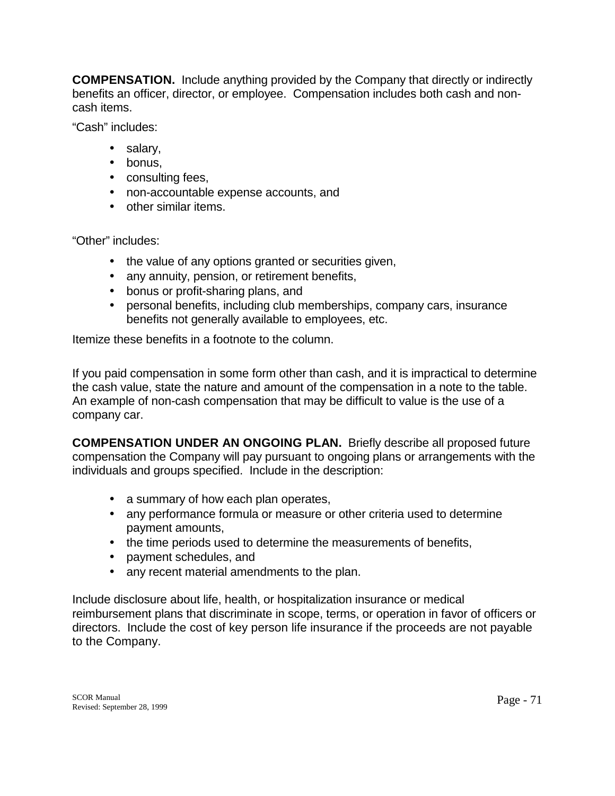**COMPENSATION.** Include anything provided by the Company that directly or indirectly benefits an officer, director, or employee. Compensation includes both cash and noncash items.

"Cash" includes:

- salary,
- bonus,
- consulting fees,
- non-accountable expense accounts, and
- other similar items.

"Other" includes:

- the value of any options granted or securities given,
- any annuity, pension, or retirement benefits,
- bonus or profit-sharing plans, and
- personal benefits, including club memberships, company cars, insurance benefits not generally available to employees, etc.

Itemize these benefits in a footnote to the column.

If you paid compensation in some form other than cash, and it is impractical to determine the cash value, state the nature and amount of the compensation in a note to the table. An example of non-cash compensation that may be difficult to value is the use of a company car.

**COMPENSATION UNDER AN ONGOING PLAN.** Briefly describe all proposed future compensation the Company will pay pursuant to ongoing plans or arrangements with the individuals and groups specified. Include in the description:

- a summary of how each plan operates,
- any performance formula or measure or other criteria used to determine payment amounts,
- the time periods used to determine the measurements of benefits,
- payment schedules, and
- any recent material amendments to the plan.

Include disclosure about life, health, or hospitalization insurance or medical reimbursement plans that discriminate in scope, terms, or operation in favor of officers or directors. Include the cost of key person life insurance if the proceeds are not payable to the Company.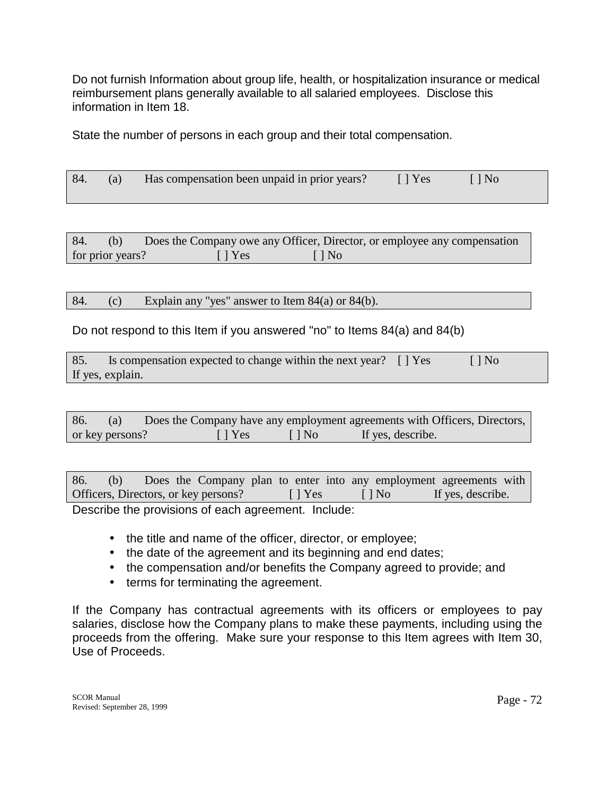Do not furnish Information about group life, health, or hospitalization insurance or medical reimbursement plans generally available to all salaried employees. Disclose this information in Item 18.

State the number of persons in each group and their total compensation.

| 84. | (a) Has compensation been unpaid in prior years? | $\Box$ Yes | [ D No |  |
|-----|--------------------------------------------------|------------|--------|--|
|     |                                                  |            |        |  |

| 84.              | (b) |                | Does the Company owe any Officer, Director, or employee any compensation |
|------------------|-----|----------------|--------------------------------------------------------------------------|
| for prior years? |     | $\lceil$   Yes | $\Box$ No                                                                |

84. (c) Explain any "yes" answer to Item 84(a) or 84(b).

Do not respond to this Item if you answered "no" to Items 84(a) and 84(b)

| 85. | Is compensation expected to change within the next year? [] Yes | $\Box$ No |
|-----|-----------------------------------------------------------------|-----------|
|     | If yes, explain.                                                |           |

| 86.             | (a) | Does the Company have any employment agreements with Officers, Directors, |              |                   |  |
|-----------------|-----|---------------------------------------------------------------------------|--------------|-------------------|--|
| or key persons? |     | $\vert \vert$ Yes                                                         | $\vert$   No | If yes, describe. |  |

| 86.<br>(b)                           |               |           | Does the Company plan to enter into any employment agreements with |
|--------------------------------------|---------------|-----------|--------------------------------------------------------------------|
| Officers, Directors, or key persons? | $\vert$   Yes | $\Box$ No | If yes, describe.                                                  |

Describe the provisions of each agreement. Include:

- the title and name of the officer, director, or employee;
- the date of the agreement and its beginning and end dates;
- the compensation and/or benefits the Company agreed to provide; and
- terms for terminating the agreement.

If the Company has contractual agreements with its officers or employees to pay salaries, disclose how the Company plans to make these payments, including using the proceeds from the offering. Make sure your response to this Item agrees with Item 30, Use of Proceeds.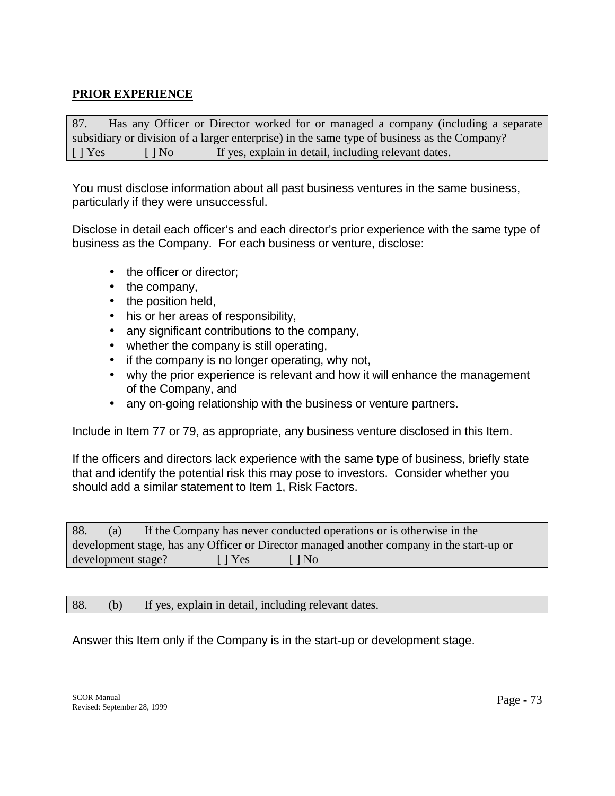## **PRIOR EXPERIENCE**

87. Has any Officer or Director worked for or managed a company (including a separate subsidiary or division of a larger enterprise) in the same type of business as the Company?  $[ ]$  Yes  $[ ]$  No If yes, explain in detail, including relevant dates.

You must disclose information about all past business ventures in the same business, particularly if they were unsuccessful.

Disclose in detail each officer's and each director's prior experience with the same type of business as the Company. For each business or venture, disclose:

- the officer or director:
- the company,
- the position held,
- his or her areas of responsibility,
- any significant contributions to the company,
- whether the company is still operating,
- if the company is no longer operating, why not,
- why the prior experience is relevant and how it will enhance the management of the Company, and
- any on-going relationship with the business or venture partners.

Include in Item 77 or 79, as appropriate, any business venture disclosed in this Item.

If the officers and directors lack experience with the same type of business, briefly state that and identify the potential risk this may pose to investors. Consider whether you should add a similar statement to Item 1, Risk Factors.

| 88.                | (a) |                           | If the Company has never conducted operations or is otherwise in the                      |
|--------------------|-----|---------------------------|-------------------------------------------------------------------------------------------|
|                    |     |                           | development stage, has any Officer or Director managed another company in the start-up or |
| development stage? |     | $\lceil \cdot \rceil$ Yes | $\lceil \cdot \rceil$ No                                                                  |

88. (b) If yes, explain in detail, including relevant dates.

Answer this Item only if the Company is in the start-up or development stage.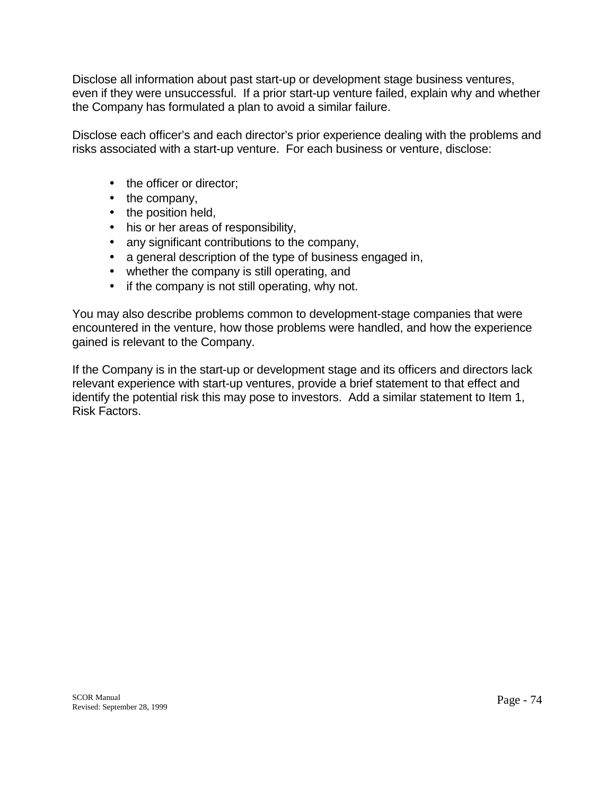Disclose all information about past start-up or development stage business ventures, even if they were unsuccessful. If a prior start-up venture failed, explain why and whether the Company has formulated a plan to avoid a similar failure.

Disclose each officer's and each director's prior experience dealing with the problems and risks associated with a start-up venture. For each business or venture, disclose:

- the officer or director:
- the company,
- the position held,
- his or her areas of responsibility,
- any significant contributions to the company,
- a general description of the type of business engaged in,
- whether the company is still operating, and
- if the company is not still operating, why not.

You may also describe problems common to development-stage companies that were encountered in the venture, how those problems were handled, and how the experience gained is relevant to the Company.

If the Company is in the start-up or development stage and its officers and directors lack relevant experience with start-up ventures, provide a brief statement to that effect and identify the potential risk this may pose to investors. Add a similar statement to Item 1, Risk Factors.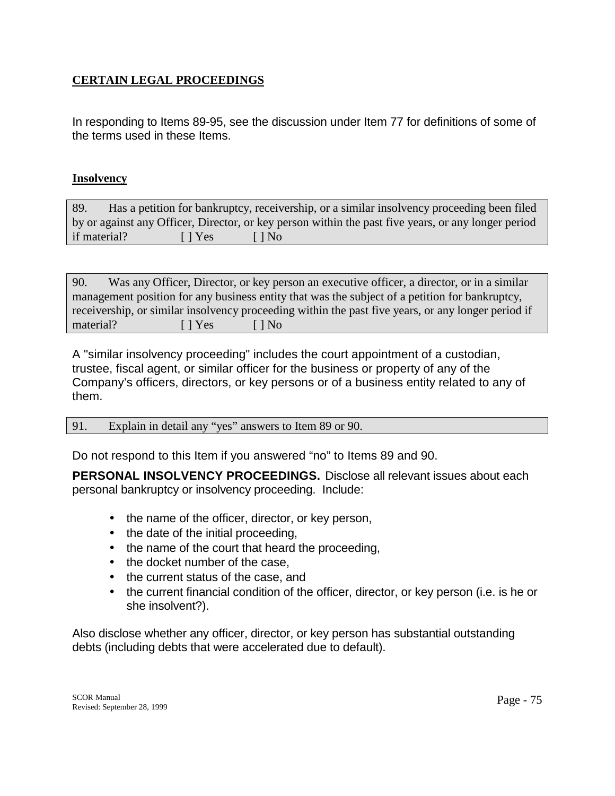## **CERTAIN LEGAL PROCEEDINGS**

In responding to Items 89-95, see the discussion under Item 77 for definitions of some of the terms used in these Items.

#### **Insolvency**

89. Has a petition for bankruptcy, receivership, or a similar insolvency proceeding been filed by or against any Officer, Director, or key person within the past five years, or any longer period if material? [ ] Yes [ ] No

| 90.       |                                                                                                | Was any Officer, Director, or key person an executive officer, a director, or in a similar         |  |  |  |  |
|-----------|------------------------------------------------------------------------------------------------|----------------------------------------------------------------------------------------------------|--|--|--|--|
|           | management position for any business entity that was the subject of a petition for bankruptcy, |                                                                                                    |  |  |  |  |
|           |                                                                                                | receivership, or similar insolvency proceeding within the past five years, or any longer period if |  |  |  |  |
| material? | I Yes                                                                                          | $\Box$ No                                                                                          |  |  |  |  |

A "similar insolvency proceeding" includes the court appointment of a custodian, trustee, fiscal agent, or similar officer for the business or property of any of the Company's officers, directors, or key persons or of a business entity related to any of them.

91. Explain in detail any "yes" answers to Item 89 or 90.

Do not respond to this Item if you answered "no" to Items 89 and 90.

**PERSONAL INSOLVENCY PROCEEDINGS.** Disclose all relevant issues about each personal bankruptcy or insolvency proceeding. Include:

- the name of the officer, director, or key person,
- the date of the initial proceeding,
- the name of the court that heard the proceeding,
- the docket number of the case,
- the current status of the case, and
- the current financial condition of the officer, director, or key person (i.e. is he or she insolvent?).

Also disclose whether any officer, director, or key person has substantial outstanding debts (including debts that were accelerated due to default).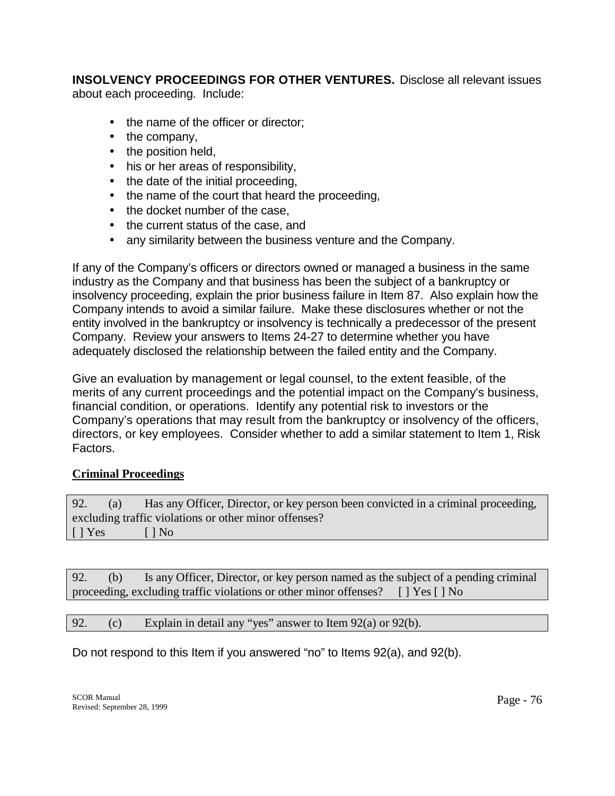**INSOLVENCY PROCEEDINGS FOR OTHER VENTURES.** Disclose all relevant issues about each proceeding. Include:

- the name of the officer or director;
- the company,
- the position held,
- his or her areas of responsibility,
- the date of the initial proceeding,
- the name of the court that heard the proceeding,
- the docket number of the case,
- the current status of the case, and
- any similarity between the business venture and the Company.

If any of the Company's officers or directors owned or managed a business in the same industry as the Company and that business has been the subject of a bankruptcy or insolvency proceeding, explain the prior business failure in Item 87. Also explain how the Company intends to avoid a similar failure. Make these disclosures whether or not the entity involved in the bankruptcy or insolvency is technically a predecessor of the present Company. Review your answers to Items 24-27 to determine whether you have adequately disclosed the relationship between the failed entity and the Company.

Give an evaluation by management or legal counsel, to the extent feasible, of the merits of any current proceedings and the potential impact on the Company's business, financial condition, or operations. Identify any potential risk to investors or the Company's operations that may result from the bankruptcy or insolvency of the officers, directors, or key employees. Consider whether to add a similar statement to Item 1, Risk Factors.

## **Criminal Proceedings**

92. (a) Has any Officer, Director, or key person been convicted in a criminal proceeding, excluding traffic violations or other minor offenses?  $[ ] Yes ]$   $[ ] No$ 

92. (b) Is any Officer, Director, or key person named as the subject of a pending criminal proceeding, excluding traffic violations or other minor offenses? [ ] Yes [ ] No

92. (c) Explain in detail any "yes" answer to Item 92(a) or 92(b).

Do not respond to this Item if you answered "no" to Items 92(a), and 92(b).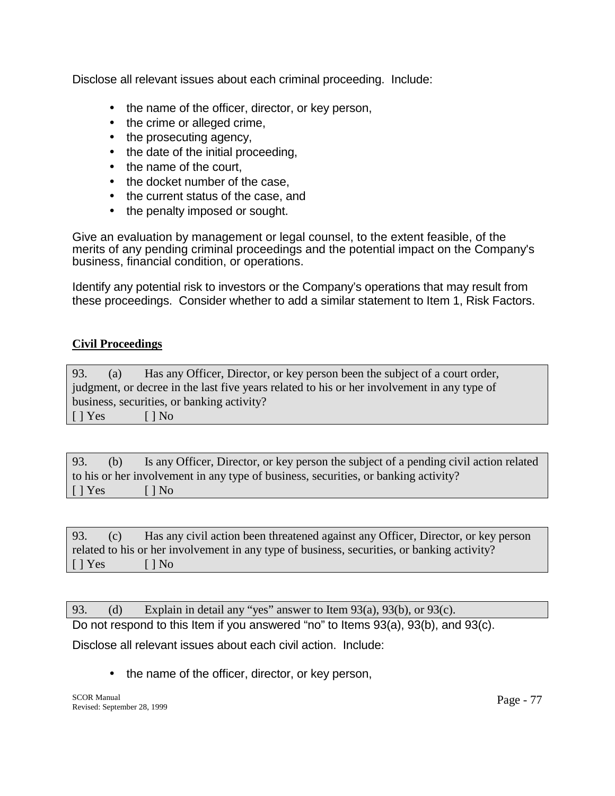Disclose all relevant issues about each criminal proceeding. Include:

- the name of the officer, director, or key person,
- the crime or alleged crime,
- the prosecuting agency,
- the date of the initial proceeding,
- the name of the court.
- the docket number of the case.
- the current status of the case, and
- the penalty imposed or sought.

Give an evaluation by management or legal counsel, to the extent feasible, of the merits of any pending criminal proceedings and the potential impact on the Company's business, financial condition, or operations.

Identify any potential risk to investors or the Company's operations that may result from these proceedings. Consider whether to add a similar statement to Item 1, Risk Factors.

## **Civil Proceedings**

93. (a) Has any Officer, Director, or key person been the subject of a court order, judgment, or decree in the last five years related to his or her involvement in any type of business, securities, or banking activity?  $[ ] Yes ]$   $[ ] No$ 

93. (b) Is any Officer, Director, or key person the subject of a pending civil action related to his or her involvement in any type of business, securities, or banking activity?  $[ ]$  Yes  $[ ]$  No

93. (c) Has any civil action been threatened against any Officer, Director, or key person related to his or her involvement in any type of business, securities, or banking activity?  $[ ] Yes ]$   $[ ] No$ 

93. (d) Explain in detail any "yes" answer to Item 93(a), 93(b), or 93(c).

Do not respond to this Item if you answered "no" to Items 93(a), 93(b), and 93(c).

Disclose all relevant issues about each civil action. Include:

• the name of the officer, director, or key person,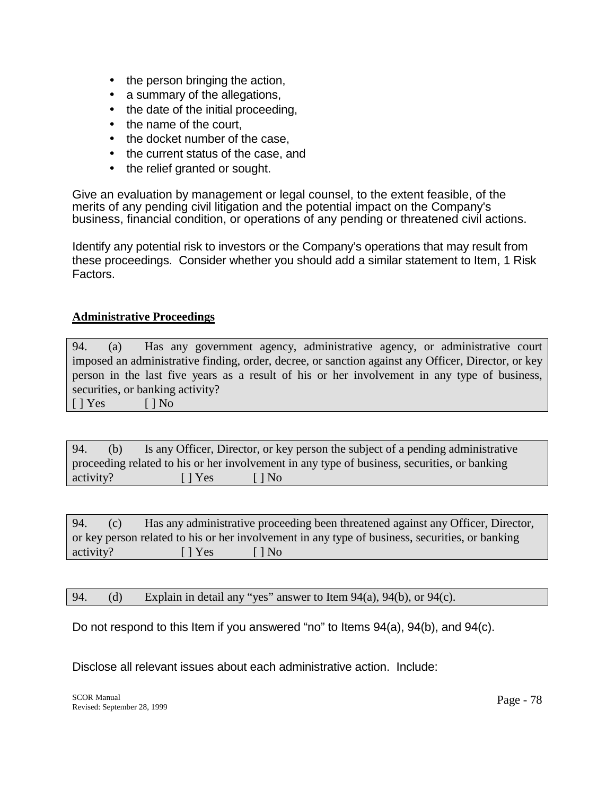- the person bringing the action,
- a summary of the allegations,
- the date of the initial proceeding,
- the name of the court,
- the docket number of the case.
- the current status of the case, and
- the relief granted or sought.

Give an evaluation by management or legal counsel, to the extent feasible, of the merits of any pending civil litigation and the potential impact on the Company's business, financial condition, or operations of any pending or threatened civil actions.

Identify any potential risk to investors or the Company's operations that may result from these proceedings. Consider whether you should add a similar statement to Item, 1 Risk Factors.

## **Administrative Proceedings**

94. (a) Has any government agency, administrative agency, or administrative court imposed an administrative finding, order, decree, or sanction against any Officer, Director, or key person in the last five years as a result of his or her involvement in any type of business, securities, or banking activity?

 $[ ]$  Yes  $[ ]$  No

94. (b) Is any Officer, Director, or key person the subject of a pending administrative proceeding related to his or her involvement in any type of business, securities, or banking activity? [ ] Yes [ ] No

94. (c) Has any administrative proceeding been threatened against any Officer, Director, or key person related to his or her involvement in any type of business, securities, or banking activity? [ ] Yes [ ] No

94. (d) Explain in detail any "yes" answer to Item  $94(a)$ ,  $94(b)$ , or  $94(c)$ .

Do not respond to this Item if you answered "no" to Items 94(a), 94(b), and 94(c).

Disclose all relevant issues about each administrative action. Include: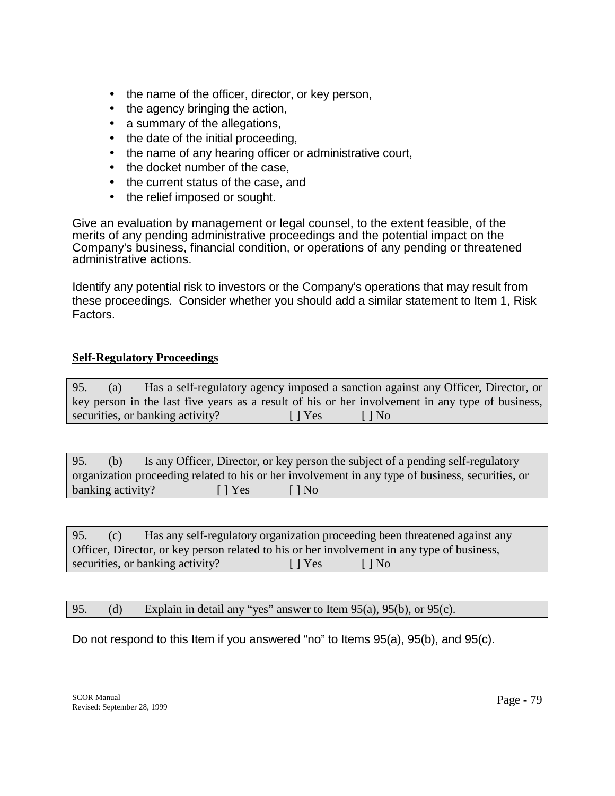- the name of the officer, director, or key person,
- the agency bringing the action,
- a summary of the allegations,
- the date of the initial proceeding,
- the name of any hearing officer or administrative court,
- the docket number of the case.
- the current status of the case, and
- the relief imposed or sought.

Give an evaluation by management or legal counsel, to the extent feasible, of the merits of any pending administrative proceedings and the potential impact on the Company's business, financial condition, or operations of any pending or threatened administrative actions.

Identify any potential risk to investors or the Company's operations that may result from these proceedings. Consider whether you should add a similar statement to Item 1, Risk Factors.

#### **Self-Regulatory Proceedings**

| 95. | $\left( a\right)$ |                                  |                           | Has a self-regulatory agency imposed a sanction against any Officer, Director, or                |  |
|-----|-------------------|----------------------------------|---------------------------|--------------------------------------------------------------------------------------------------|--|
|     |                   |                                  |                           | key person in the last five years as a result of his or her involvement in any type of business, |  |
|     |                   | securities, or banking activity? | $\lceil \cdot \rceil$ Yes | $\Box$ No                                                                                        |  |

| 95.               | (b)                                                                                               |  |                           | Is any Officer, Director, or key person the subject of a pending self-regulatory |  |  |
|-------------------|---------------------------------------------------------------------------------------------------|--|---------------------------|----------------------------------------------------------------------------------|--|--|
|                   | organization proceeding related to his or her involvement in any type of business, securities, or |  |                           |                                                                                  |  |  |
| banking activity? |                                                                                                   |  | $\lceil \cdot \rceil$ Yes | $\Box$ No                                                                        |  |  |

95. (c) Has any self-regulatory organization proceeding been threatened against any Officer, Director, or key person related to his or her involvement in any type of business, securities, or banking activity? [ ] Yes [ ] No

#### 95. (d) Explain in detail any "yes" answer to Item 95(a), 95(b), or 95(c).

Do not respond to this Item if you answered "no" to Items 95(a), 95(b), and 95(c).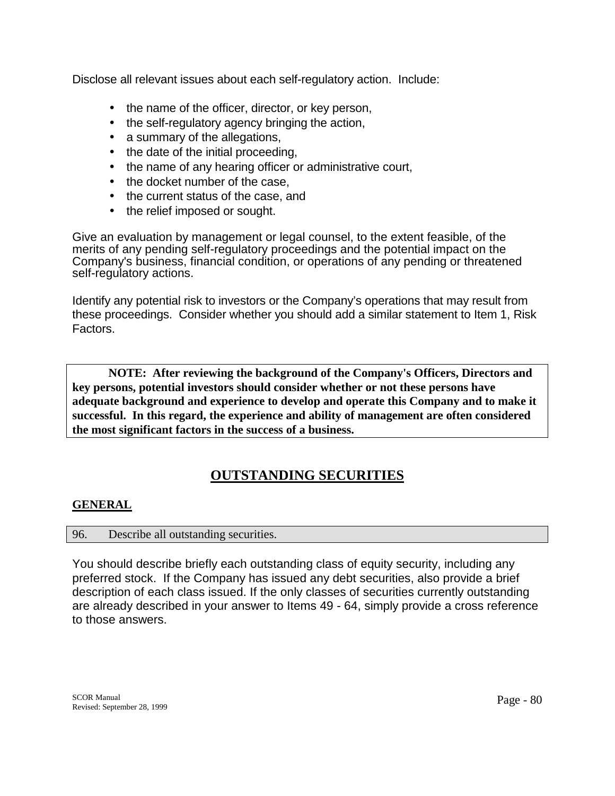Disclose all relevant issues about each self-regulatory action. Include:

- the name of the officer, director, or key person,
- the self-regulatory agency bringing the action,
- a summary of the allegations,
- the date of the initial proceeding,
- the name of any hearing officer or administrative court,
- the docket number of the case,
- the current status of the case, and
- the relief imposed or sought.

Give an evaluation by management or legal counsel, to the extent feasible, of the merits of any pending self-regulatory proceedings and the potential impact on the Company's business, financial condition, or operations of any pending or threatened self-regulatory actions.

Identify any potential risk to investors or the Company's operations that may result from these proceedings. Consider whether you should add a similar statement to Item 1, Risk Factors.

**NOTE: After reviewing the background of the Company's Officers, Directors and key persons, potential investors should consider whether or not these persons have adequate background and experience to develop and operate this Company and to make it successful. In this regard, the experience and ability of management are often considered the most significant factors in the success of a business.** 

## **OUTSTANDING SECURITIES**

## **GENERAL**

#### 96. Describe all outstanding securities.

You should describe briefly each outstanding class of equity security, including any preferred stock. If the Company has issued any debt securities, also provide a brief description of each class issued. If the only classes of securities currently outstanding are already described in your answer to Items 49 - 64, simply provide a cross reference to those answers.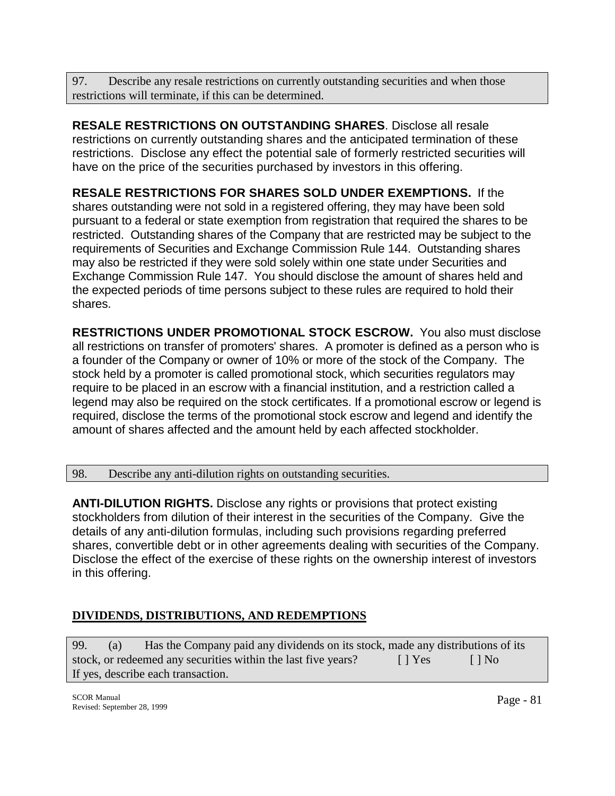97. Describe any resale restrictions on currently outstanding securities and when those restrictions will terminate, if this can be determined.

**RESALE RESTRICTIONS ON OUTSTANDING SHARES**. Disclose all resale restrictions on currently outstanding shares and the anticipated termination of these restrictions. Disclose any effect the potential sale of formerly restricted securities will have on the price of the securities purchased by investors in this offering.

**RESALE RESTRICTIONS FOR SHARES SOLD UNDER EXEMPTIONS.** If the shares outstanding were not sold in a registered offering, they may have been sold pursuant to a federal or state exemption from registration that required the shares to be restricted. Outstanding shares of the Company that are restricted may be subject to the requirements of Securities and Exchange Commission Rule 144. Outstanding shares may also be restricted if they were sold solely within one state under Securities and Exchange Commission Rule 147. You should disclose the amount of shares held and the expected periods of time persons subject to these rules are required to hold their shares.

**RESTRICTIONS UNDER PROMOTIONAL STOCK ESCROW.** You also must disclose all restrictions on transfer of promoters' shares. A promoter is defined as a person who is a founder of the Company or owner of 10% or more of the stock of the Company. The stock held by a promoter is called promotional stock, which securities regulators may require to be placed in an escrow with a financial institution, and a restriction called a legend may also be required on the stock certificates. If a promotional escrow or legend is required, disclose the terms of the promotional stock escrow and legend and identify the amount of shares affected and the amount held by each affected stockholder.

98. Describe any anti-dilution rights on outstanding securities.

**ANTI-DILUTION RIGHTS.** Disclose any rights or provisions that protect existing stockholders from dilution of their interest in the securities of the Company. Give the details of any anti-dilution formulas, including such provisions regarding preferred shares, convertible debt or in other agreements dealing with securities of the Company. Disclose the effect of the exercise of these rights on the ownership interest of investors in this offering.

## **DIVIDENDS, DISTRIBUTIONS, AND REDEMPTIONS**

99. (a) Has the Company paid any dividends on its stock, made any distributions of its stock, or redeemed any securities within the last five years?  $[ ]$  Yes  $[ ]$  No If yes, describe each transaction.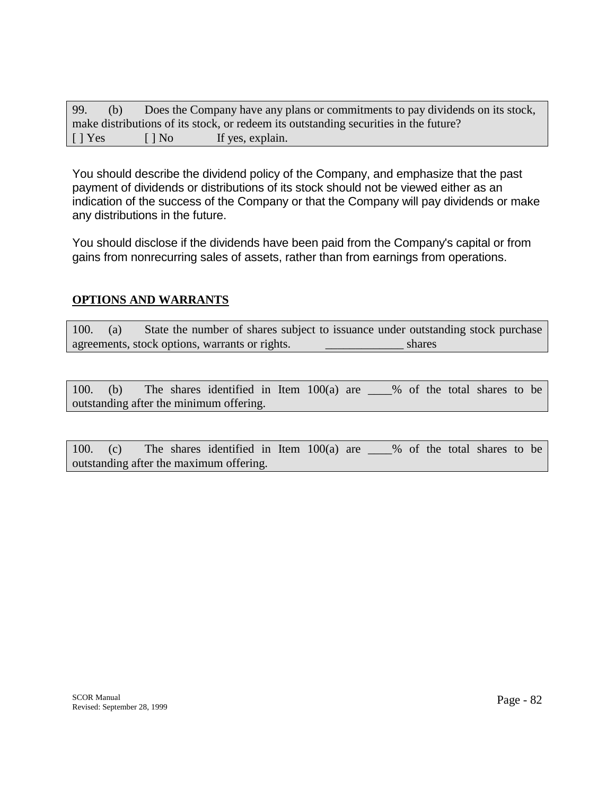| 99.                       | (b) |           | Does the Company have any plans or commitments to pay dividends on its stock,        |
|---------------------------|-----|-----------|--------------------------------------------------------------------------------------|
|                           |     |           | make distributions of its stock, or redeem its outstanding securities in the future? |
| $\lceil \cdot \rceil$ Yes |     | $\Box$ No | If yes, explain.                                                                     |

You should describe the dividend policy of the Company, and emphasize that the past payment of dividends or distributions of its stock should not be viewed either as an indication of the success of the Company or that the Company will pay dividends or make any distributions in the future.

You should disclose if the dividends have been paid from the Company's capital or from gains from nonrecurring sales of assets, rather than from earnings from operations.

## **OPTIONS AND WARRANTS**

100. (a) State the number of shares subject to issuance under outstanding stock purchase agreements, stock options, warrants or rights.  $\blacksquare$ 

100. (b) The shares identified in Item 100(a) are \_\_\_\_% of the total shares to be outstanding after the minimum offering.

100. (c) The shares identified in Item 100(a) are \_\_\_\_% of the total shares to be outstanding after the maximum offering.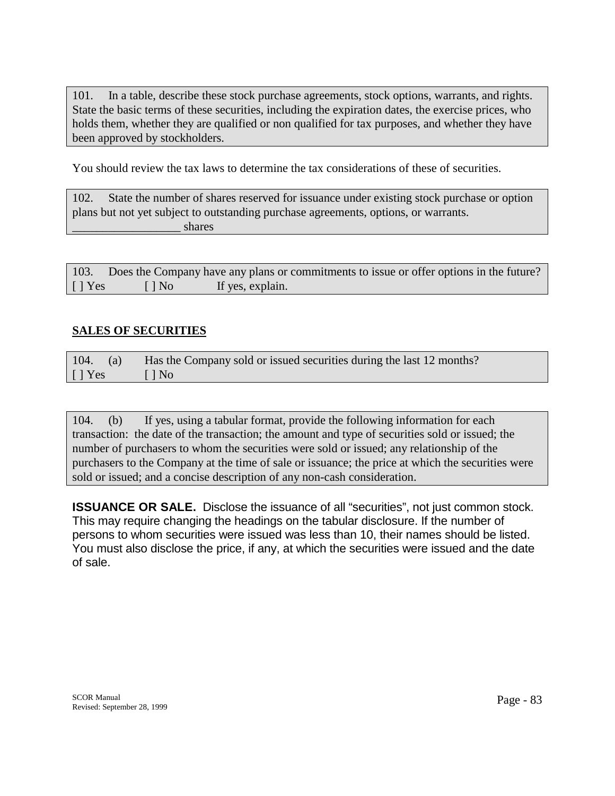101. In a table, describe these stock purchase agreements, stock options, warrants, and rights. State the basic terms of these securities, including the expiration dates, the exercise prices, who holds them, whether they are qualified or non qualified for tax purposes, and whether they have been approved by stockholders.

You should review the tax laws to determine the tax considerations of these of securities.

| 102. | State the number of shares reserved for issuance under existing stock purchase or option |
|------|------------------------------------------------------------------------------------------|
|      | plans but not yet subject to outstanding purchase agreements, options, or warrants.      |
|      | shares                                                                                   |

| 103.           |                          | Does the Company have any plans or commitments to issue or offer options in the future? |  |
|----------------|--------------------------|-----------------------------------------------------------------------------------------|--|
| $\lceil$   Yes | $\lceil \cdot \rceil$ No | If yes, explain.                                                                        |  |

#### **SALES OF SECURITIES**

|           | 104. (a) Has the Company sold or issued securities during the last 12 months? |
|-----------|-------------------------------------------------------------------------------|
| $[$   Yes | $\blacksquare$ $\blacksquare$ $\blacksquare$ $\blacksquare$                   |

104. (b) If yes, using a tabular format, provide the following information for each transaction: the date of the transaction; the amount and type of securities sold or issued; the number of purchasers to whom the securities were sold or issued; any relationship of the purchasers to the Company at the time of sale or issuance; the price at which the securities were sold or issued; and a concise description of any non-cash consideration.

**ISSUANCE OR SALE.** Disclose the issuance of all "securities", not just common stock. This may require changing the headings on the tabular disclosure. If the number of persons to whom securities were issued was less than 10, their names should be listed. You must also disclose the price, if any, at which the securities were issued and the date of sale.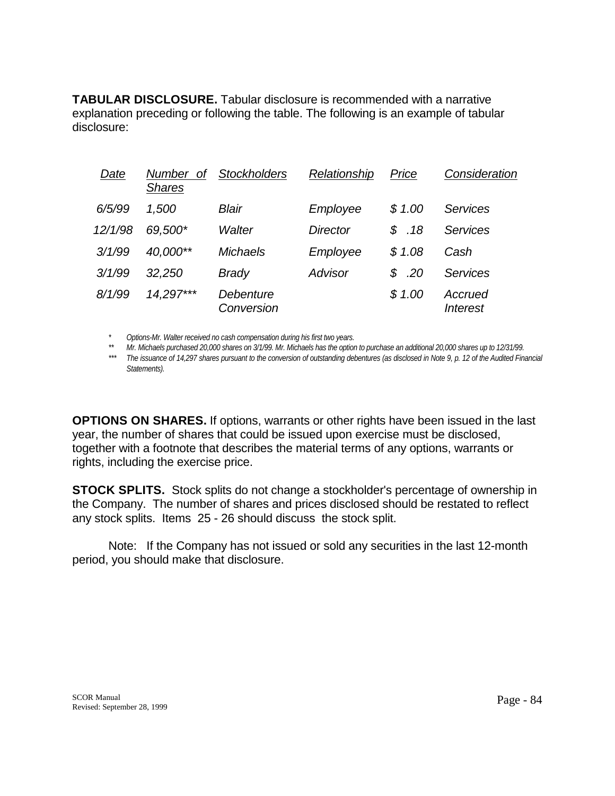**TABULAR DISCLOSURE.** Tabular disclosure is recommended with a narrative explanation preceding or following the table. The following is an example of tabular disclosure:

| Date    | <b>Number</b><br>Οf<br><b>Shares</b> | <b>Stockholders</b>     | Relationship | Price    | Consideration                     |
|---------|--------------------------------------|-------------------------|--------------|----------|-----------------------------------|
| 6/5/99  | 1,500                                | Blair                   | Employee     | \$1.00   | <b>Services</b>                   |
| 12/1/98 | 69,500*                              | Walter                  | Director     | \$18     | Services                          |
| 3/1/99  | 40,000**                             | <b>Michaels</b>         | Employee     | \$1.08   | Cash                              |
| 3/1/99  | 32,250                               | <b>Brady</b>            | Advisor      | .20<br>S | <b>Services</b>                   |
| 8/1/99  | 14,297***                            | Debenture<br>Conversion |              | \$1.00   | Accrued<br><i><b>Interest</b></i> |

 *\* Options-Mr. Walter received no cash compensation during his first two years.* 

 *\*\* Mr. Michaels purchased 20,000 shares on 3/1/99. Mr. Michaels has the option to purchase an additional 20,000 shares up to 12/31/99.* 

 *\*\*\* The issuance of 14,297 shares pursuant to the conversion of outstanding debentures (as disclosed in Note 9, p. 12 of the Audited Financial Statements).*

**OPTIONS ON SHARES.** If options, warrants or other rights have been issued in the last year, the number of shares that could be issued upon exercise must be disclosed, together with a footnote that describes the material terms of any options, warrants or rights, including the exercise price.

**STOCK SPLITS.** Stock splits do not change a stockholder's percentage of ownership in the Company. The number of shares and prices disclosed should be restated to reflect any stock splits. Items 25 - 26 should discuss the stock split.

Note: If the Company has not issued or sold any securities in the last 12-month period, you should make that disclosure.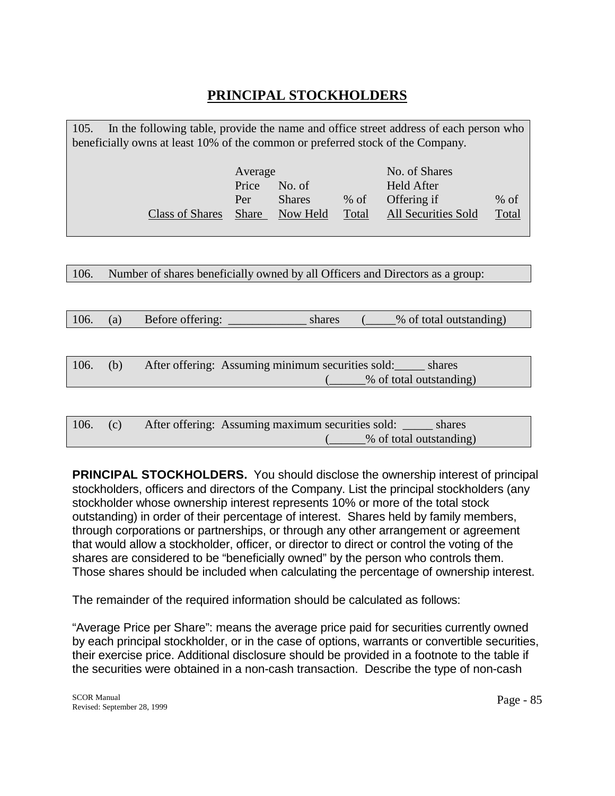# **PRINCIPAL STOCKHOLDERS**

| In the following table, provide the name and office street address of each person who<br>105.<br>beneficially owns at least 10% of the common or preferred stock of the Company. |  |                           |                            |        |  |
|----------------------------------------------------------------------------------------------------------------------------------------------------------------------------------|--|---------------------------|----------------------------|--------|--|
|                                                                                                                                                                                  |  |                           |                            |        |  |
| No. of Shares<br>Average                                                                                                                                                         |  |                           |                            |        |  |
| Price<br><b>Held After</b><br>No. of                                                                                                                                             |  |                           |                            |        |  |
| Per                                                                                                                                                                              |  | $%$ of                    | Offering if                | $%$ of |  |
| <b>Share</b>                                                                                                                                                                     |  | Total                     | <b>All Securities Sold</b> | Total  |  |
|                                                                                                                                                                                  |  | <b>Shares</b><br>Now Held |                            |        |  |

106. Number of shares beneficially owned by all Officers and Directors as a group:

106. (a) Before offering: shares (4.645) shares (6.645) shares (5.645) shares (5.645) and  $\frac{10}{10}$ 

| 106. | (b) | After offering: Assuming minimum securities sold: | shares                  |
|------|-----|---------------------------------------------------|-------------------------|
|      |     |                                                   | % of total outstanding) |

| 106. |  | After offering: Assuming maximum securities sold: |                         | shares |
|------|--|---------------------------------------------------|-------------------------|--------|
|      |  |                                                   | % of total outstanding) |        |

**PRINCIPAL STOCKHOLDERS.** You should disclose the ownership interest of principal stockholders, officers and directors of the Company. List the principal stockholders (any stockholder whose ownership interest represents 10% or more of the total stock outstanding) in order of their percentage of interest. Shares held by family members, through corporations or partnerships, or through any other arrangement or agreement that would allow a stockholder, officer, or director to direct or control the voting of the shares are considered to be "beneficially owned" by the person who controls them. Those shares should be included when calculating the percentage of ownership interest.

The remainder of the required information should be calculated as follows:

"Average Price per Share": means the average price paid for securities currently owned by each principal stockholder, or in the case of options, warrants or convertible securities, their exercise price. Additional disclosure should be provided in a footnote to the table if the securities were obtained in a non-cash transaction. Describe the type of non-cash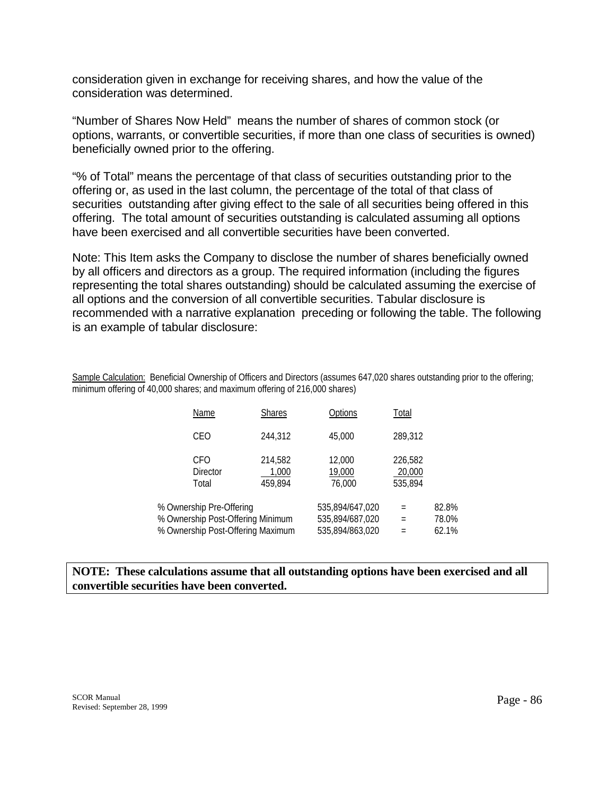consideration given in exchange for receiving shares, and how the value of the consideration was determined.

"Number of Shares Now Held" means the number of shares of common stock (or options, warrants, or convertible securities, if more than one class of securities is owned) beneficially owned prior to the offering.

"% of Total" means the percentage of that class of securities outstanding prior to the offering or, as used in the last column, the percentage of the total of that class of securities outstanding after giving effect to the sale of all securities being offered in this offering. The total amount of securities outstanding is calculated assuming all options have been exercised and all convertible securities have been converted.

Note: This Item asks the Company to disclose the number of shares beneficially owned by all officers and directors as a group. The required information (including the figures representing the total shares outstanding) should be calculated assuming the exercise of all options and the conversion of all convertible securities. Tabular disclosure is recommended with a narrative explanation preceding or following the table. The following is an example of tabular disclosure:

Sample Calculation: Beneficial Ownership of Officers and Directors (assumes 647,020 shares outstanding prior to the offering; minimum offering of 40,000 shares; and maximum offering of 216,000 shares)

| Name                                                                                               | <b>Shares</b>               | Options                                               | Total                        |                         |
|----------------------------------------------------------------------------------------------------|-----------------------------|-------------------------------------------------------|------------------------------|-------------------------|
| CEO                                                                                                | 244.312                     | 45,000                                                | 289.312                      |                         |
| <b>CFO</b><br><b>Director</b><br>Total                                                             | 214.582<br>1,000<br>459.894 | 12,000<br>19,000<br>76,000                            | 226,582<br>20,000<br>535.894 |                         |
| % Ownership Pre-Offering<br>% Ownership Post-Offering Minimum<br>% Ownership Post-Offering Maximum |                             | 535,894/647,020<br>535,894/687,020<br>535,894/863,020 | $=$<br>$=$<br>Ξ              | 82.8%<br>78.0%<br>62.1% |

## **NOTE: These calculations assume that all outstanding options have been exercised and all convertible securities have been converted.**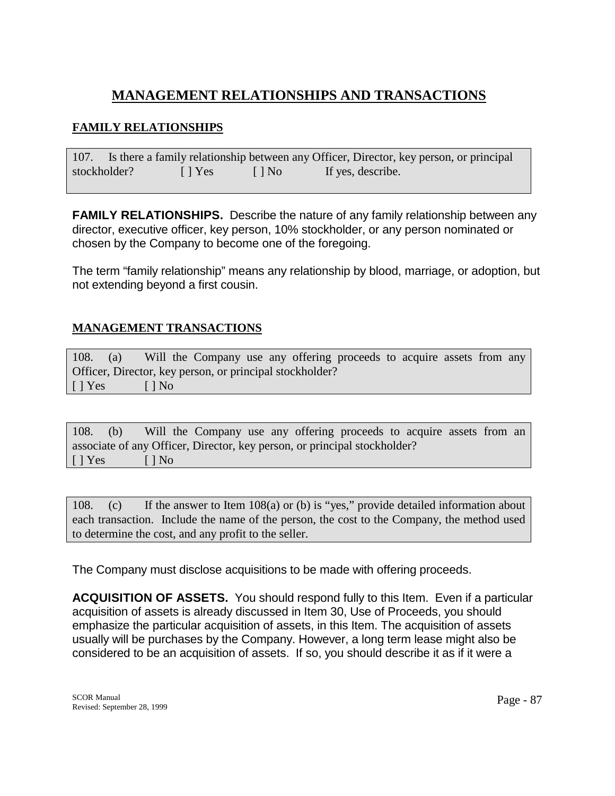# **MANAGEMENT RELATIONSHIPS AND TRANSACTIONS**

## **FAMILY RELATIONSHIPS**

107. Is there a family relationship between any Officer, Director, key person, or principal stockholder? [ ] Yes [ ] No If yes, describe.

**FAMILY RELATIONSHIPS.** Describe the nature of any family relationship between any director, executive officer, key person, 10% stockholder, or any person nominated or chosen by the Company to become one of the foregoing.

The term "family relationship" means any relationship by blood, marriage, or adoption, but not extending beyond a first cousin.

## **MANAGEMENT TRANSACTIONS**

108. (a) Will the Company use any offering proceeds to acquire assets from any Officer, Director, key person, or principal stockholder?  $[ ]$  Yes  $[ ]$  No

108. (b) Will the Company use any offering proceeds to acquire assets from an associate of any Officer, Director, key person, or principal stockholder?  $[ ] Yes ]$   $[ ] No$ 

108. (c) If the answer to Item 108(a) or (b) is "yes," provide detailed information about each transaction. Include the name of the person, the cost to the Company, the method used to determine the cost, and any profit to the seller.

The Company must disclose acquisitions to be made with offering proceeds.

**ACQUISITION OF ASSETS.** You should respond fully to this Item. Even if a particular acquisition of assets is already discussed in Item 30, Use of Proceeds, you should emphasize the particular acquisition of assets, in this Item. The acquisition of assets usually will be purchases by the Company. However, a long term lease might also be considered to be an acquisition of assets. If so, you should describe it as if it were a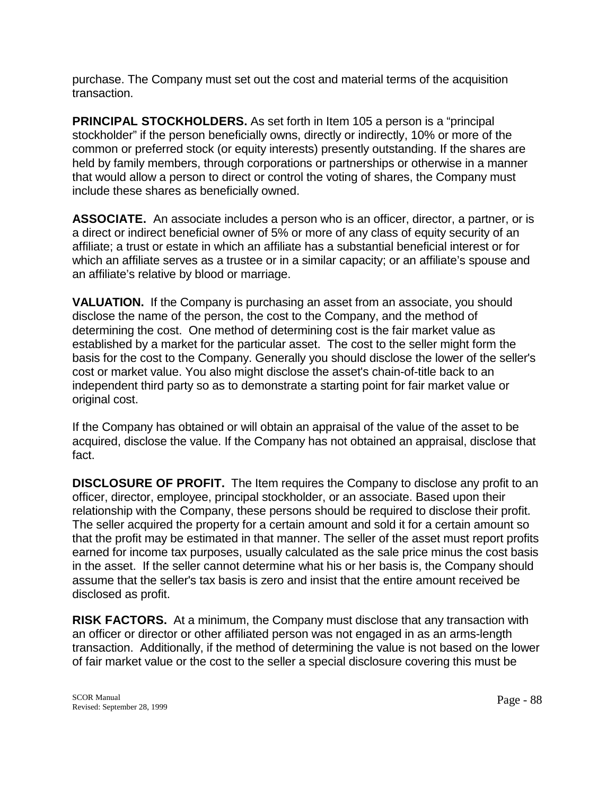purchase. The Company must set out the cost and material terms of the acquisition transaction.

**PRINCIPAL STOCKHOLDERS.** As set forth in Item 105 a person is a "principal" stockholder" if the person beneficially owns, directly or indirectly, 10% or more of the common or preferred stock (or equity interests) presently outstanding. If the shares are held by family members, through corporations or partnerships or otherwise in a manner that would allow a person to direct or control the voting of shares, the Company must include these shares as beneficially owned.

**ASSOCIATE.** An associate includes a person who is an officer, director, a partner, or is a direct or indirect beneficial owner of 5% or more of any class of equity security of an affiliate; a trust or estate in which an affiliate has a substantial beneficial interest or for which an affiliate serves as a trustee or in a similar capacity; or an affiliate's spouse and an affiliate's relative by blood or marriage.

**VALUATION.** If the Company is purchasing an asset from an associate, you should disclose the name of the person, the cost to the Company, and the method of determining the cost. One method of determining cost is the fair market value as established by a market for the particular asset. The cost to the seller might form the basis for the cost to the Company. Generally you should disclose the lower of the seller's cost or market value. You also might disclose the asset's chain-of-title back to an independent third party so as to demonstrate a starting point for fair market value or original cost.

If the Company has obtained or will obtain an appraisal of the value of the asset to be acquired, disclose the value. If the Company has not obtained an appraisal, disclose that fact.

**DISCLOSURE OF PROFIT.** The Item requires the Company to disclose any profit to an officer, director, employee, principal stockholder, or an associate. Based upon their relationship with the Company, these persons should be required to disclose their profit. The seller acquired the property for a certain amount and sold it for a certain amount so that the profit may be estimated in that manner. The seller of the asset must report profits earned for income tax purposes, usually calculated as the sale price minus the cost basis in the asset. If the seller cannot determine what his or her basis is, the Company should assume that the seller's tax basis is zero and insist that the entire amount received be disclosed as profit.

**RISK FACTORS.** At a minimum, the Company must disclose that any transaction with an officer or director or other affiliated person was not engaged in as an arms-length transaction. Additionally, if the method of determining the value is not based on the lower of fair market value or the cost to the seller a special disclosure covering this must be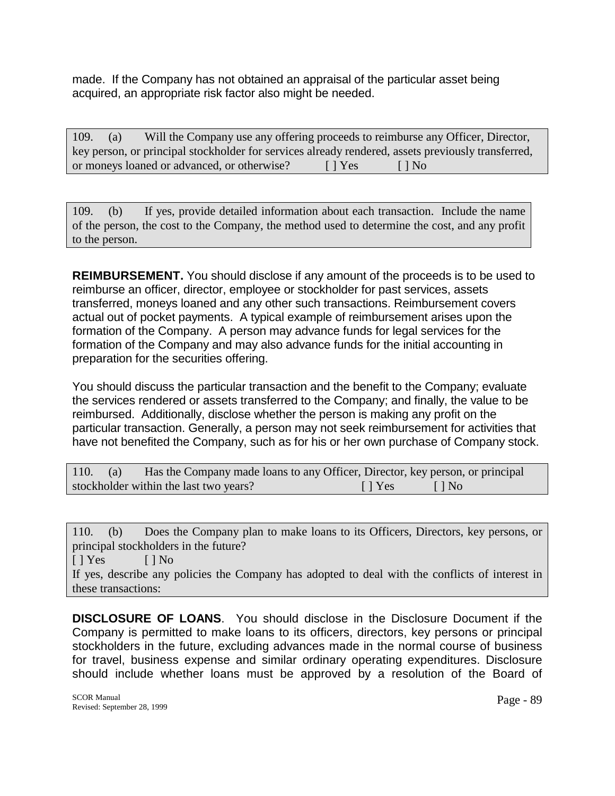made. If the Company has not obtained an appraisal of the particular asset being acquired, an appropriate risk factor also might be needed.

| 109. | (a) | Will the Company use any offering proceeds to reimburse any Officer, Director,                     |        |           |
|------|-----|----------------------------------------------------------------------------------------------------|--------|-----------|
|      |     | key person, or principal stockholder for services already rendered, assets previously transferred, |        |           |
|      |     | or moneys loaned or advanced, or otherwise?                                                        | [ Yes] | $\Box$ No |

109. (b) If yes, provide detailed information about each transaction. Include the name of the person, the cost to the Company, the method used to determine the cost, and any profit to the person.

**REIMBURSEMENT.** You should disclose if any amount of the proceeds is to be used to reimburse an officer, director, employee or stockholder for past services, assets transferred, moneys loaned and any other such transactions. Reimbursement covers actual out of pocket payments. A typical example of reimbursement arises upon the formation of the Company. A person may advance funds for legal services for the formation of the Company and may also advance funds for the initial accounting in preparation for the securities offering.

You should discuss the particular transaction and the benefit to the Company; evaluate the services rendered or assets transferred to the Company; and finally, the value to be reimbursed. Additionally, disclose whether the person is making any profit on the particular transaction. Generally, a person may not seek reimbursement for activities that have not benefited the Company, such as for his or her own purchase of Company stock.

| 110. | (a) | Has the Company made loans to any Officer, Director, key person, or principal |               |                    |
|------|-----|-------------------------------------------------------------------------------|---------------|--------------------|
|      |     | stockholder within the last two years?                                        | $\vert$   Yes | $\Box$   No $\Box$ |

110. (b) Does the Company plan to make loans to its Officers, Directors, key persons, or principal stockholders in the future?  $[ ] Yes ]$   $[ ] No$ If yes, describe any policies the Company has adopted to deal with the conflicts of interest in these transactions:

**DISCLOSURE OF LOANS**. You should disclose in the Disclosure Document if the Company is permitted to make loans to its officers, directors, key persons or principal stockholders in the future, excluding advances made in the normal course of business for travel, business expense and similar ordinary operating expenditures. Disclosure should include whether loans must be approved by a resolution of the Board of

SCOR Manual SCOR Manual Page - 89<br>Revised: September 28, 1999 Page - 89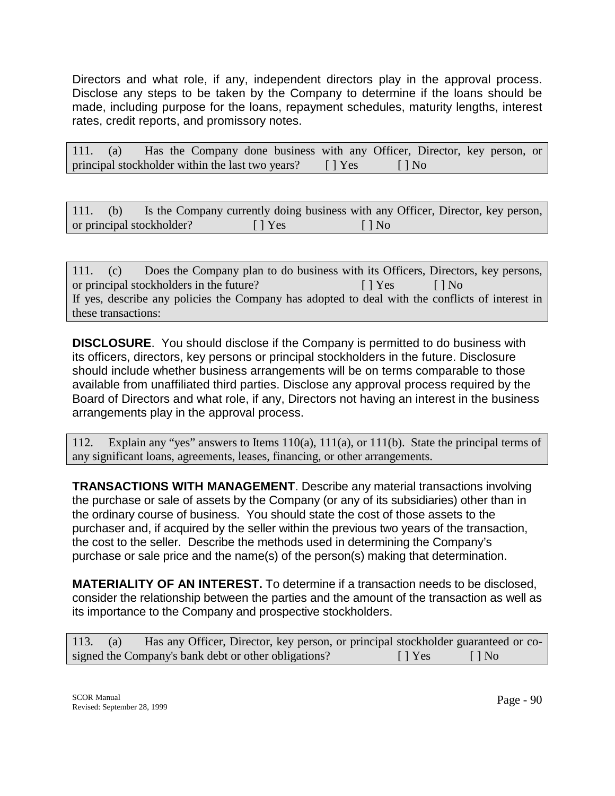Directors and what role, if any, independent directors play in the approval process. Disclose any steps to be taken by the Company to determine if the loans should be made, including purpose for the loans, repayment schedules, maturity lengths, interest rates, credit reports, and promissory notes.

|  |  | 111. (a) Has the Company done business with any Officer, Director, key person, or |  |  |           |  |  |
|--|--|-----------------------------------------------------------------------------------|--|--|-----------|--|--|
|  |  | principal stockholder within the last two years? [] Yes                           |  |  | $\Box$ No |  |  |

|  | 111. (b) Is the Company currently doing business with any Officer, Director, key person, |         |           |  |  |
|--|------------------------------------------------------------------------------------------|---------|-----------|--|--|
|  | or principal stockholder?                                                                | I l Yes | $\Box$ No |  |  |

111. (c) Does the Company plan to do business with its Officers, Directors, key persons, or principal stockholders in the future? [ ] Yes [ ] No If yes, describe any policies the Company has adopted to deal with the conflicts of interest in these transactions:

**DISCLOSURE**. You should disclose if the Company is permitted to do business with its officers, directors, key persons or principal stockholders in the future. Disclosure should include whether business arrangements will be on terms comparable to those available from unaffiliated third parties. Disclose any approval process required by the Board of Directors and what role, if any, Directors not having an interest in the business arrangements play in the approval process.

112. Explain any "yes" answers to Items 110(a), 111(a), or 111(b). State the principal terms of any significant loans, agreements, leases, financing, or other arrangements.

**TRANSACTIONS WITH MANAGEMENT**. Describe any material transactions involving the purchase or sale of assets by the Company (or any of its subsidiaries) other than in the ordinary course of business. You should state the cost of those assets to the purchaser and, if acquired by the seller within the previous two years of the transaction, the cost to the seller. Describe the methods used in determining the Company's purchase or sale price and the name(s) of the person(s) making that determination.

**MATERIALITY OF AN INTEREST.** To determine if a transaction needs to be disclosed, consider the relationship between the parties and the amount of the transaction as well as its importance to the Company and prospective stockholders.

113. (a) Has any Officer, Director, key person, or principal stockholder guaranteed or cosigned the Company's bank debt or other obligations? [ ] Yes [ ] No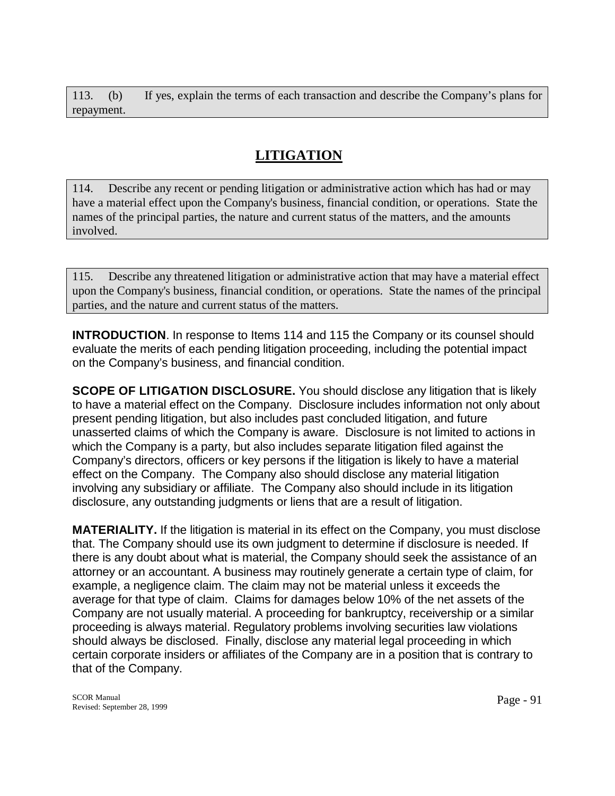113. (b) If yes, explain the terms of each transaction and describe the Company's plans for repayment.

# **LITIGATION**

114. Describe any recent or pending litigation or administrative action which has had or may have a material effect upon the Company's business, financial condition, or operations. State the names of the principal parties, the nature and current status of the matters, and the amounts involved.

115. Describe any threatened litigation or administrative action that may have a material effect upon the Company's business, financial condition, or operations. State the names of the principal parties, and the nature and current status of the matters.

**INTRODUCTION**. In response to Items 114 and 115 the Company or its counsel should evaluate the merits of each pending litigation proceeding, including the potential impact on the Company's business, and financial condition.

**SCOPE OF LITIGATION DISCLOSURE.** You should disclose any litigation that is likely to have a material effect on the Company. Disclosure includes information not only about present pending litigation, but also includes past concluded litigation, and future unasserted claims of which the Company is aware. Disclosure is not limited to actions in which the Company is a party, but also includes separate litigation filed against the Company's directors, officers or key persons if the litigation is likely to have a material effect on the Company. The Company also should disclose any material litigation involving any subsidiary or affiliate. The Company also should include in its litigation disclosure, any outstanding judgments or liens that are a result of litigation.

**MATERIALITY.** If the litigation is material in its effect on the Company, you must disclose that. The Company should use its own judgment to determine if disclosure is needed. If there is any doubt about what is material, the Company should seek the assistance of an attorney or an accountant. A business may routinely generate a certain type of claim, for example, a negligence claim. The claim may not be material unless it exceeds the average for that type of claim. Claims for damages below 10% of the net assets of the Company are not usually material. A proceeding for bankruptcy, receivership or a similar proceeding is always material. Regulatory problems involving securities law violations should always be disclosed. Finally, disclose any material legal proceeding in which certain corporate insiders or affiliates of the Company are in a position that is contrary to that of the Company.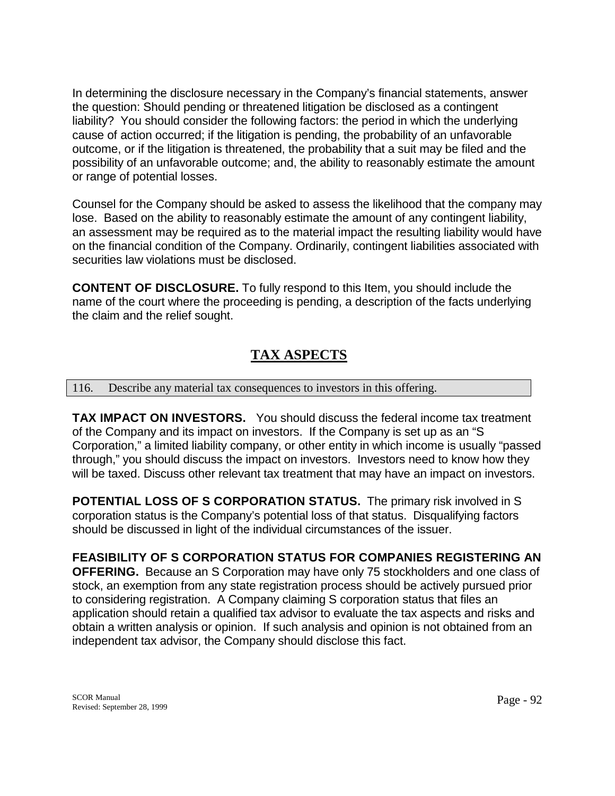In determining the disclosure necessary in the Company's financial statements, answer the question: Should pending or threatened litigation be disclosed as a contingent liability? You should consider the following factors: the period in which the underlying cause of action occurred; if the litigation is pending, the probability of an unfavorable outcome, or if the litigation is threatened, the probability that a suit may be filed and the possibility of an unfavorable outcome; and, the ability to reasonably estimate the amount or range of potential losses.

Counsel for the Company should be asked to assess the likelihood that the company may lose. Based on the ability to reasonably estimate the amount of any contingent liability, an assessment may be required as to the material impact the resulting liability would have on the financial condition of the Company. Ordinarily, contingent liabilities associated with securities law violations must be disclosed.

**CONTENT OF DISCLOSURE.** To fully respond to this Item, you should include the name of the court where the proceeding is pending, a description of the facts underlying the claim and the relief sought.

# **TAX ASPECTS**

## 116. Describe any material tax consequences to investors in this offering.

independent tax advisor, the Company should disclose this fact.

**TAX IMPACT ON INVESTORS.** You should discuss the federal income tax treatment of the Company and its impact on investors. If the Company is set up as an "S Corporation," a limited liability company, or other entity in which income is usually "passed through," you should discuss the impact on investors. Investors need to know how they will be taxed. Discuss other relevant tax treatment that may have an impact on investors.

**POTENTIAL LOSS OF S CORPORATION STATUS.** The primary risk involved in S corporation status is the Company's potential loss of that status. Disqualifying factors should be discussed in light of the individual circumstances of the issuer.

#### **FEASIBILITY OF S CORPORATION STATUS FOR COMPANIES REGISTERING AN OFFERING.** Because an S Corporation may have only 75 stockholders and one class of stock, an exemption from any state registration process should be actively pursued prior to considering registration. A Company claiming S corporation status that files an application should retain a qualified tax advisor to evaluate the tax aspects and risks and obtain a written analysis or opinion. If such analysis and opinion is not obtained from an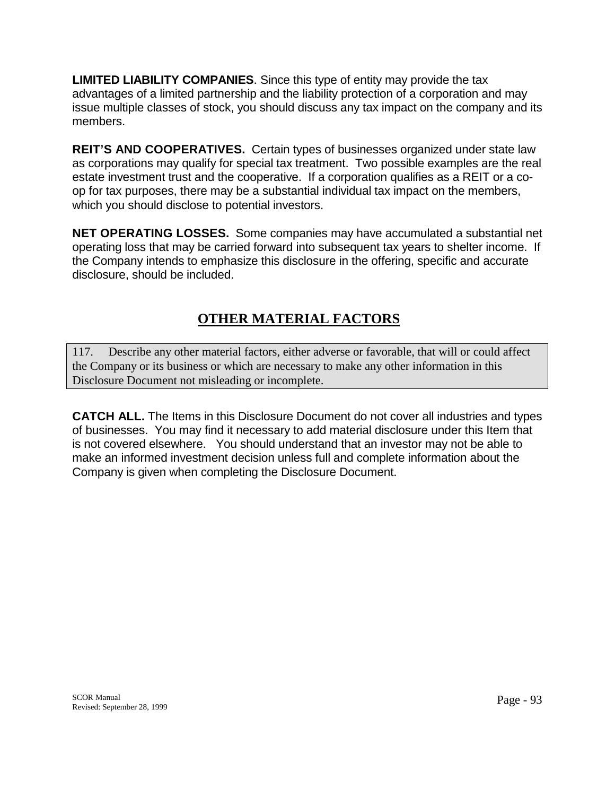**LIMITED LIABILITY COMPANIES**. Since this type of entity may provide the tax advantages of a limited partnership and the liability protection of a corporation and may issue multiple classes of stock, you should discuss any tax impact on the company and its members.

**REIT'S AND COOPERATIVES.** Certain types of businesses organized under state law as corporations may qualify for special tax treatment. Two possible examples are the real estate investment trust and the cooperative. If a corporation qualifies as a REIT or a coop for tax purposes, there may be a substantial individual tax impact on the members, which you should disclose to potential investors.

**NET OPERATING LOSSES.** Some companies may have accumulated a substantial net operating loss that may be carried forward into subsequent tax years to shelter income. If the Company intends to emphasize this disclosure in the offering, specific and accurate disclosure, should be included.

# **OTHER MATERIAL FACTORS**

117. Describe any other material factors, either adverse or favorable, that will or could affect the Company or its business or which are necessary to make any other information in this Disclosure Document not misleading or incomplete.

**CATCH ALL.** The Items in this Disclosure Document do not cover all industries and types of businesses. You may find it necessary to add material disclosure under this Item that is not covered elsewhere. You should understand that an investor may not be able to make an informed investment decision unless full and complete information about the Company is given when completing the Disclosure Document.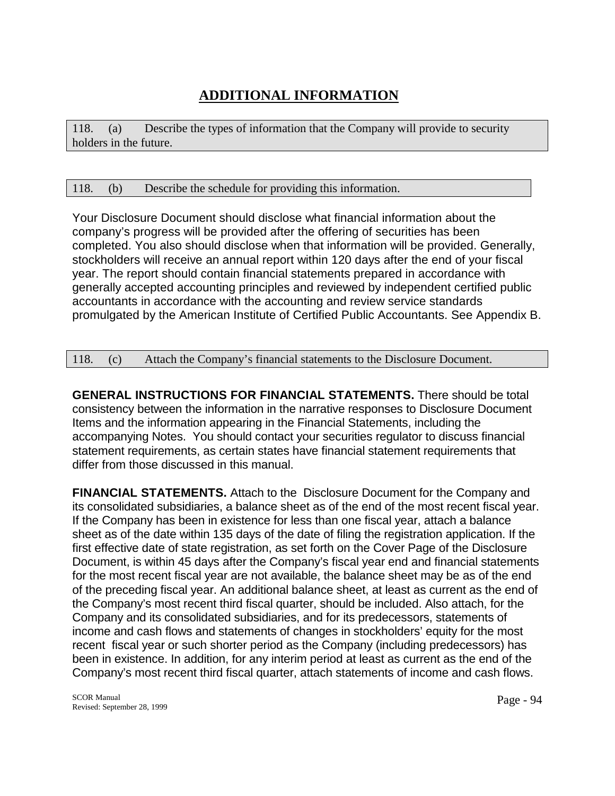# **ADDITIONAL INFORMATION**

118. (a) Describe the types of information that the Company will provide to security holders in the future.

## 118. (b) Describe the schedule for providing this information.

Your Disclosure Document should disclose what financial information about the company's progress will be provided after the offering of securities has been completed. You also should disclose when that information will be provided. Generally, stockholders will receive an annual report within 120 days after the end of your fiscal year. The report should contain financial statements prepared in accordance with generally accepted accounting principles and reviewed by independent certified public accountants in accordance with the accounting and review service standards promulgated by the American Institute of Certified Public Accountants. See Appendix B.

## 118. (c) Attach the Company's financial statements to the Disclosure Document.

**GENERAL INSTRUCTIONS FOR FINANCIAL STATEMENTS.** There should be total consistency between the information in the narrative responses to Disclosure Document Items and the information appearing in the Financial Statements, including the accompanying Notes. You should contact your securities regulator to discuss financial statement requirements, as certain states have financial statement requirements that differ from those discussed in this manual.

**FINANCIAL STATEMENTS.** Attach to the Disclosure Document for the Company and its consolidated subsidiaries, a balance sheet as of the end of the most recent fiscal year. If the Company has been in existence for less than one fiscal year, attach a balance sheet as of the date within 135 days of the date of filing the registration application. If the first effective date of state registration, as set forth on the Cover Page of the Disclosure Document, is within 45 days after the Company's fiscal year end and financial statements for the most recent fiscal year are not available, the balance sheet may be as of the end of the preceding fiscal year. An additional balance sheet, at least as current as the end of the Company's most recent third fiscal quarter, should be included. Also attach, for the Company and its consolidated subsidiaries, and for its predecessors, statements of income and cash flows and statements of changes in stockholders' equity for the most recent fiscal year or such shorter period as the Company (including predecessors) has been in existence. In addition, for any interim period at least as current as the end of the Company's most recent third fiscal quarter, attach statements of income and cash flows.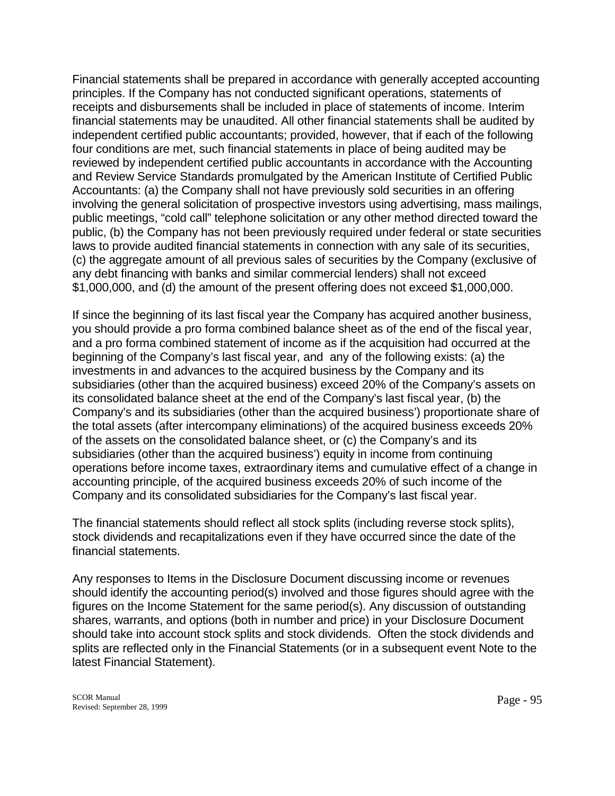Financial statements shall be prepared in accordance with generally accepted accounting principles. If the Company has not conducted significant operations, statements of receipts and disbursements shall be included in place of statements of income. Interim financial statements may be unaudited. All other financial statements shall be audited by independent certified public accountants; provided, however, that if each of the following four conditions are met, such financial statements in place of being audited may be reviewed by independent certified public accountants in accordance with the Accounting and Review Service Standards promulgated by the American Institute of Certified Public Accountants: (a) the Company shall not have previously sold securities in an offering involving the general solicitation of prospective investors using advertising, mass mailings, public meetings, "cold call" telephone solicitation or any other method directed toward the public, (b) the Company has not been previously required under federal or state securities laws to provide audited financial statements in connection with any sale of its securities, (c) the aggregate amount of all previous sales of securities by the Company (exclusive of any debt financing with banks and similar commercial lenders) shall not exceed \$1,000,000, and (d) the amount of the present offering does not exceed \$1,000,000.

If since the beginning of its last fiscal year the Company has acquired another business, you should provide a pro forma combined balance sheet as of the end of the fiscal year, and a pro forma combined statement of income as if the acquisition had occurred at the beginning of the Company's last fiscal year, and any of the following exists: (a) the investments in and advances to the acquired business by the Company and its subsidiaries (other than the acquired business) exceed 20% of the Company's assets on its consolidated balance sheet at the end of the Company's last fiscal year, (b) the Company's and its subsidiaries (other than the acquired business') proportionate share of the total assets (after intercompany eliminations) of the acquired business exceeds 20% of the assets on the consolidated balance sheet, or (c) the Company's and its subsidiaries (other than the acquired business') equity in income from continuing operations before income taxes, extraordinary items and cumulative effect of a change in accounting principle, of the acquired business exceeds 20% of such income of the Company and its consolidated subsidiaries for the Company's last fiscal year.

The financial statements should reflect all stock splits (including reverse stock splits), stock dividends and recapitalizations even if they have occurred since the date of the financial statements.

Any responses to Items in the Disclosure Document discussing income or revenues should identify the accounting period(s) involved and those figures should agree with the figures on the Income Statement for the same period(s). Any discussion of outstanding shares, warrants, and options (both in number and price) in your Disclosure Document should take into account stock splits and stock dividends. Often the stock dividends and splits are reflected only in the Financial Statements (or in a subsequent event Note to the latest Financial Statement).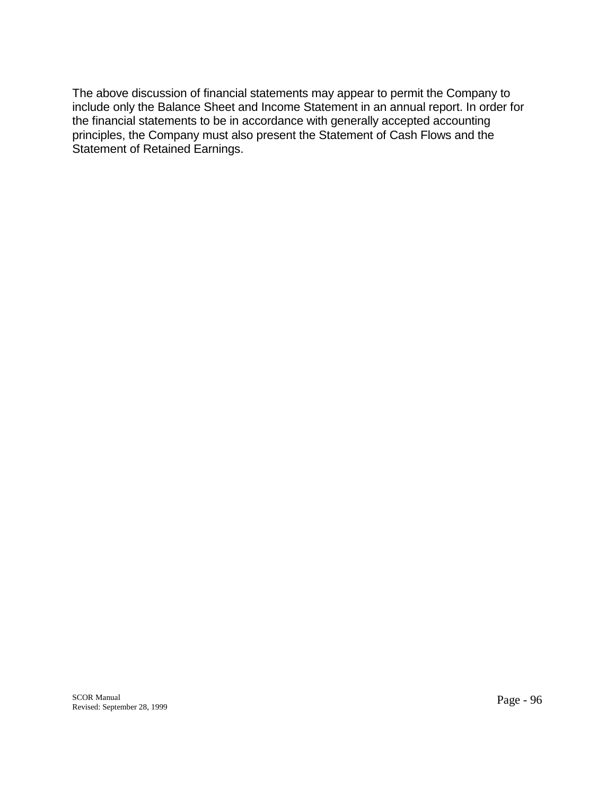The above discussion of financial statements may appear to permit the Company to include only the Balance Sheet and Income Statement in an annual report. In order for the financial statements to be in accordance with generally accepted accounting principles, the Company must also present the Statement of Cash Flows and the Statement of Retained Earnings.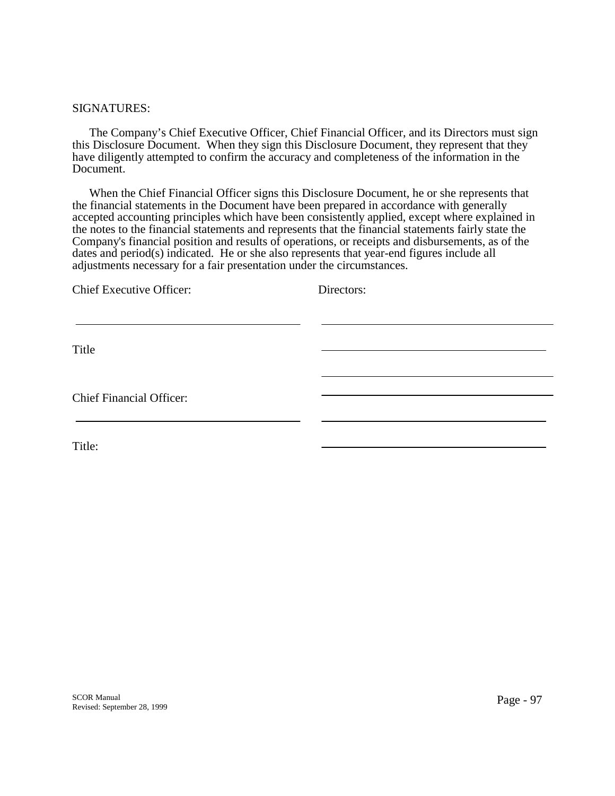#### SIGNATURES:

 The Company's Chief Executive Officer, Chief Financial Officer, and its Directors must sign this Disclosure Document. When they sign this Disclosure Document, they represent that they have diligently attempted to confirm the accuracy and completeness of the information in the Document.

 When the Chief Financial Officer signs this Disclosure Document, he or she represents that the financial statements in the Document have been prepared in accordance with generally accepted accounting principles which have been consistently applied, except where explained in the notes to the financial statements and represents that the financial statements fairly state the Company's financial position and results of operations, or receipts and disbursements, as of the dates and period(s) indicated. He or she also represents that year-end figures include all adjustments necessary for a fair presentation under the circumstances.

| <b>Chief Executive Officer:</b> | Directors: |
|---------------------------------|------------|
| Title                           |            |
| <b>Chief Financial Officer:</b> |            |
| Title:                          |            |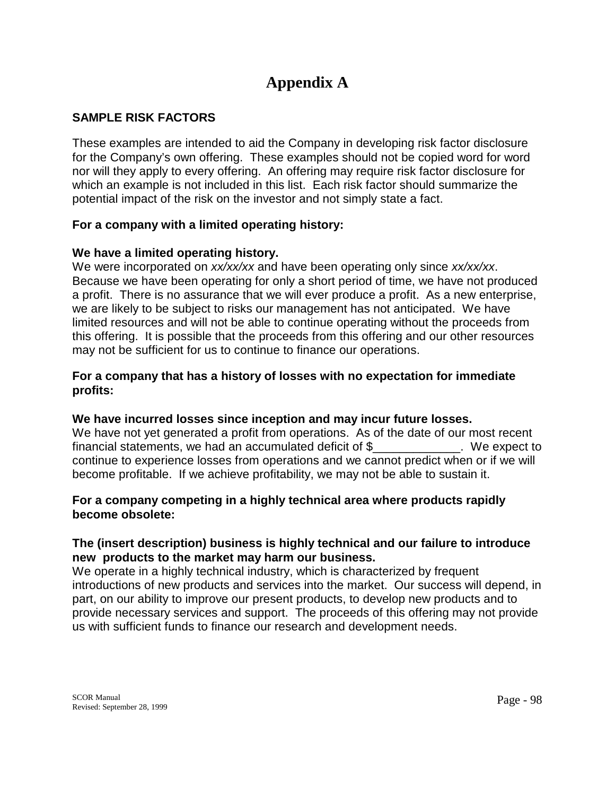# **Appendix A**

## **SAMPLE RISK FACTORS**

These examples are intended to aid the Company in developing risk factor disclosure for the Company's own offering. These examples should not be copied word for word nor will they apply to every offering. An offering may require risk factor disclosure for which an example is not included in this list. Each risk factor should summarize the potential impact of the risk on the investor and not simply state a fact.

## **For a company with a limited operating history:**

## **We have a limited operating history.**

We were incorporated on *xx/xx/xx* and have been operating only since *xx/xx/xx*. Because we have been operating for only a short period of time, we have not produced a profit. There is no assurance that we will ever produce a profit. As a new enterprise, we are likely to be subject to risks our management has not anticipated. We have limited resources and will not be able to continue operating without the proceeds from this offering. It is possible that the proceeds from this offering and our other resources may not be sufficient for us to continue to finance our operations.

## **For a company that has a history of losses with no expectation for immediate profits:**

## **We have incurred losses since inception and may incur future losses.**

We have not yet generated a profit from operations. As of the date of our most recent financial statements, we had an accumulated deficit of \$\_\_\_\_\_\_\_\_\_\_\_\_\_. We expect to continue to experience losses from operations and we cannot predict when or if we will become profitable. If we achieve profitability, we may not be able to sustain it.

## **For a company competing in a highly technical area where products rapidly become obsolete:**

## **The (insert description) business is highly technical and our failure to introduce new products to the market may harm our business.**

We operate in a highly technical industry, which is characterized by frequent introductions of new products and services into the market. Our success will depend, in part, on our ability to improve our present products, to develop new products and to provide necessary services and support. The proceeds of this offering may not provide us with sufficient funds to finance our research and development needs.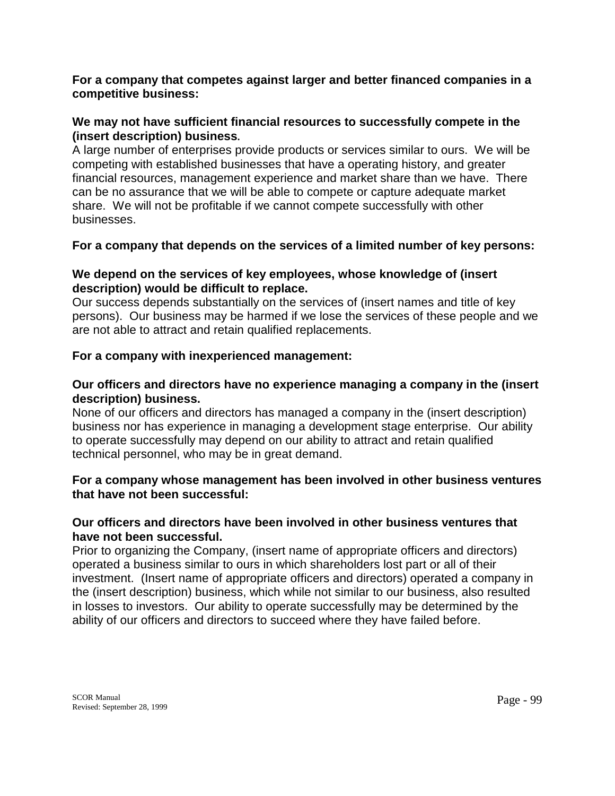## **For a company that competes against larger and better financed companies in a competitive business:**

## **We may not have sufficient financial resources to successfully compete in the (insert description) business.**

A large number of enterprises provide products or services similar to ours. We will be competing with established businesses that have a operating history, and greater financial resources, management experience and market share than we have. There can be no assurance that we will be able to compete or capture adequate market share. We will not be profitable if we cannot compete successfully with other businesses.

## **For a company that depends on the services of a limited number of key persons:**

## **We depend on the services of key employees, whose knowledge of (insert description) would be difficult to replace.**

Our success depends substantially on the services of (insert names and title of key persons). Our business may be harmed if we lose the services of these people and we are not able to attract and retain qualified replacements.

## **For a company with inexperienced management:**

## **Our officers and directors have no experience managing a company in the (insert description) business.**

None of our officers and directors has managed a company in the (insert description) business nor has experience in managing a development stage enterprise. Our ability to operate successfully may depend on our ability to attract and retain qualified technical personnel, who may be in great demand.

## **For a company whose management has been involved in other business ventures that have not been successful:**

## **Our officers and directors have been involved in other business ventures that have not been successful.**

Prior to organizing the Company, (insert name of appropriate officers and directors) operated a business similar to ours in which shareholders lost part or all of their investment. (Insert name of appropriate officers and directors) operated a company in the (insert description) business, which while not similar to our business, also resulted in losses to investors. Our ability to operate successfully may be determined by the ability of our officers and directors to succeed where they have failed before.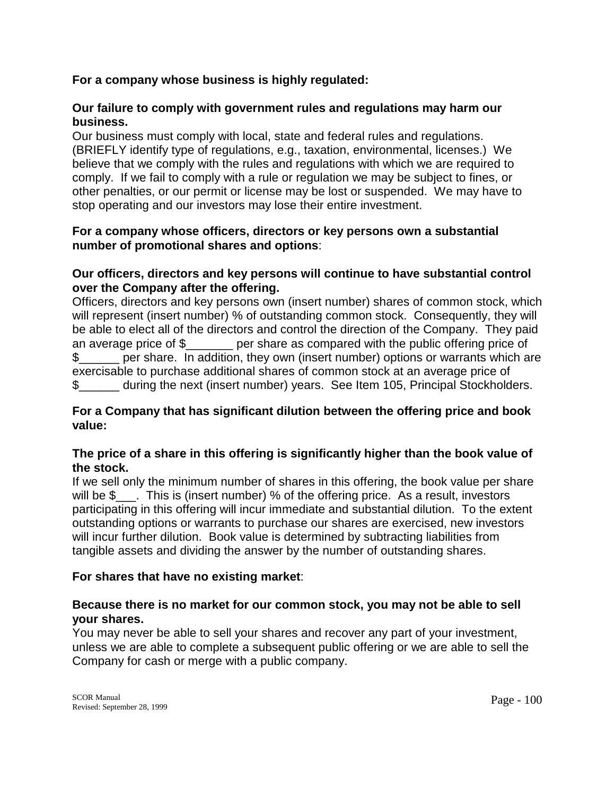## **For a company whose business is highly regulated:**

## **Our failure to comply with government rules and regulations may harm our business.**

Our business must comply with local, state and federal rules and regulations. (BRIEFLY identify type of regulations, e.g., taxation, environmental, licenses.) We believe that we comply with the rules and regulations with which we are required to comply. If we fail to comply with a rule or regulation we may be subject to fines, or other penalties, or our permit or license may be lost or suspended. We may have to stop operating and our investors may lose their entire investment.

## **For a company whose officers, directors or key persons own a substantial number of promotional shares and options**:

## **Our officers, directors and key persons will continue to have substantial control over the Company after the offering.**

Officers, directors and key persons own (insert number) shares of common stock, which will represent (insert number) % of outstanding common stock. Consequently, they will be able to elect all of the directors and control the direction of the Company. They paid an average price of \$\_\_\_\_\_\_\_ per share as compared with the public offering price of \$ \_\_\_\_\_ per share. In addition, they own (insert number) options or warrants which are exercisable to purchase additional shares of common stock at an average price of \$\_\_\_\_\_\_ during the next (insert number) years. See Item 105, Principal Stockholders.

## **For a Company that has significant dilution between the offering price and book value:**

## **The price of a share in this offering is significantly higher than the book value of the stock.**

If we sell only the minimum number of shares in this offering, the book value per share will be \$\_\_\_. This is (insert number) % of the offering price. As a result, investors participating in this offering will incur immediate and substantial dilution. To the extent outstanding options or warrants to purchase our shares are exercised, new investors will incur further dilution. Book value is determined by subtracting liabilities from tangible assets and dividing the answer by the number of outstanding shares.

## **For shares that have no existing market**:

## **Because there is no market for our common stock, you may not be able to sell your shares.**

You may never be able to sell your shares and recover any part of your investment, unless we are able to complete a subsequent public offering or we are able to sell the Company for cash or merge with a public company.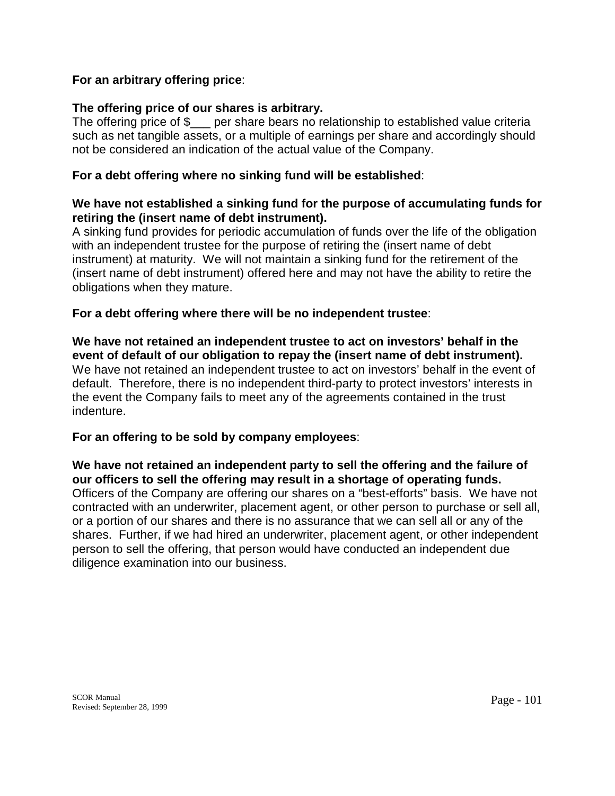## **For an arbitrary offering price**:

## **The offering price of our shares is arbitrary.**

The offering price of \$ per share bears no relationship to established value criteria such as net tangible assets, or a multiple of earnings per share and accordingly should not be considered an indication of the actual value of the Company.

## **For a debt offering where no sinking fund will be established**:

## **We have not established a sinking fund for the purpose of accumulating funds for retiring the (insert name of debt instrument).**

A sinking fund provides for periodic accumulation of funds over the life of the obligation with an independent trustee for the purpose of retiring the (insert name of debt instrument) at maturity. We will not maintain a sinking fund for the retirement of the (insert name of debt instrument) offered here and may not have the ability to retire the obligations when they mature.

## **For a debt offering where there will be no independent trustee**:

**We have not retained an independent trustee to act on investors' behalf in the event of default of our obligation to repay the (insert name of debt instrument).**  We have not retained an independent trustee to act on investors' behalf in the event of default. Therefore, there is no independent third-party to protect investors' interests in the event the Company fails to meet any of the agreements contained in the trust indenture.

## **For an offering to be sold by company employees**:

**We have not retained an independent party to sell the offering and the failure of our officers to sell the offering may result in a shortage of operating funds.** Officers of the Company are offering our shares on a "best-efforts" basis. We have not contracted with an underwriter, placement agent, or other person to purchase or sell all, or a portion of our shares and there is no assurance that we can sell all or any of the shares. Further, if we had hired an underwriter, placement agent, or other independent person to sell the offering, that person would have conducted an independent due diligence examination into our business.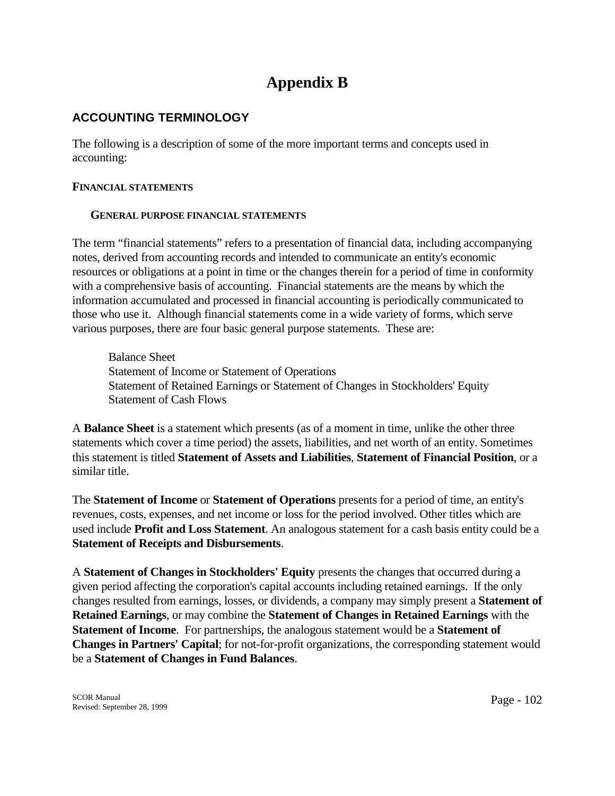# **Appendix B**

## **ACCOUNTING TERMINOLOGY**

The following is a description of some of the more important terms and concepts used in accounting:

#### **FINANCIAL STATEMENTS**

#### **GENERAL PURPOSE FINANCIAL STATEMENTS**

The term "financial statements" refers to a presentation of financial data, including accompanying notes, derived from accounting records and intended to communicate an entity's economic resources or obligations at a point in time or the changes therein for a period of time in conformity with a comprehensive basis of accounting. Financial statements are the means by which the information accumulated and processed in financial accounting is periodically communicated to those who use it. Although financial statements come in a wide variety of forms, which serve various purposes, there are four basic general purpose statements. These are:

 Balance Sheet Statement of Income or Statement of Operations Statement of Retained Earnings or Statement of Changes in Stockholders' Equity Statement of Cash Flows

A **Balance Sheet** is a statement which presents (as of a moment in time, unlike the other three statements which cover a time period) the assets, liabilities, and net worth of an entity. Sometimes this statement is titled **Statement of Assets and Liabilities**, **Statement of Financial Position**, or a similar title.

The **Statement of Income** or **Statement of Operations** presents for a period of time, an entity's revenues, costs, expenses, and net income or loss for the period involved. Other titles which are used include **Profit and Loss Statement**. An analogous statement for a cash basis entity could be a **Statement of Receipts and Disbursements**.

A **Statement of Changes in Stockholders' Equity** presents the changes that occurred during a given period affecting the corporation's capital accounts including retained earnings. If the only changes resulted from earnings, losses, or dividends, a company may simply present a **Statement of Retained Earnings**, or may combine the **Statement of Changes in Retained Earnings** with the **Statement of Income**. For partnerships, the analogous statement would be a **Statement of Changes in Partners' Capital**; for not-for-profit organizations, the corresponding statement would be a **Statement of Changes in Fund Balances**.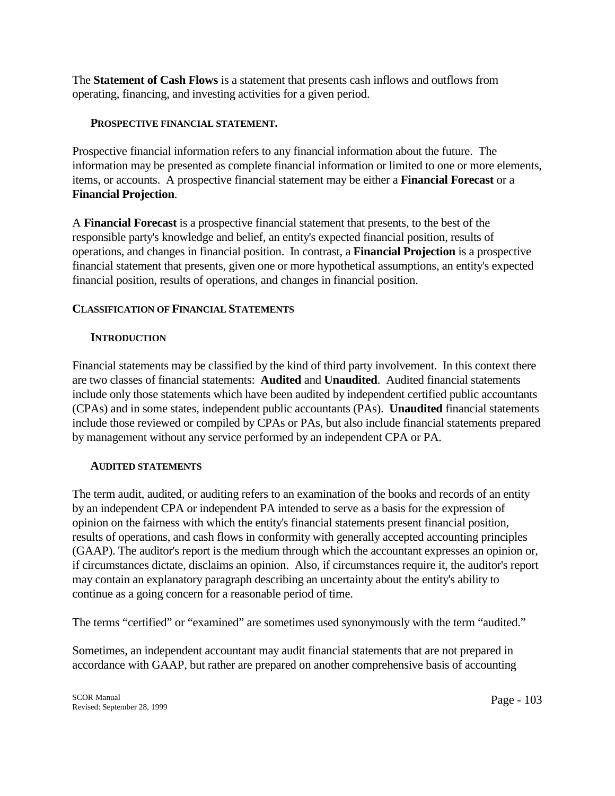The **Statement of Cash Flows** is a statement that presents cash inflows and outflows from operating, financing, and investing activities for a given period.

#### **PROSPECTIVE FINANCIAL STATEMENT.**

Prospective financial information refers to any financial information about the future. The information may be presented as complete financial information or limited to one or more elements, items, or accounts. A prospective financial statement may be either a **Financial Forecast** or a **Financial Projection**.

A **Financial Forecast** is a prospective financial statement that presents, to the best of the responsible party's knowledge and belief, an entity's expected financial position, results of operations, and changes in financial position. In contrast, a **Financial Projection** is a prospective financial statement that presents, given one or more hypothetical assumptions, an entity's expected financial position, results of operations, and changes in financial position.

## **CLASSIFICATION OF FINANCIAL STATEMENTS**

## **INTRODUCTION**

Financial statements may be classified by the kind of third party involvement. In this context there are two classes of financial statements: **Audited** and **Unaudited**. Audited financial statements include only those statements which have been audited by independent certified public accountants (CPAs) and in some states, independent public accountants (PAs). **Unaudited** financial statements include those reviewed or compiled by CPAs or PAs, but also include financial statements prepared by management without any service performed by an independent CPA or PA.

## **AUDITED STATEMENTS**

The term audit, audited, or auditing refers to an examination of the books and records of an entity by an independent CPA or independent PA intended to serve as a basis for the expression of opinion on the fairness with which the entity's financial statements present financial position, results of operations, and cash flows in conformity with generally accepted accounting principles (GAAP). The auditor's report is the medium through which the accountant expresses an opinion or, if circumstances dictate, disclaims an opinion. Also, if circumstances require it, the auditor's report may contain an explanatory paragraph describing an uncertainty about the entity's ability to continue as a going concern for a reasonable period of time.

The terms "certified" or "examined" are sometimes used synonymously with the term "audited."

Sometimes, an independent accountant may audit financial statements that are not prepared in accordance with GAAP, but rather are prepared on another comprehensive basis of accounting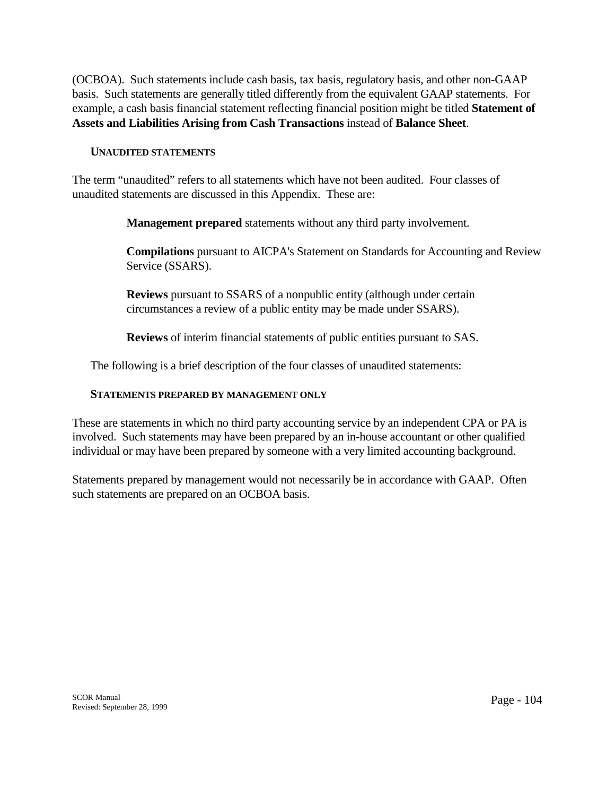(OCBOA). Such statements include cash basis, tax basis, regulatory basis, and other non-GAAP basis. Such statements are generally titled differently from the equivalent GAAP statements. For example, a cash basis financial statement reflecting financial position might be titled **Statement of Assets and Liabilities Arising from Cash Transactions** instead of **Balance Sheet**.

#### **UNAUDITED STATEMENTS**

The term "unaudited" refers to all statements which have not been audited. Four classes of unaudited statements are discussed in this Appendix. These are:

 **Management prepared** statements without any third party involvement.

 **Compilations** pursuant to AICPA's Statement on Standards for Accounting and Review Service (SSARS).

 **Reviews** pursuant to SSARS of a nonpublic entity (although under certain circumstances a review of a public entity may be made under SSARS).

 **Reviews** of interim financial statements of public entities pursuant to SAS.

The following is a brief description of the four classes of unaudited statements:

#### **STATEMENTS PREPARED BY MANAGEMENT ONLY**

These are statements in which no third party accounting service by an independent CPA or PA is involved. Such statements may have been prepared by an in-house accountant or other qualified individual or may have been prepared by someone with a very limited accounting background.

Statements prepared by management would not necessarily be in accordance with GAAP. Often such statements are prepared on an OCBOA basis.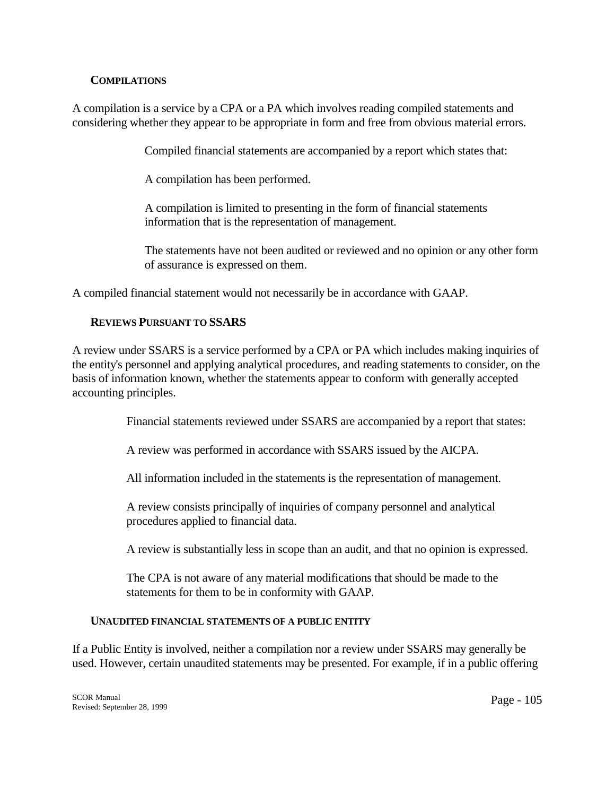#### **COMPILATIONS**

A compilation is a service by a CPA or a PA which involves reading compiled statements and considering whether they appear to be appropriate in form and free from obvious material errors.

Compiled financial statements are accompanied by a report which states that:

A compilation has been performed.

 A compilation is limited to presenting in the form of financial statements information that is the representation of management.

 The statements have not been audited or reviewed and no opinion or any other form of assurance is expressed on them.

A compiled financial statement would not necessarily be in accordance with GAAP.

#### **REVIEWS PURSUANT TO SSARS**

A review under SSARS is a service performed by a CPA or PA which includes making inquiries of the entity's personnel and applying analytical procedures, and reading statements to consider, on the basis of information known, whether the statements appear to conform with generally accepted accounting principles.

Financial statements reviewed under SSARS are accompanied by a report that states:

A review was performed in accordance with SSARS issued by the AICPA.

All information included in the statements is the representation of management.

 A review consists principally of inquiries of company personnel and analytical procedures applied to financial data.

A review is substantially less in scope than an audit, and that no opinion is expressed.

 The CPA is not aware of any material modifications that should be made to the statements for them to be in conformity with GAAP.

#### **UNAUDITED FINANCIAL STATEMENTS OF A PUBLIC ENTITY**

If a Public Entity is involved, neither a compilation nor a review under SSARS may generally be used. However, certain unaudited statements may be presented. For example, if in a public offering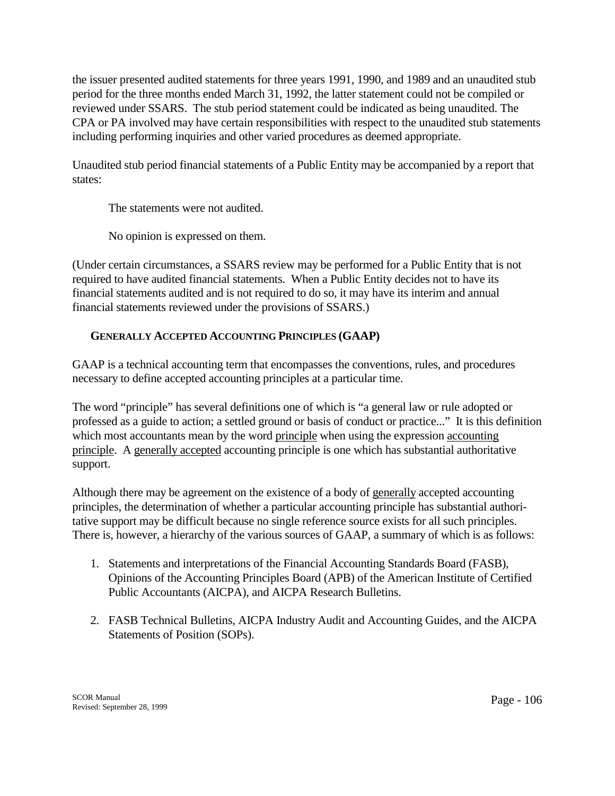the issuer presented audited statements for three years 1991, 1990, and 1989 and an unaudited stub period for the three months ended March 31, 1992, the latter statement could not be compiled or reviewed under SSARS. The stub period statement could be indicated as being unaudited. The CPA or PA involved may have certain responsibilities with respect to the unaudited stub statements including performing inquiries and other varied procedures as deemed appropriate.

Unaudited stub period financial statements of a Public Entity may be accompanied by a report that states:

The statements were not audited.

No opinion is expressed on them.

(Under certain circumstances, a SSARS review may be performed for a Public Entity that is not required to have audited financial statements. When a Public Entity decides not to have its financial statements audited and is not required to do so, it may have its interim and annual financial statements reviewed under the provisions of SSARS.)

## **GENERALLY ACCEPTED ACCOUNTING PRINCIPLES (GAAP)**

GAAP is a technical accounting term that encompasses the conventions, rules, and procedures necessary to define accepted accounting principles at a particular time.

The word "principle" has several definitions one of which is "a general law or rule adopted or professed as a guide to action; a settled ground or basis of conduct or practice..." It is this definition which most accountants mean by the word principle when using the expression accounting principle. A generally accepted accounting principle is one which has substantial authoritative support.

Although there may be agreement on the existence of a body of generally accepted accounting principles, the determination of whether a particular accounting principle has substantial authoritative support may be difficult because no single reference source exists for all such principles. There is, however, a hierarchy of the various sources of GAAP, a summary of which is as follows:

- 1. Statements and interpretations of the Financial Accounting Standards Board (FASB), Opinions of the Accounting Principles Board (APB) of the American Institute of Certified Public Accountants (AICPA), and AICPA Research Bulletins.
- 2. FASB Technical Bulletins, AICPA Industry Audit and Accounting Guides, and the AICPA Statements of Position (SOPs).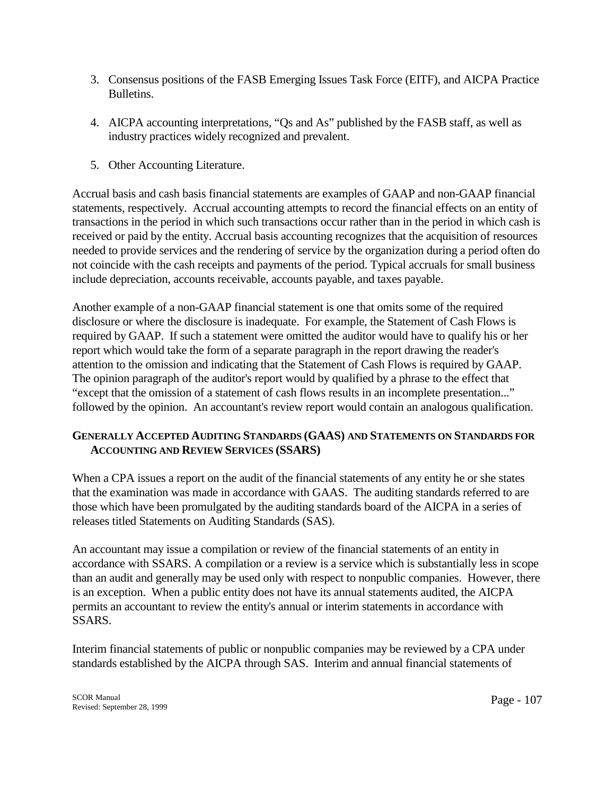- 3. Consensus positions of the FASB Emerging Issues Task Force (EITF), and AICPA Practice Bulletins.
- 4. AICPA accounting interpretations, "Qs and As" published by the FASB staff, as well as industry practices widely recognized and prevalent.
- 5. Other Accounting Literature.

Accrual basis and cash basis financial statements are examples of GAAP and non-GAAP financial statements, respectively. Accrual accounting attempts to record the financial effects on an entity of transactions in the period in which such transactions occur rather than in the period in which cash is received or paid by the entity. Accrual basis accounting recognizes that the acquisition of resources needed to provide services and the rendering of service by the organization during a period often do not coincide with the cash receipts and payments of the period. Typical accruals for small business include depreciation, accounts receivable, accounts payable, and taxes payable.

Another example of a non-GAAP financial statement is one that omits some of the required disclosure or where the disclosure is inadequate. For example, the Statement of Cash Flows is required by GAAP. If such a statement were omitted the auditor would have to qualify his or her report which would take the form of a separate paragraph in the report drawing the reader's attention to the omission and indicating that the Statement of Cash Flows is required by GAAP. The opinion paragraph of the auditor's report would by qualified by a phrase to the effect that "except that the omission of a statement of cash flows results in an incomplete presentation..." followed by the opinion. An accountant's review report would contain an analogous qualification.

## **GENERALLY ACCEPTED AUDITING STANDARDS (GAAS) AND STATEMENTS ON STANDARDS FOR ACCOUNTING AND REVIEW SERVICES (SSARS)**

When a CPA issues a report on the audit of the financial statements of any entity he or she states that the examination was made in accordance with GAAS. The auditing standards referred to are those which have been promulgated by the auditing standards board of the AICPA in a series of releases titled Statements on Auditing Standards (SAS).

An accountant may issue a compilation or review of the financial statements of an entity in accordance with SSARS. A compilation or a review is a service which is substantially less in scope than an audit and generally may be used only with respect to nonpublic companies. However, there is an exception. When a public entity does not have its annual statements audited, the AICPA permits an accountant to review the entity's annual or interim statements in accordance with SSARS.

Interim financial statements of public or nonpublic companies may be reviewed by a CPA under standards established by the AICPA through SAS. Interim and annual financial statements of